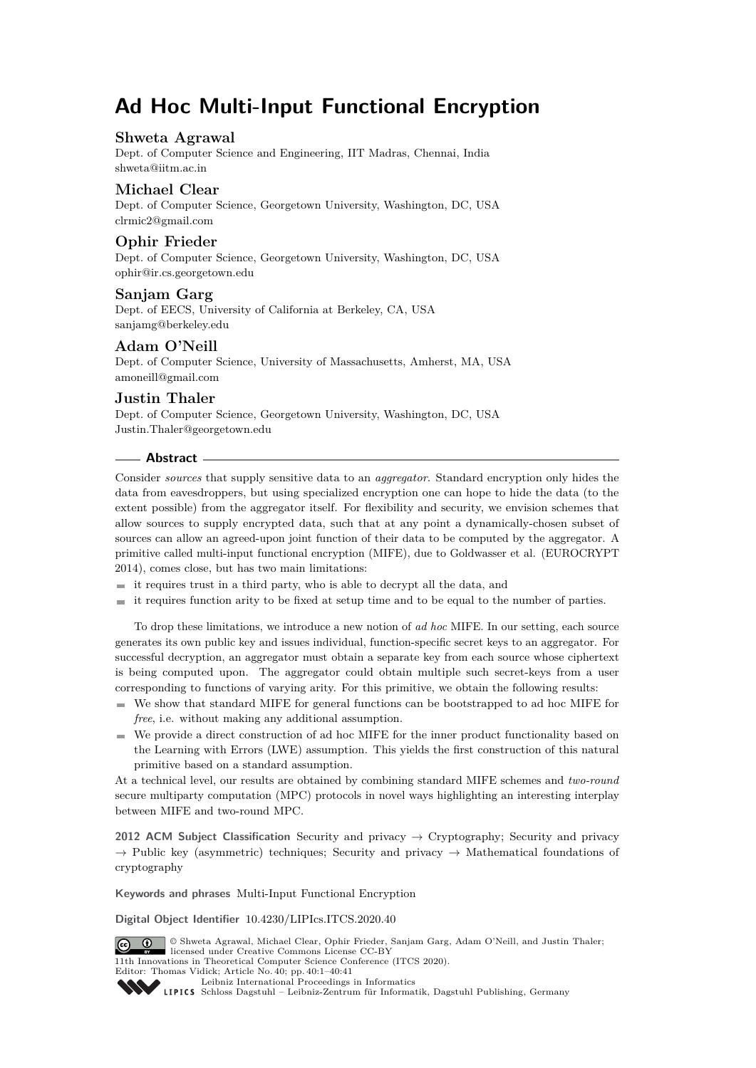# **Ad Hoc Multi-Input Functional Encryption**

### **Shweta Agrawal**

Dept. of Computer Science and Engineering, IIT Madras, Chennai, India [shweta@iitm.ac.in](mailto:shweta@iitm.ac.in)

# **Michael Clear**

Dept. of Computer Science, Georgetown University, Washington, DC, USA [clrmic2@gmail.com](mailto:clrmic2@gmail.com)

# **Ophir Frieder**

Dept. of Computer Science, Georgetown University, Washington, DC, USA [ophir@ir.cs.georgetown.edu](mailto:ophir@ir.cs.georgetown.edu)

### **Sanjam Garg**

Dept. of EECS, University of California at Berkeley, CA, USA [sanjamg@berkeley.edu](mailto:sanjamg@berkeley.edu)

# **Adam O'Neill**

Dept. of Computer Science, University of Massachusetts, Amherst, MA, USA [amoneill@gmail.com](mailto:amoneill@gmail.com)

# **Justin Thaler**

Dept. of Computer Science, Georgetown University, Washington, DC, USA [Justin.Thaler@georgetown.edu](mailto:Justin.Thaler@georgetown.edu)

### **Abstract**

Consider *sources* that supply sensitive data to an *aggregator*. Standard encryption only hides the data from eavesdroppers, but using specialized encryption one can hope to hide the data (to the extent possible) from the aggregator itself. For flexibility and security, we envision schemes that allow sources to supply encrypted data, such that at any point a dynamically-chosen subset of sources can allow an agreed-upon joint function of their data to be computed by the aggregator. A primitive called multi-input functional encryption (MIFE), due to Goldwasser et al. (EUROCRYPT 2014), comes close, but has two main limitations:

- $\equiv$  it requires trust in a third party, who is able to decrypt all the data, and
- $\equiv$  it requires function arity to be fixed at setup time and to be equal to the number of parties.

To drop these limitations, we introduce a new notion of *ad hoc* MIFE. In our setting, each source generates its own public key and issues individual, function-specific secret keys to an aggregator. For successful decryption, an aggregator must obtain a separate key from each source whose ciphertext is being computed upon. The aggregator could obtain multiple such secret-keys from a user corresponding to functions of varying arity. For this primitive, we obtain the following results:

- We show that standard MIFE for general functions can be bootstrapped to ad hoc MIFE for *free*, i.e. without making any additional assumption.
- We provide a direct construction of ad hoc MIFE for the inner product functionality based on the Learning with Errors (LWE) assumption. This yields the first construction of this natural primitive based on a standard assumption.

At a technical level, our results are obtained by combining standard MIFE schemes and *two-round* secure multiparty computation (MPC) protocols in novel ways highlighting an interesting interplay between MIFE and two-round MPC.

**2012 ACM Subject Classification** Security and privacy → Cryptography; Security and privacy  $\rightarrow$  Public key (asymmetric) techniques; Security and privacy  $\rightarrow$  Mathematical foundations of cryptography

**Keywords and phrases** Multi-Input Functional Encryption

**Digital Object Identifier** [10.4230/LIPIcs.ITCS.2020.40](https://doi.org/10.4230/LIPIcs.ITCS.2020.40)



[Leibniz International Proceedings in Informatics](https://www.dagstuhl.de/lipics/)

[Schloss Dagstuhl – Leibniz-Zentrum für Informatik, Dagstuhl Publishing, Germany](https://www.dagstuhl.de)

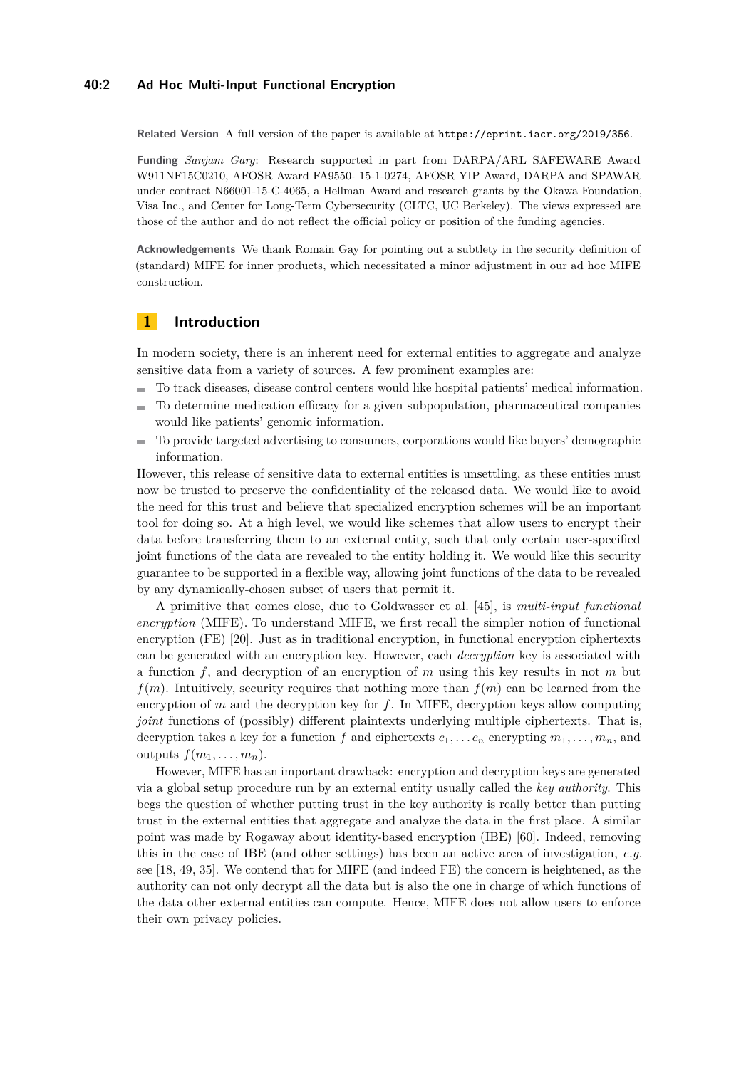#### **40:2 Ad Hoc Multi-Input Functional Encryption**

**Related Version** A full version of the paper is available at <https://eprint.iacr.org/2019/356>.

**Funding** *Sanjam Garg*: Research supported in part from DARPA/ARL SAFEWARE Award W911NF15C0210, AFOSR Award FA9550- 15-1-0274, AFOSR YIP Award, DARPA and SPAWAR under contract N66001-15-C-4065, a Hellman Award and research grants by the Okawa Foundation, Visa Inc., and Center for Long-Term Cybersecurity (CLTC, UC Berkeley). The views expressed are those of the author and do not reflect the official policy or position of the funding agencies.

**Acknowledgements** We thank Romain Gay for pointing out a subtlety in the security definition of (standard) MIFE for inner products, which necessitated a minor adjustment in our ad hoc MIFE construction.

# <span id="page-1-0"></span>**1 Introduction**

In modern society, there is an inherent need for external entities to aggregate and analyze sensitive data from a variety of sources. A few prominent examples are:

- To track diseases, disease control centers would like hospital patients' medical information.
- To determine medication efficacy for a given subpopulation, pharmaceutical companies  $\equiv$ would like patients' genomic information.
- To provide targeted advertising to consumers, corporations would like buyers' demographic  $\equiv$ information.

However, this release of sensitive data to external entities is unsettling, as these entities must now be trusted to preserve the confidentiality of the released data. We would like to avoid the need for this trust and believe that specialized encryption schemes will be an important tool for doing so. At a high level, we would like schemes that allow users to encrypt their data before transferring them to an external entity, such that only certain user-specified joint functions of the data are revealed to the entity holding it. We would like this security guarantee to be supported in a flexible way, allowing joint functions of the data to be revealed by any dynamically-chosen subset of users that permit it.

A primitive that comes close, due to Goldwasser et al. [\[45\]](#page-21-0), is *multi-input functional encryption* (MIFE). To understand MIFE, we first recall the simpler notion of functional encryption (FE) [\[20\]](#page-19-0). Just as in traditional encryption, in functional encryption ciphertexts can be generated with an encryption key. However, each *decryption* key is associated with a function *f*, and decryption of an encryption of *m* using this key results in not *m* but  $f(m)$ . Intuitively, security requires that nothing more than  $f(m)$  can be learned from the encryption of *m* and the decryption key for *f*. In MIFE, decryption keys allow computing *joint* functions of (possibly) different plaintexts underlying multiple ciphertexts. That is, decryption takes a key for a function *f* and ciphertexts  $c_1, \ldots c_n$  encrypting  $m_1, \ldots, m_n$ , and outputs  $f(m_1, \ldots, m_n)$ .

However, MIFE has an important drawback: encryption and decryption keys are generated via a global setup procedure run by an external entity usually called the *key authority*. This begs the question of whether putting trust in the key authority is really better than putting trust in the external entities that aggregate and analyze the data in the first place. A similar point was made by Rogaway about identity-based encryption (IBE) [\[60\]](#page-22-0). Indeed, removing this in the case of IBE (and other settings) has been an active area of investigation, *e.g.* see [\[18,](#page-19-1) [49,](#page-21-1) [35\]](#page-20-0). We contend that for MIFE (and indeed FE) the concern is heightened, as the authority can not only decrypt all the data but is also the one in charge of which functions of the data other external entities can compute. Hence, MIFE does not allow users to enforce their own privacy policies.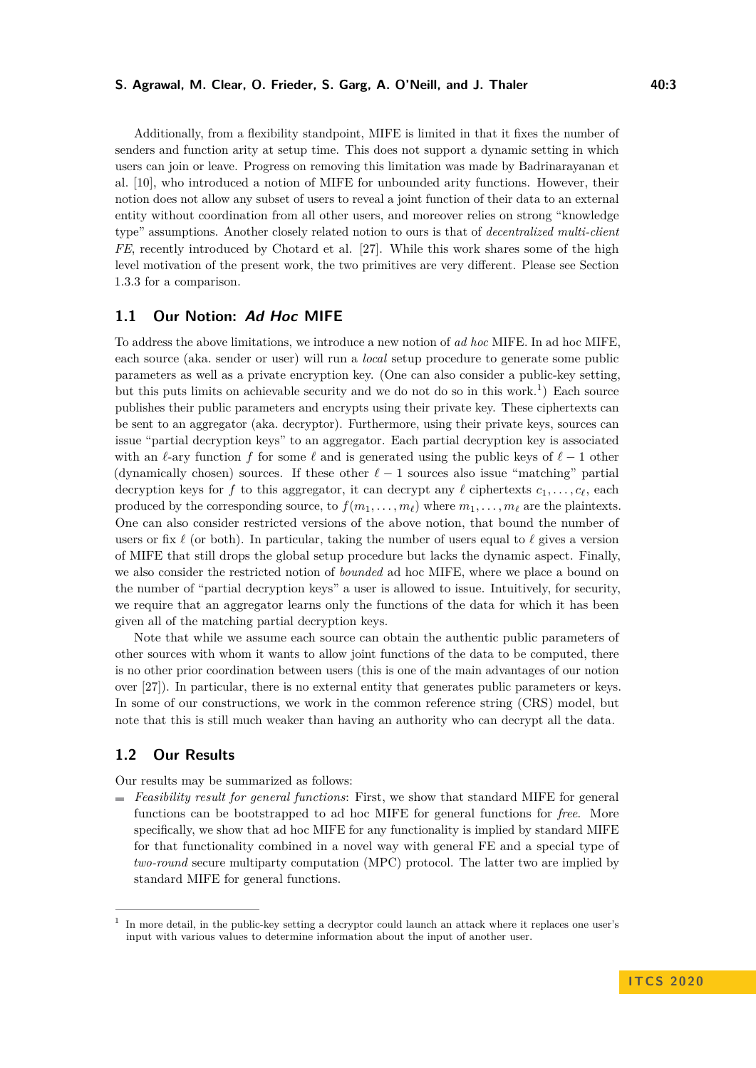#### **S. Agrawal, M. Clear, O. Frieder, S. Garg, A. O'Neill, and J. Thaler 40:3**

Additionally, from a flexibility standpoint, MIFE is limited in that it fixes the number of senders and function arity at setup time. This does not support a dynamic setting in which users can join or leave. Progress on removing this limitation was made by Badrinarayanan et al. [\[10\]](#page-19-2), who introduced a notion of MIFE for unbounded arity functions. However, their notion does not allow any subset of users to reveal a joint function of their data to an external entity without coordination from all other users, and moreover relies on strong "knowledge type" assumptions. Another closely related notion to ours is that of *decentralized multi-client FE*, recently introduced by Chotard et al. [\[27\]](#page-20-1). While this work shares some of the high level motivation of the present work, the two primitives are very different. Please see Section [1.3.3](#page-8-0) for a comparison.

### <span id="page-2-1"></span>**1.1 Our Notion: Ad Hoc MIFE**

To address the above limitations, we introduce a new notion of *ad hoc* MIFE. In ad hoc MIFE, each source (aka. sender or user) will run a *local* setup procedure to generate some public parameters as well as a private encryption key. (One can also consider a public-key setting, but this puts limits on achievable security and we do not do so in this work.<sup>[1](#page-2-0)</sup>) Each source publishes their public parameters and encrypts using their private key. These ciphertexts can be sent to an aggregator (aka. decryptor). Furthermore, using their private keys, sources can issue "partial decryption keys" to an aggregator. Each partial decryption key is associated with an  $\ell$ -ary function *f* for some  $\ell$  and is generated using the public keys of  $\ell - 1$  other (dynamically chosen) sources. If these other  $\ell - 1$  sources also issue "matching" partial decryption keys for *f* to this aggregator, it can decrypt any  $\ell$  ciphertexts  $c_1, \ldots, c_\ell$ , each produced by the corresponding source, to  $f(m_1, \ldots, m_\ell)$  where  $m_1, \ldots, m_\ell$  are the plaintexts. One can also consider restricted versions of the above notion, that bound the number of users or fix  $\ell$  (or both). In particular, taking the number of users equal to  $\ell$  gives a version of MIFE that still drops the global setup procedure but lacks the dynamic aspect. Finally, we also consider the restricted notion of *bounded* ad hoc MIFE, where we place a bound on the number of "partial decryption keys" a user is allowed to issue. Intuitively, for security, we require that an aggregator learns only the functions of the data for which it has been given all of the matching partial decryption keys.

Note that while we assume each source can obtain the authentic public parameters of other sources with whom it wants to allow joint functions of the data to be computed, there is no other prior coordination between users (this is one of the main advantages of our notion over [\[27\]](#page-20-1)). In particular, there is no external entity that generates public parameters or keys. In some of our constructions, we work in the common reference string (CRS) model, but note that this is still much weaker than having an authority who can decrypt all the data.

# **1.2 Our Results**

- Our results may be summarized as follows:
- *Feasibility result for general functions*: First, we show that standard MIFE for general functions can be bootstrapped to ad hoc MIFE for general functions for *free*. More specifically, we show that ad hoc MIFE for any functionality is implied by standard MIFE for that functionality combined in a novel way with general FE and a special type of *two-round* secure multiparty computation (MPC) protocol. The latter two are implied by standard MIFE for general functions.

<span id="page-2-0"></span><sup>1</sup> In more detail, in the public-key setting a decryptor could launch an attack where it replaces one user's input with various values to determine information about the input of another user.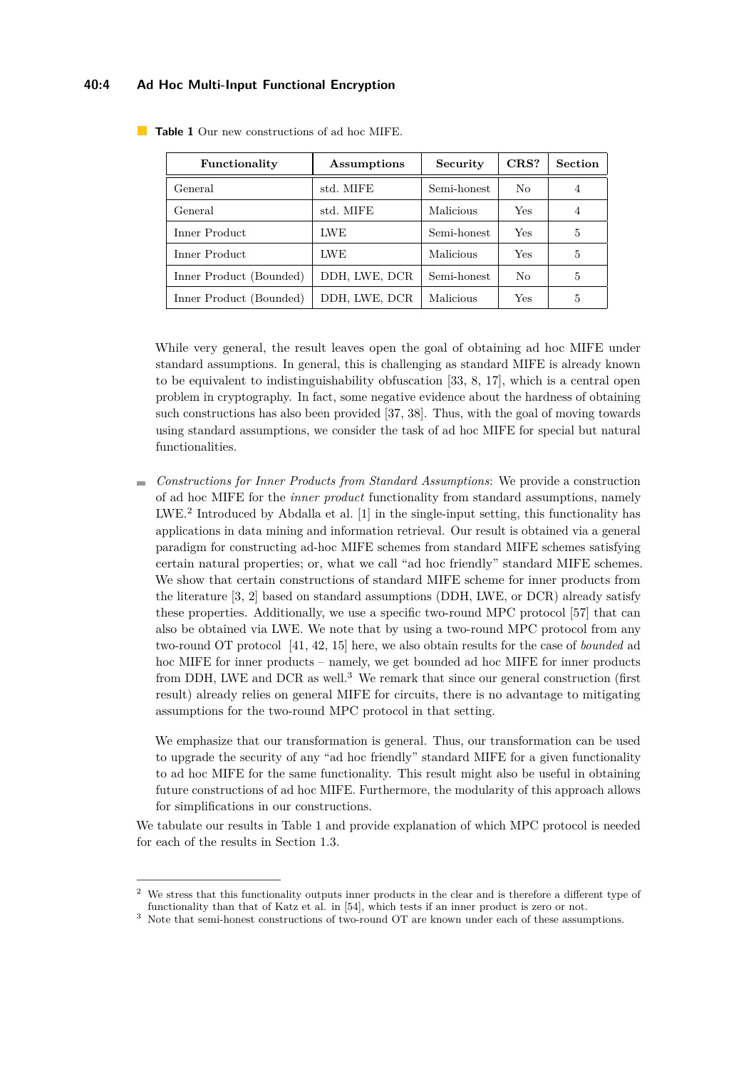#### **40:4 Ad Hoc Multi-Input Functional Encryption**

| Functionality           | Assumptions   | Security    | CRS? | <b>Section</b> |
|-------------------------|---------------|-------------|------|----------------|
| General                 | std. MIFE     | Semi-honest | No   | 4              |
| General                 | std. MIFE     | Malicious   | Yes  | 4              |
| Inner Product           | <b>LWE</b>    | Semi-honest | Yes  | 5              |
| Inner Product           | <b>LWE</b>    | Malicious   | Yes  | 5              |
| Inner Product (Bounded) | DDH, LWE, DCR | Semi-honest | No   | 5              |
| Inner Product (Bounded) | DDH, LWE, DCR | Malicious   | Yes  | 5              |

<span id="page-3-2"></span>**Table 1** Our new constructions of ad hoc MIFE.

While very general, the result leaves open the goal of obtaining ad hoc MIFE under standard assumptions. In general, this is challenging as standard MIFE is already known to be equivalent to indistinguishability obfuscation [\[33,](#page-20-2) [8,](#page-19-3) [17\]](#page-19-4), which is a central open problem in cryptography. In fact, some negative evidence about the hardness of obtaining such constructions has also been provided [\[37,](#page-20-3) [38\]](#page-21-2). Thus, with the goal of moving towards using standard assumptions, we consider the task of ad hoc MIFE for special but natural functionalities.

*Constructions for Inner Products from Standard Assumptions*: We provide a construction  $\overline{a}$ of ad hoc MIFE for the *inner product* functionality from standard assumptions, namely LWE.[2](#page-3-0) Introduced by Abdalla et al. [\[1\]](#page-18-0) in the single-input setting, this functionality has applications in data mining and information retrieval. Our result is obtained via a general paradigm for constructing ad-hoc MIFE schemes from standard MIFE schemes satisfying certain natural properties; or, what we call "ad hoc friendly" standard MIFE schemes. We show that certain constructions of standard MIFE scheme for inner products from the literature [\[3,](#page-18-1) [2\]](#page-18-2) based on standard assumptions (DDH, LWE, or DCR) already satisfy these properties. Additionally, we use a specific two-round MPC protocol [\[57\]](#page-22-1) that can also be obtained via LWE. We note that by using a two-round MPC protocol from any two-round OT protocol [\[41,](#page-21-3) [42,](#page-21-4) [15\]](#page-19-5) here, we also obtain results for the case of *bounded* ad hoc MIFE for inner products – namely, we get bounded ad hoc MIFE for inner products from DDH, LWE and DCR as well.<sup>[3](#page-3-1)</sup> We remark that since our general construction (first result) already relies on general MIFE for circuits, there is no advantage to mitigating assumptions for the two-round MPC protocol in that setting.

We emphasize that our transformation is general. Thus, our transformation can be used to upgrade the security of any "ad hoc friendly" standard MIFE for a given functionality to ad hoc MIFE for the same functionality. This result might also be useful in obtaining future constructions of ad hoc MIFE. Furthermore, the modularity of this approach allows for simplifications in our constructions.

We tabulate our results in Table [1](#page-3-2) and provide explanation of which MPC protocol is needed for each of the results in Section [1.3.](#page-4-0)

<span id="page-3-0"></span><sup>2</sup> We stress that this functionality outputs inner products in the clear and is therefore a different type of functionality than that of Katz et al. in [\[54\]](#page-22-2), which tests if an inner product is zero or not.

<span id="page-3-1"></span> $^3\,$  Note that semi-honest constructions of two-round OT are known under each of these assumptions.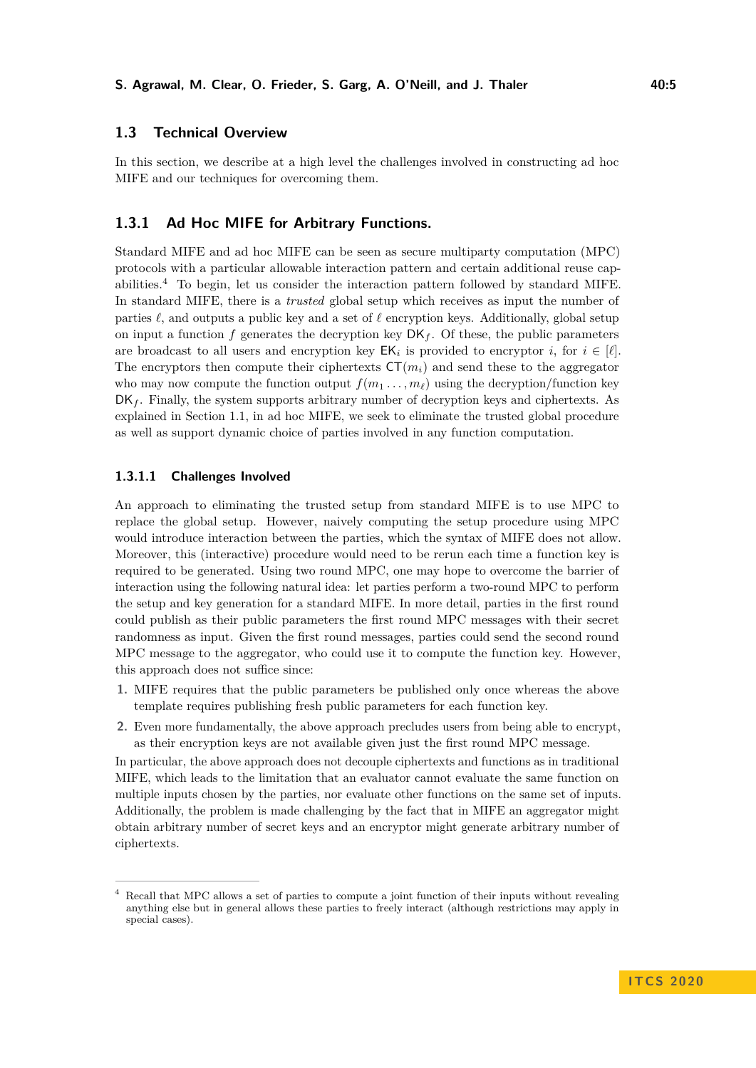# <span id="page-4-0"></span>**1.3 Technical Overview**

In this section, we describe at a high level the challenges involved in constructing ad hoc MIFE and our techniques for overcoming them.

### **1.3.1 Ad Hoc MIFE for Arbitrary Functions.**

Standard MIFE and ad hoc MIFE can be seen as secure multiparty computation (MPC) protocols with a particular allowable interaction pattern and certain additional reuse capabilities.[4](#page-4-1) To begin, let us consider the interaction pattern followed by standard MIFE. In standard MIFE, there is a *trusted* global setup which receives as input the number of parties  $\ell$ , and outputs a public key and a set of  $\ell$  encryption keys. Additionally, global setup on input a function  $f$  generates the decryption key  $DK_f$ . Of these, the public parameters are broadcast to all users and encryption key  $EK_i$  is provided to encryptor *i*, for  $i \in [\ell].$ The encryptors then compute their ciphertexts  $CT(m_i)$  and send these to the aggregator who may now compute the function output  $f(m_1, \ldots, m_\ell)$  using the decryption/function key  $DK_f$ . Finally, the system supports arbitrary number of decryption keys and ciphertexts. As explained in Section [1.1,](#page-2-1) in ad hoc MIFE, we seek to eliminate the trusted global procedure as well as support dynamic choice of parties involved in any function computation.

### **1.3.1.1 Challenges Involved**

An approach to eliminating the trusted setup from standard MIFE is to use MPC to replace the global setup. However, naively computing the setup procedure using MPC would introduce interaction between the parties, which the syntax of MIFE does not allow. Moreover, this (interactive) procedure would need to be rerun each time a function key is required to be generated. Using two round MPC, one may hope to overcome the barrier of interaction using the following natural idea: let parties perform a two-round MPC to perform the setup and key generation for a standard MIFE. In more detail, parties in the first round could publish as their public parameters the first round MPC messages with their secret randomness as input. Given the first round messages, parties could send the second round MPC message to the aggregator, who could use it to compute the function key. However, this approach does not suffice since:

- **1.** MIFE requires that the public parameters be published only once whereas the above template requires publishing fresh public parameters for each function key.
- **2.** Even more fundamentally, the above approach precludes users from being able to encrypt, as their encryption keys are not available given just the first round MPC message.

In particular, the above approach does not decouple ciphertexts and functions as in traditional MIFE, which leads to the limitation that an evaluator cannot evaluate the same function on multiple inputs chosen by the parties, nor evaluate other functions on the same set of inputs. Additionally, the problem is made challenging by the fact that in MIFE an aggregator might obtain arbitrary number of secret keys and an encryptor might generate arbitrary number of ciphertexts.

<span id="page-4-1"></span><sup>4</sup> Recall that MPC allows a set of parties to compute a joint function of their inputs without revealing anything else but in general allows these parties to freely interact (although restrictions may apply in special cases).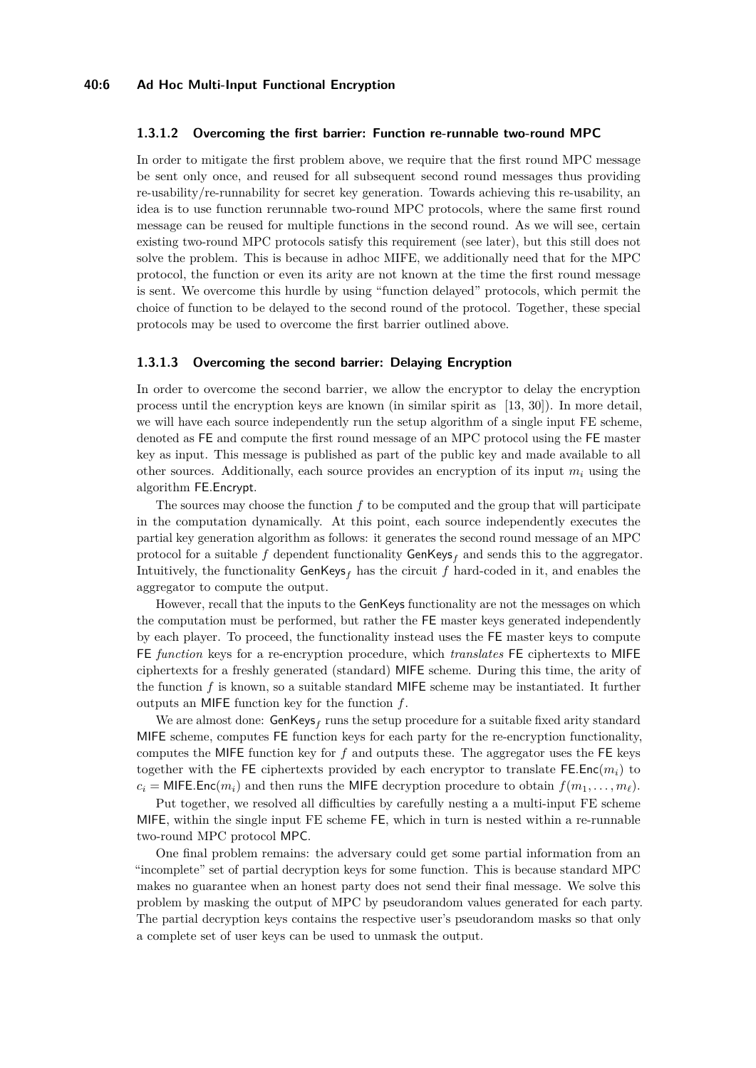#### **1.3.1.2 Overcoming the first barrier: Function re-runnable two-round MPC**

In order to mitigate the first problem above, we require that the first round MPC message be sent only once, and reused for all subsequent second round messages thus providing re-usability/re-runnability for secret key generation. Towards achieving this re-usability, an idea is to use function rerunnable two-round MPC protocols, where the same first round message can be reused for multiple functions in the second round. As we will see, certain existing two-round MPC protocols satisfy this requirement (see later), but this still does not solve the problem. This is because in adhoc MIFE, we additionally need that for the MPC protocol, the function or even its arity are not known at the time the first round message is sent. We overcome this hurdle by using "function delayed" protocols, which permit the choice of function to be delayed to the second round of the protocol. Together, these special protocols may be used to overcome the first barrier outlined above.

#### **1.3.1.3 Overcoming the second barrier: Delaying Encryption**

In order to overcome the second barrier, we allow the encryptor to delay the encryption process until the encryption keys are known (in similar spirit as [\[13,](#page-19-6) [30\]](#page-20-4)). In more detail, we will have each source independently run the setup algorithm of a single input FE scheme, denoted as FE and compute the first round message of an MPC protocol using the FE master key as input. This message is published as part of the public key and made available to all other sources. Additionally, each source provides an encryption of its input *m<sup>i</sup>* using the algorithm FE*.*Encrypt.

The sources may choose the function *f* to be computed and the group that will participate in the computation dynamically. At this point, each source independently executes the partial key generation algorithm as follows: it generates the second round message of an MPC protocol for a suitable f dependent functionality  $GenKeys<sub>f</sub>$  and sends this to the aggregator. Intuitively, the functionality  $\mathsf{GenKeys}_f$  has the circuit  $f$  hard-coded in it, and enables the aggregator to compute the output.

However, recall that the inputs to the GenKeys functionality are not the messages on which the computation must be performed, but rather the FE master keys generated independently by each player. To proceed, the functionality instead uses the FE master keys to compute FE *function* keys for a re-encryption procedure, which *translates* FE ciphertexts to MIFE ciphertexts for a freshly generated (standard) MIFE scheme. During this time, the arity of the function *f* is known, so a suitable standard MIFE scheme may be instantiated. It further outputs an MIFE function key for the function *f*.

We are almost done:  $\mathsf{GenKeys}_f$  runs the setup procedure for a suitable fixed arity standard MIFE scheme, computes FE function keys for each party for the re-encryption functionality, computes the MIFE function key for *f* and outputs these. The aggregator uses the FE keys together with the FE ciphertexts provided by each encryptor to translate FE.Enc $(m_i)$  to  $c_i =$  MIFE. Enc $(m_i)$  and then runs the MIFE decryption procedure to obtain  $f(m_1, \ldots, m_\ell)$ .

Put together, we resolved all difficulties by carefully nesting a a multi-input FE scheme MIFE, within the single input FE scheme FE, which in turn is nested within a re-runnable two-round MPC protocol MPC.

One final problem remains: the adversary could get some partial information from an "incomplete" set of partial decryption keys for some function. This is because standard MPC makes no guarantee when an honest party does not send their final message. We solve this problem by masking the output of MPC by pseudorandom values generated for each party. The partial decryption keys contains the respective user's pseudorandom masks so that only a complete set of user keys can be used to unmask the output.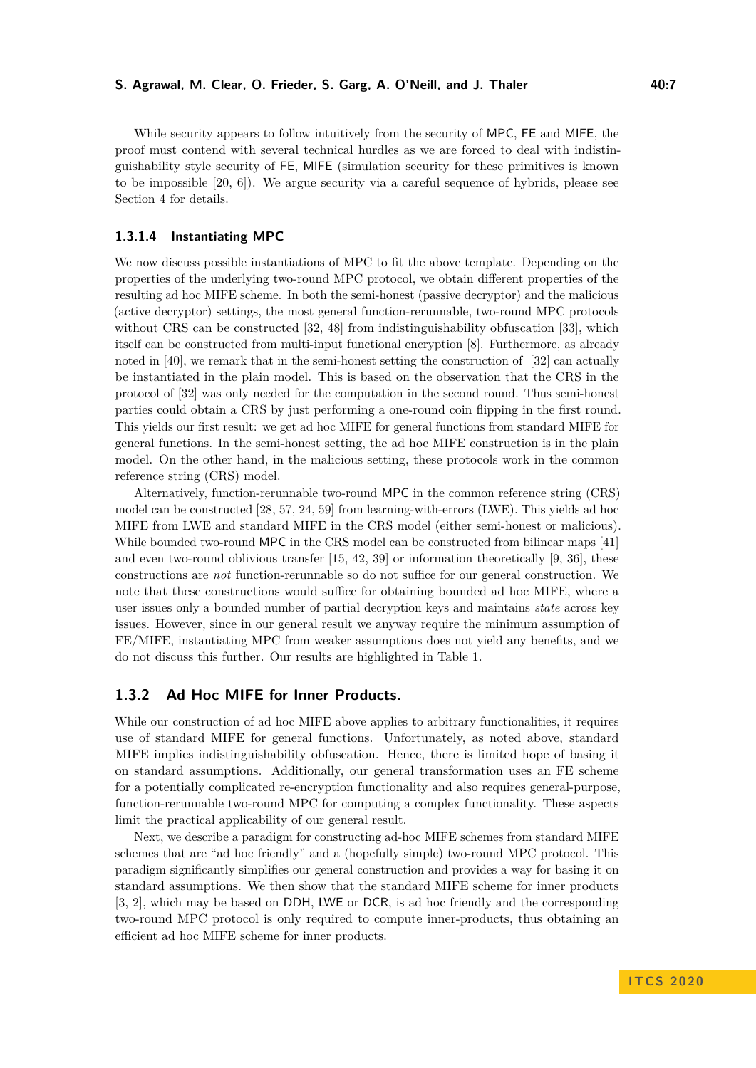While security appears to follow intuitively from the security of MPC, FE and MIFE, the proof must contend with several technical hurdles as we are forced to deal with indistinguishability style security of FE, MIFE (simulation security for these primitives is known to be impossible [\[20,](#page-19-0) [6\]](#page-18-3)). We argue security via a careful sequence of hybrids, please see Section [4](#page-11-0) for details.

#### **1.3.1.4 Instantiating MPC**

We now discuss possible instantiations of MPC to fit the above template. Depending on the properties of the underlying two-round MPC protocol, we obtain different properties of the resulting ad hoc MIFE scheme. In both the semi-honest (passive decryptor) and the malicious (active decryptor) settings, the most general function-rerunnable, two-round MPC protocols without CRS can be constructed [\[32,](#page-20-5) [48\]](#page-21-5) from indistinguishability obfuscation [\[33\]](#page-20-2), which itself can be constructed from multi-input functional encryption [\[8\]](#page-19-3). Furthermore, as already noted in [\[40\]](#page-21-6), we remark that in the semi-honest setting the construction of [\[32\]](#page-20-5) can actually be instantiated in the plain model. This is based on the observation that the CRS in the protocol of [\[32\]](#page-20-5) was only needed for the computation in the second round. Thus semi-honest parties could obtain a CRS by just performing a one-round coin flipping in the first round. This yields our first result: we get ad hoc MIFE for general functions from standard MIFE for general functions. In the semi-honest setting, the ad hoc MIFE construction is in the plain model. On the other hand, in the malicious setting, these protocols work in the common reference string (CRS) model.

Alternatively, function-rerunnable two-round MPC in the common reference string (CRS) model can be constructed [\[28,](#page-20-6) [57,](#page-22-1) [24,](#page-20-7) [59\]](#page-22-3) from learning-with-errors (LWE). This yields ad hoc MIFE from LWE and standard MIFE in the CRS model (either semi-honest or malicious). While bounded two-round MPC in the CRS model can be constructed from bilinear maps [\[41\]](#page-21-3) and even two-round oblivious transfer [\[15,](#page-19-5) [42,](#page-21-4) [39\]](#page-21-7) or information theoretically [\[9,](#page-19-7) [36\]](#page-20-8), these constructions are *not* function-rerunnable so do not suffice for our general construction. We note that these constructions would suffice for obtaining bounded ad hoc MIFE, where a user issues only a bounded number of partial decryption keys and maintains *state* across key issues. However, since in our general result we anyway require the minimum assumption of FE/MIFE, instantiating MPC from weaker assumptions does not yield any benefits, and we do not discuss this further. Our results are highlighted in Table [1.](#page-3-2)

# **1.3.2 Ad Hoc MIFE for Inner Products.**

While our construction of ad hoc MIFE above applies to arbitrary functionalities, it requires use of standard MIFE for general functions. Unfortunately, as noted above, standard MIFE implies indistinguishability obfuscation. Hence, there is limited hope of basing it on standard assumptions. Additionally, our general transformation uses an FE scheme for a potentially complicated re-encryption functionality and also requires general-purpose, function-rerunnable two-round MPC for computing a complex functionality. These aspects limit the practical applicability of our general result.

Next, we describe a paradigm for constructing ad-hoc MIFE schemes from standard MIFE schemes that are "ad hoc friendly" and a (hopefully simple) two-round MPC protocol. This paradigm significantly simplifies our general construction and provides a way for basing it on standard assumptions. We then show that the standard MIFE scheme for inner products [\[3,](#page-18-1) [2\]](#page-18-2), which may be based on DDH, LWE or DCR, is ad hoc friendly and the corresponding two-round MPC protocol is only required to compute inner-products, thus obtaining an efficient ad hoc MIFE scheme for inner products.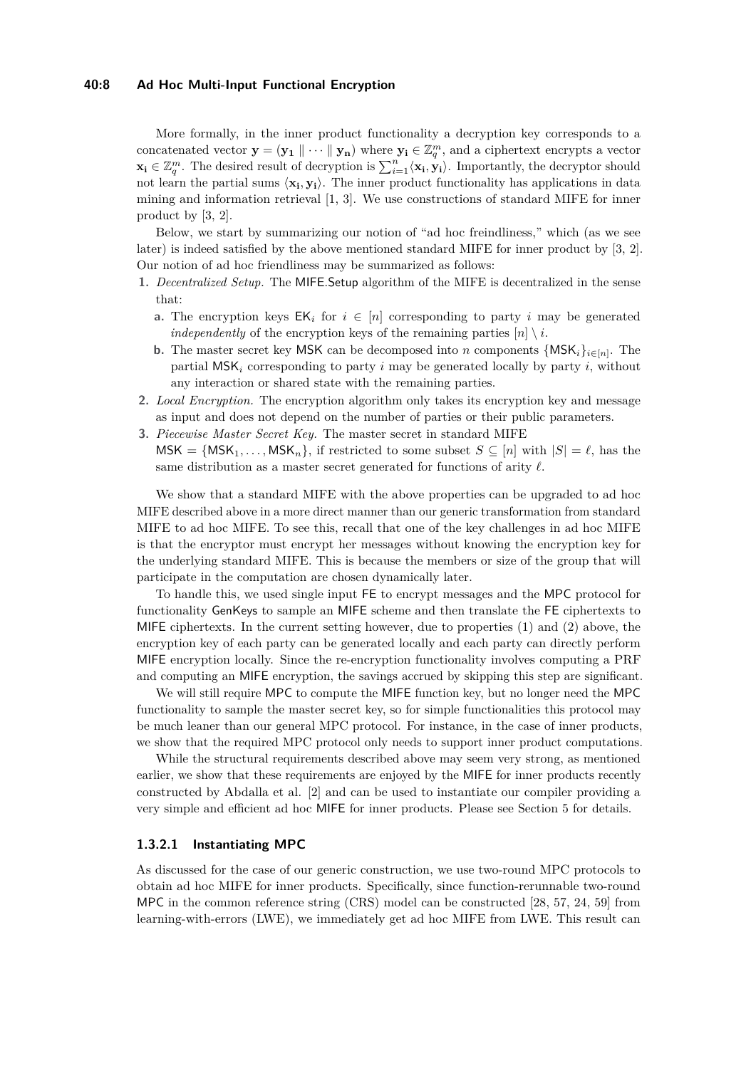#### **40:8 Ad Hoc Multi-Input Functional Encryption**

More formally, in the inner product functionality a decryption key corresponds to a concatenated vector  $\mathbf{y} = (\mathbf{y_1} \parallel \cdots \parallel \mathbf{y_n})$  where  $\mathbf{y_i} \in \mathbb{Z}_q^m$ , and a ciphertext encrypts a vector **x**<sub>**i**</sub> ∈  $\mathbb{Z}_q^m$ . The desired result of decryption is  $\sum_{i=1}^n \langle \mathbf{x_i}, \mathbf{y_i} \rangle$ . Importantly, the decryptor should not learn the partial sums  $\langle x_i, y_i \rangle$ . The inner product functionality has applications in data mining and information retrieval [\[1,](#page-18-0) [3\]](#page-18-1). We use constructions of standard MIFE for inner product by [\[3,](#page-18-1) [2\]](#page-18-2).

Below, we start by summarizing our notion of "ad hoc freindliness," which (as we see later) is indeed satisfied by the above mentioned standard MIFE for inner product by [\[3,](#page-18-1) [2\]](#page-18-2). Our notion of ad hoc friendliness may be summarized as follows:

- **1.** *Decentralized Setup.* The MIFE*.*Setup algorithm of the MIFE is decentralized in the sense that:
	- **a.** The encryption keys  $EK_i$  for  $i \in [n]$  corresponding to party *i* may be generated *independently* of the encryption keys of the remaining parties  $[n] \setminus i$ .
	- **b.** The master secret key MSK can be decomposed into *n* components  $\{MSK_i\}_{i \in [n]}$ . The partial MSK*<sup>i</sup>* corresponding to party *i* may be generated locally by party *i*, without any interaction or shared state with the remaining parties.
- **2.** *Local Encryption.* The encryption algorithm only takes its encryption key and message as input and does not depend on the number of parties or their public parameters.
- **3.** *Piecewise Master Secret Key.* The master secret in standard MIFE  $MSK = \{MSK_1, \ldots, MSK_n\}$ , if restricted to some subset  $S \subseteq [n]$  with  $|S| = \ell$ , has the same distribution as a master secret generated for functions of arity  $\ell$ .

We show that a standard MIFE with the above properties can be upgraded to ad hoc MIFE described above in a more direct manner than our generic transformation from standard MIFE to ad hoc MIFE. To see this, recall that one of the key challenges in ad hoc MIFE is that the encryptor must encrypt her messages without knowing the encryption key for the underlying standard MIFE. This is because the members or size of the group that will participate in the computation are chosen dynamically later.

To handle this, we used single input FE to encrypt messages and the MPC protocol for functionality GenKeys to sample an MIFE scheme and then translate the FE ciphertexts to MIFE ciphertexts. In the current setting however, due to properties (1) and (2) above, the encryption key of each party can be generated locally and each party can directly perform MIFE encryption locally. Since the re-encryption functionality involves computing a PRF and computing an MIFE encryption, the savings accrued by skipping this step are significant.

We will still require MPC to compute the MIFE function key, but no longer need the MPC functionality to sample the master secret key, so for simple functionalities this protocol may be much leaner than our general MPC protocol. For instance, in the case of inner products, we show that the required MPC protocol only needs to support inner product computations.

While the structural requirements described above may seem very strong, as mentioned earlier, we show that these requirements are enjoyed by the MIFE for inner products recently constructed by Abdalla et al. [\[2\]](#page-18-2) and can be used to instantiate our compiler providing a very simple and efficient ad hoc MIFE for inner products. Please see Section [5](#page-14-0) for details.

### **1.3.2.1 Instantiating MPC**

As discussed for the case of our generic construction, we use two-round MPC protocols to obtain ad hoc MIFE for inner products. Specifically, since function-rerunnable two-round MPC in the common reference string (CRS) model can be constructed [\[28,](#page-20-6) [57,](#page-22-1) [24,](#page-20-7) [59\]](#page-22-3) from learning-with-errors (LWE), we immediately get ad hoc MIFE from LWE. This result can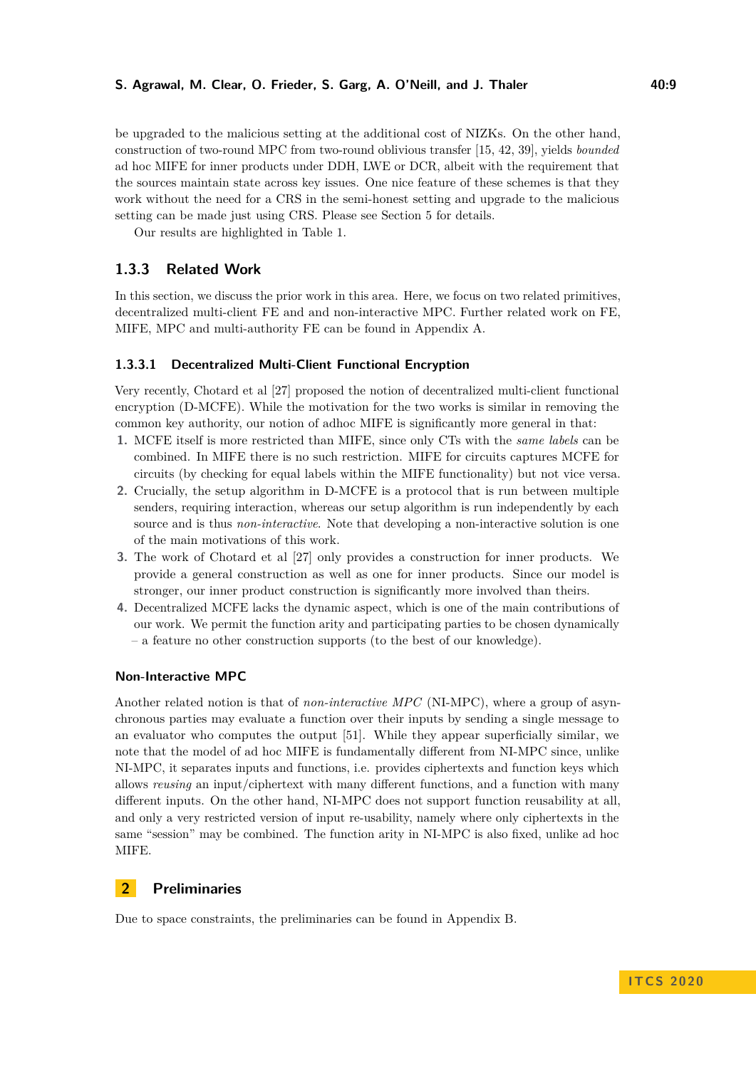be upgraded to the malicious setting at the additional cost of NIZKs. On the other hand, construction of two-round MPC from two-round oblivious transfer [\[15,](#page-19-5) [42,](#page-21-4) [39\]](#page-21-7), yields *bounded* ad hoc MIFE for inner products under DDH, LWE or DCR, albeit with the requirement that the sources maintain state across key issues. One nice feature of these schemes is that they work without the need for a CRS in the semi-honest setting and upgrade to the malicious setting can be made just using CRS. Please see Section [5](#page-14-0) for details.

Our results are highlighted in Table [1.](#page-3-2)

# <span id="page-8-0"></span>**1.3.3 Related Work**

In this section, we discuss the prior work in this area. Here, we focus on two related primitives, decentralized multi-client FE and and non-interactive MPC. Further related work on FE, MIFE, MPC and multi-authority FE can be found in Appendix [A.](#page-22-4)

#### **1.3.3.1 Decentralized Multi-Client Functional Encryption**

Very recently, Chotard et al [\[27\]](#page-20-1) proposed the notion of decentralized multi-client functional encryption (D-MCFE). While the motivation for the two works is similar in removing the common key authority, our notion of adhoc MIFE is significantly more general in that:

- **1.** MCFE itself is more restricted than MIFE, since only CTs with the *same labels* can be combined. In MIFE there is no such restriction. MIFE for circuits captures MCFE for circuits (by checking for equal labels within the MIFE functionality) but not vice versa.
- **2.** Crucially, the setup algorithm in D-MCFE is a protocol that is run between multiple senders, requiring interaction, whereas our setup algorithm is run independently by each source and is thus *non-interactive*. Note that developing a non-interactive solution is one of the main motivations of this work.
- **3.** The work of Chotard et al [\[27\]](#page-20-1) only provides a construction for inner products. We provide a general construction as well as one for inner products. Since our model is stronger, our inner product construction is significantly more involved than theirs.
- **4.** Decentralized MCFE lacks the dynamic aspect, which is one of the main contributions of our work. We permit the function arity and participating parties to be chosen dynamically – a feature no other construction supports (to the best of our knowledge).

### **Non-Interactive MPC**

Another related notion is that of *non-interactive MPC* (NI-MPC), where a group of asynchronous parties may evaluate a function over their inputs by sending a single message to an evaluator who computes the output [\[51\]](#page-21-8). While they appear superficially similar, we note that the model of ad hoc MIFE is fundamentally different from NI-MPC since, unlike NI-MPC, it separates inputs and functions, i.e. provides ciphertexts and function keys which allows *reusing* an input/ciphertext with many different functions, and a function with many different inputs. On the other hand, NI-MPC does not support function reusability at all, and only a very restricted version of input re-usability, namely where only ciphertexts in the same "session" may be combined. The function arity in NI-MPC is also fixed, unlike ad hoc MIFE.

# **2 Preliminaries**

Due to space constraints, the preliminaries can be found in Appendix [B.](#page-23-0)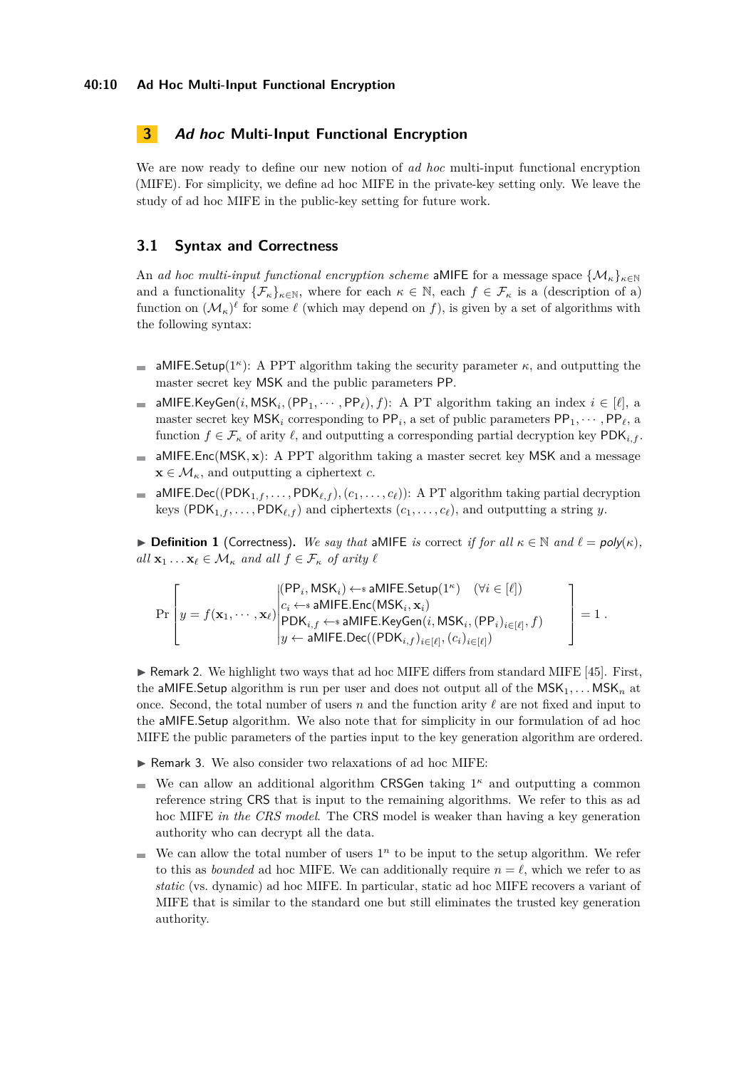# **3 Ad hoc Multi-Input Functional Encryption**

We are now ready to define our new notion of *ad hoc* multi-input functional encryption (MIFE). For simplicity, we define ad hoc MIFE in the private-key setting only. We leave the study of ad hoc MIFE in the public-key setting for future work.

# **3.1 Syntax and Correctness**

An *ad hoc multi-input functional encryption scheme* aMIFE for a message space  $\{M_{\kappa}\}_{\kappa\in\mathbb{N}}$ and a functionality  $\{\mathcal{F}_\kappa\}_{\kappa \in \mathbb{N}}$ , where for each  $\kappa \in \mathbb{N}$ , each  $f \in \mathcal{F}_\kappa$  is a (description of a) function on  $(M_\kappa)^\ell$  for some  $\ell$  (which may depend on f), is given by a set of algorithms with the following syntax:

- aMIFE.Setup( $1^{\kappa}$ ): A PPT algorithm taking the security parameter  $\kappa$ , and outputting the  $\bar{a}$ master secret key MSK and the public parameters PP.
- aMIFE.KeyGen(*i*, MSK<sub>i</sub>, (PP<sub>1</sub>,  $\cdots$ , PP<sub>l</sub>), *f*): A PT algorithm taking an index  $i \in [\ell]$ , a m. master secret key  $MSK_i$  corresponding to  $PP_i$ , a set of public parameters  $PP_1, \cdots, PP_\ell$ , a function  $f \in \mathcal{F}_\kappa$  of arity  $\ell$ , and outputting a corresponding partial decryption key PDK<sub>*i,f*</sub>.
- aMIFE*.*Enc(MSK*,* **x**): A PPT algorithm taking a master secret key MSK and a message  $\equiv$  $\mathbf{x} \in \mathcal{M}_{\kappa}$ , and outputting a ciphertext *c*.
- **a** aMIFE<sub>.</sub>Dec((PDK<sub>1*,f*</sub>,...,PDK<sub>*t,f*</sub>),(*c*<sub>1</sub>,...,*c*<sub>*t*</sub>)): A PT algorithm taking partial decryption keys (PDK<sub>1*,f*</sub>,...,PDK<sub> $\ell$ ,f</sub>) and ciphertexts ( $c_1$ ,..., $c_\ell$ ), and outputting a string *y*.

**► Definition 1** (Correctness). We say that aMIFE is correct if for all  $\kappa \in \mathbb{N}$  and  $\ell = poly(\kappa)$ ,  $all \mathbf{x}_1 \dots \mathbf{x}_\ell \in \mathcal{M}_\kappa$  *and all*  $f \in \mathcal{F}_\kappa$  *of arity*  $\ell$ 

$$
\Pr\left[y = f(\mathbf{x}_1, \cdots, \mathbf{x}_\ell) \middle| \begin{aligned}[t] & ( \mathsf{PP}_i, \mathsf{MSK}_i) \mathop{\leftarrow} \mathsf{s} \text{ aMIFE}.\mathsf{Setup}(1^\kappa) \quad (\forall i \in [\ell]) \\ & c_i \mathop{\leftarrow} \mathsf{s} \text{ aMIFE}.\mathsf{Enc}(\mathsf{MSK}_i, \mathbf{x}_i) \\ & \mathsf{PDK}_{i,f} \mathop{\leftarrow} \mathsf{s} \text{ aMIFE}.\mathsf{KeyGen}(i, \mathsf{MSK}_i, (\mathsf{PP}_i)_{i \in [\ell]}, f) \\ & y \mathop{\leftarrow} \mathsf{ aMIFE}.\mathsf{Dec}((\mathsf{PDK}_{i,f})_{i \in [\ell]}, (c_i)_{i \in [\ell]}) \end{aligned}\right] = 1 \; .
$$

 $\triangleright$  Remark 2. We highlight two ways that ad hoc MIFE differs from standard MIFE [\[45\]](#page-21-0). First, the aMIFE. Setup algorithm is run per user and does not output all of the  $MSK_1, \ldots MSK_n$  at once. Second, the total number of users  $n$  and the function arity  $\ell$  are not fixed and input to the aMIFE*.*Setup algorithm. We also note that for simplicity in our formulation of ad hoc MIFE the public parameters of the parties input to the key generation algorithm are ordered.

- $\triangleright$  Remark 3. We also consider two relaxations of ad hoc MIFE:
- We can allow an additional algorithm CRSGen taking  $1<sup>\kappa</sup>$  and outputting a common  $\blacksquare$ reference string CRS that is input to the remaining algorithms. We refer to this as ad hoc MIFE *in the CRS model*. The CRS model is weaker than having a key generation authority who can decrypt all the data.
- We can allow the total number of users  $1<sup>n</sup>$  to be input to the setup algorithm. We refer to this as *bounded* ad hoc MIFE. We can additionally require  $n = \ell$ , which we refer to as *static* (vs. dynamic) ad hoc MIFE. In particular, static ad hoc MIFE recovers a variant of MIFE that is similar to the standard one but still eliminates the trusted key generation authority.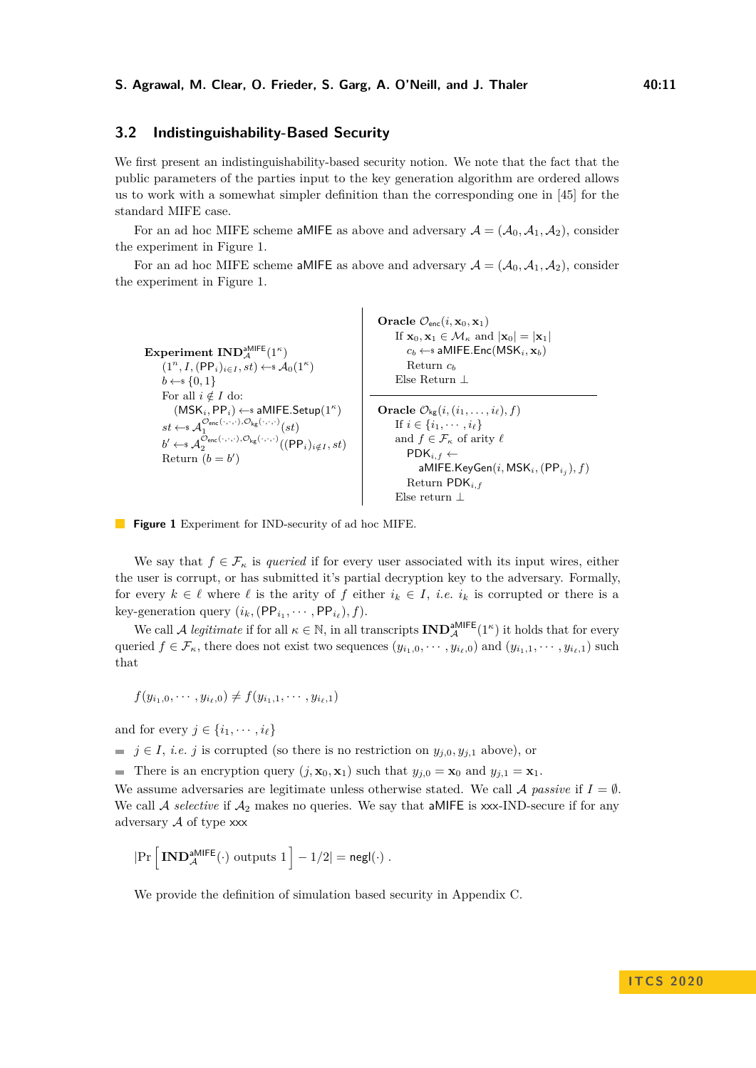### **3.2 Indistinguishability-Based Security**

We first present an indistinguishability-based security notion. We note that the fact that the public parameters of the parties input to the key generation algorithm are ordered allows us to work with a somewhat simpler definition than the corresponding one in [\[45\]](#page-21-0) for the standard MIFE case.

For an ad hoc MIFE scheme aMIFE as above and adversary  $A = (\mathcal{A}_0, \mathcal{A}_1, \mathcal{A}_2)$ , consider the experiment in Figure [1.](#page-10-0)

For an ad hoc MIFE scheme aMIFE as above and adversary  $A = (\mathcal{A}_0, \mathcal{A}_1, \mathcal{A}_2)$ , consider the experiment in Figure [1.](#page-10-0)

<span id="page-10-0"></span> $\mathbf{Experiment~IND}_{\mathcal{A}}^{\mathsf{aMIEE}}(1^{\kappa})$  $(1^n, I, (\text{PP}_i)_{i \in I}, st) \leftarrow \mathcal{A}_0(1^\kappa)$  $b \leftarrow s \{0, 1\}$ For all  $i \notin I$  do: (MSK*i,* PP*i*) ←\$ aMIFE*.*Setup(1*<sup>κ</sup>* )  $st \leftarrow \mathcal{A}_1^{\mathcal{O}_{\mathsf{enc}}(\cdot,\cdot,\cdot),\mathcal{O}_{\mathsf{kg}}(\cdot,\cdot,\cdot)}(st)$  $b' \leftarrow \mathcal{A}_2^{\mathcal{O}_{\mathsf{enc}}(\cdot,\cdot,\cdot),\mathcal{O}_{\mathsf{kg}}(\cdot,\cdot,\cdot)}((\mathsf{PP}_i)_{i \notin I}, st)$ Return  $(b = b')$  $\mathbf{Oracle} \ \mathcal{O}_{\mathsf{enc}}(i, \mathbf{x}_0, \mathbf{x}_1)$ If  $\mathbf{x}_0, \mathbf{x}_1 \in \mathcal{M}_\kappa$  and  $|\mathbf{x}_0| = |\mathbf{x}_1|$  $c_b \leftarrow$  aMIFE.Enc(MSK<sub>*i*</sub></sub>,  $\mathbf{x}_b$ ) Return *c<sup>b</sup>* Else Return ⊥ **Oracle**  $\mathcal{O}_{\mathsf{kg}}(i, (i_1, \ldots, i_\ell), f)$ If  $i \in \{i_1, \dots, i_\ell\}$ and  $f \in \mathcal{F}_\kappa$  of arity  $\ell$  $PDK_{i,f} \leftarrow$ aMIFE*.*KeyGen(*i,* MSK*i,*(PP*<sup>i</sup><sup>j</sup>* )*, f*) Return PDK*i,f* Else return ⊥



We say that  $f \in \mathcal{F}_{\kappa}$  is *queried* if for every user associated with its input wires, either the user is corrupt, or has submitted it's partial decryption key to the adversary. Formally, for every  $k \in \ell$  where  $\ell$  is the arity of  $f$  either  $i_k \in I$ , *i.e.*  $i_k$  is corrupted or there is a key-generation query  $(i_k, (\text{PP}_{i_1}, \cdots, \text{PP}_{i_\ell}), f)$ .

We call A *legitimate* if for all  $\kappa \in \mathbb{N}$ , in all transcripts  $\text{IND}_{\mathcal{A}}^{\text{aMIEE}}(1^{\kappa})$  it holds that for every queried  $f \in \mathcal{F}_{\kappa}$ , there does not exist two sequences  $(y_{i_1,0},\cdots,y_{i_\ell,0})$  and  $(y_{i_1,1},\cdots,y_{i_\ell,1})$  such that

$$
f(y_{i_1,0},\cdots,y_{i_\ell,0})\neq f(y_{i_1,1},\cdots,y_{i_\ell,1})
$$

and for every  $j \in \{i_1, \dots, i_\ell\}$ 

*j*  $\in$  *j*, *i.e. j* is corrupted (so there is no restriction on  $y_{j,0}, y_{j,1}$  above), or

There is an encryption query  $(j, \mathbf{x}_0, \mathbf{x}_1)$  such that  $y_{j,0} = \mathbf{x}_0$  and  $y_{j,1} = \mathbf{x}_1$ .

We assume adversaries are legitimate unless otherwise stated. We call  $\mathcal A$  *passive* if  $I = \emptyset$ . We call  $A$  *selective* if  $A_2$  makes no queries. We say that aMIFE is xxx-IND-secure if for any adversary  $A$  of type  $xxx$ 

$$
|\mathrm{Pr}\left[\,\mathbf{IND}_{\mathcal{A}}^{\mathsf{aMIEE}}(\cdot)\,\,\text{outputs}\,\,1\,\right]-1/2|=\mathsf{negl}(\cdot)\;.
$$

We provide the definition of simulation based security in Appendix [C.](#page-29-0)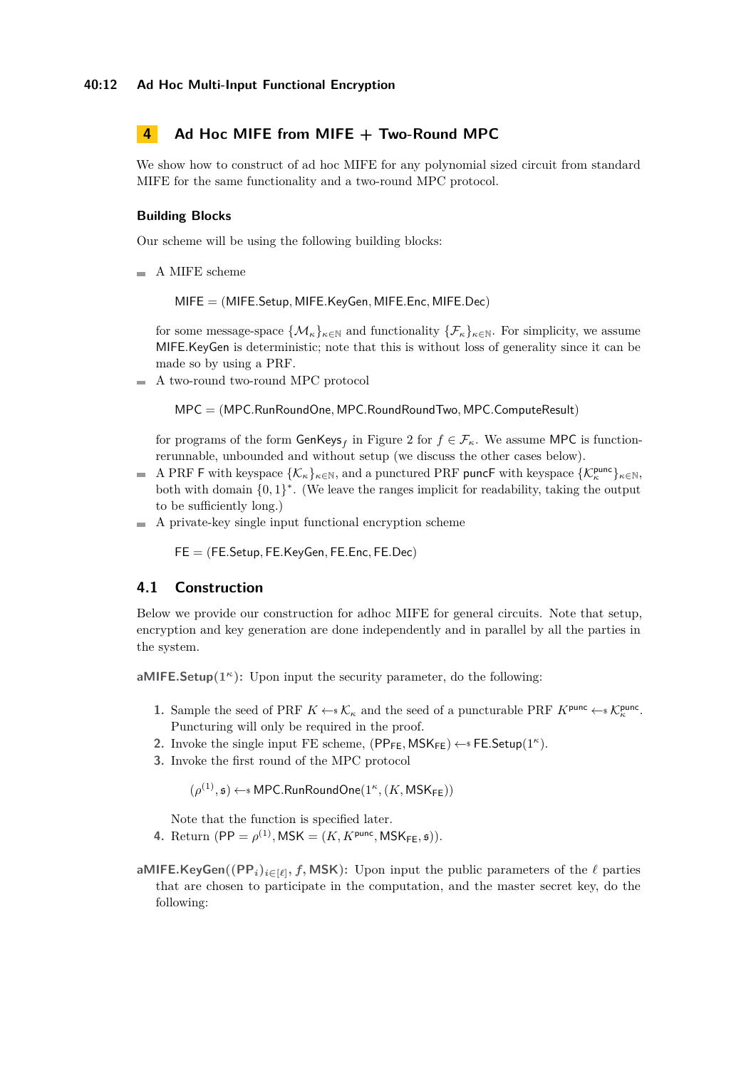# <span id="page-11-0"></span>**4 Ad Hoc MIFE from MIFE + Two-Round MPC**

We show how to construct of ad hoc MIFE for any polynomial sized circuit from standard MIFE for the same functionality and a two-round MPC protocol.

### **Building Blocks**

Our scheme will be using the following building blocks:

 $\blacksquare$  A MIFE scheme

MIFE = (MIFE*.*Setup*,* MIFE*.*KeyGen*,* MIFE*.*Enc*,* MIFE*.*Dec)

for some message-space  $\{\mathcal{M}_{k}\}_{k\in\mathbb{N}}$  and functionality  $\{\mathcal{F}_{k}\}_{k\in\mathbb{N}}$ . For simplicity, we assume MIFE*.*KeyGen is deterministic; note that this is without loss of generality since it can be made so by using a PRF.

A two-round two-round MPC protocol  $\sim$ 

MPC = (MPC*.*RunRoundOne*,* MPC*.*RoundRoundTwo*,* MPC*.*ComputeResult)

for programs of the form  $\mathsf{GenKeys}_f$  in Figure [2](#page-13-0) for  $f \in \mathcal{F}_\kappa$ . We assume MPC is functionrerunnable, unbounded and without setup (we discuss the other cases below).

- A PRF F with keyspace  $\{\mathcal{K}_{\kappa}\}_{{\kappa}\in\mathbb{N}}$ , and a punctured PRF puncF with keyspace  $\{\mathcal{K}_{\kappa}^{\text{punc}}\}_{{\kappa}\in\mathbb{N}}$ , m. both with domain  $\{0,1\}^*$ . (We leave the ranges implicit for readability, taking the output to be sufficiently long.)
- A private-key single input functional encryption scheme m.

FE = (FE*.*Setup*,* FE*.*KeyGen*,* FE*.*Enc*,* FE*.*Dec)

### **4.1 Construction**

Below we provide our construction for adhoc MIFE for general circuits. Note that setup, encryption and key generation are done independently and in parallel by all the parties in the system.

**aMIFE.Setup** $(1^k)$ : Upon input the security parameter, do the following:

- **1.** Sample the seed of PRF  $K \leftarrow \mathcal{K}_{\kappa}$  and the seed of a puncturable PRF  $K^{\text{punc}} \leftarrow \mathcal{K}_{\kappa}^{\text{punc}}$ . Puncturing will only be required in the proof.
- 2. Invoke the single input FE scheme,  $(PP_{FE}, MSK_{FE}) \leftarrow s$  FE.Setup(1<sup>*κ*</sup>).
- **3.** Invoke the first round of the MPC protocol

 $(\rho^{(1)}, \mathfrak{s}) \leftarrow \mathrm{s}$  MPC.RunRoundOne $(1^{\kappa}, (K, \mathsf{MSK}_{\mathsf{FE}}))$ 

Note that the function is specified later.

- **4.** Return  $(PP = \rho^{(1)}, \text{MSK} = (K, K^{\text{punc}}, \text{MSK}_{\text{FE}}, \mathfrak{s})).$
- **aMIFE.KeyGen** $((PP_i)_{i \in [\ell]}, f, \textsf{MSK})$ : Upon input the public parameters of the  $\ell$  parties that are chosen to participate in the computation, and the master secret key, do the following: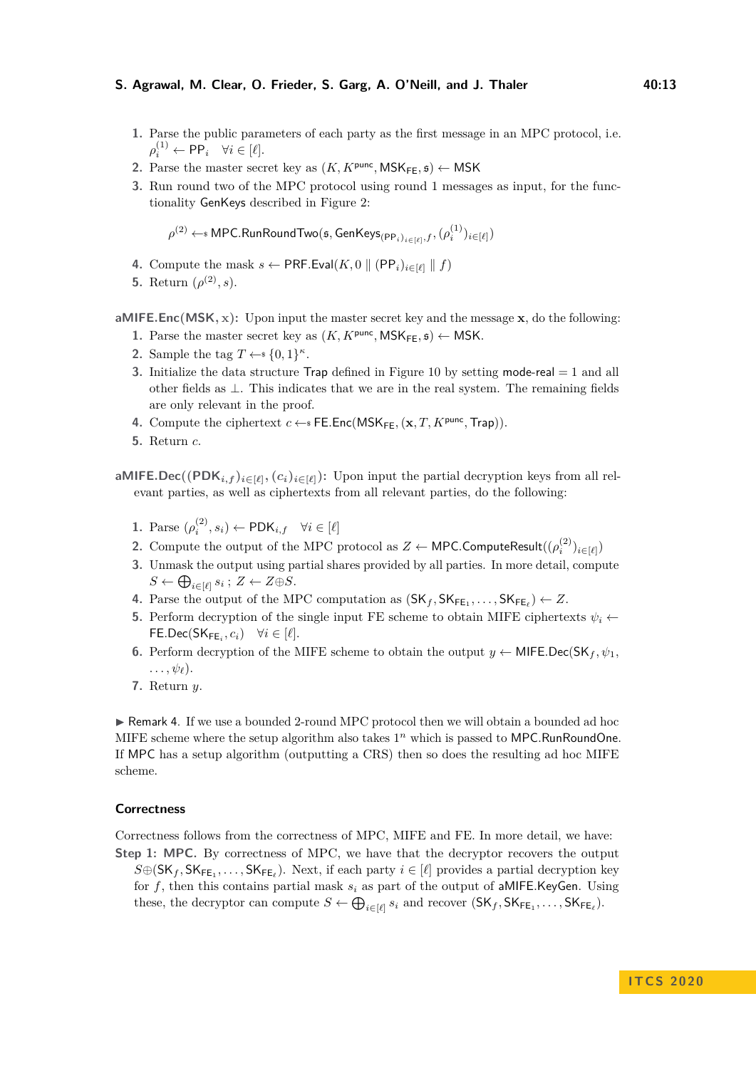#### **S. Agrawal, M. Clear, O. Frieder, S. Garg, A. O'Neill, and J. Thaler 40:13**

- **1.** Parse the public parameters of each party as the first message in an MPC protocol, i.e.  $\rho_i^{(1)} \leftarrow \textsf{PP}_i \quad \forall i \in [\ell].$
- **2.** Parse the master secret key as  $(K, K^{\text{punc}}, \text{MSK}_{\text{FE}}, \mathfrak{s}) \leftarrow \text{MSK}$
- **3.** Run round two of the MPC protocol using round 1 messages as input, for the functionality GenKeys described in Figure [2:](#page-13-0)

 $\rho^{(2)} \leftarrow$  MPC.RunRoundTwo( $\mathfrak{s},$  GenKey $\mathsf{s}_{(\mathsf{PP}_i)_{i \in [\ell]}, f}, (\rho^{(1)}_i)_{i \in [\ell]})$ 

- **4.** Compute the mask  $s \leftarrow \text{PRF.Eval}(K, 0 \parallel (\text{PP}_i)_{i \in [\ell]} \parallel f)$
- **5.** Return  $(\rho^{(2)}, s)$ .

**aMIFE***.***Enc(MSK***,* **x):** Upon input the master secret key and the message **x**, do the following:

- 1. Parse the master secret key as  $(K, K^{\text{punc}}, \text{MSK}_{\text{FE}}, \mathfrak{s}) \leftarrow \text{MSK}$ .
- **2.** Sample the tag  $T \leftarrow \{0, 1\}^{\kappa}$ .
- **3.** Initialize the data structure Trap defined in Figure [10](#page-30-0) by setting mode-real = 1 and all other fields as ⊥. This indicates that we are in the real system. The remaining fields are only relevant in the proof.
- **4.** Compute the ciphertext  $c \leftarrow s$  FE.Enc(MSK<sub>FE</sub>,  $(\mathbf{x}, T, K^{\text{punc}}, \text{Trap})$ ).
- **5.** Return *c*.

**aMIFE.Dec**( $(\text{PDK}_{i,f})_{i\in[\ell]}, (c_i)_{i\in[\ell]})$ : Upon input the partial decryption keys from all relevant parties, as well as ciphertexts from all relevant parties, do the following:

- **1.** Parse  $(\rho_i^{(2)}, s_i) \leftarrow \text{PDK}_{i,f} \quad \forall i \in [\ell]$
- **2.** Compute the output of the MPC protocol as  $Z \leftarrow \mathsf{MPC}.$  ComputeResult $((\rho_i^{(2)})_{i \in [\ell]})$
- **3.** Unmask the output using partial shares provided by all parties. In more detail, compute  $S \leftarrow \bigoplus_{i \in [\ell]} s_i$ ;  $Z \leftarrow Z \oplus S$ .
- **4.** Parse the output of the MPC computation as  $(SK_f, SK_{FE_1}, \ldots, SK_{FE_\ell}) \leftarrow Z$ .
- **5.** Perform decryption of the single input FE scheme to obtain MIFE ciphertexts  $\psi_i \leftarrow$  $\mathsf{FE}.\mathsf{Dec}(\mathsf{SK}_{\mathsf{FE}_i}, c_i) \quad \forall i \in [\ell].$
- **6.** Perform decryption of the MIFE scheme to obtain the output  $y \leftarrow$  MIFE.Dec(SK<sub>f</sub>,  $\psi_1$ ,  $\ldots$ ,  $\psi_{\ell}$ ).
- **7.** Return *y*.

 $\triangleright$  Remark 4. If we use a bounded 2-round MPC protocol then we will obtain a bounded ad hoc MIFE scheme where the setup algorithm also takes 1 *<sup>n</sup>* which is passed to MPC*.*RunRoundOne. If MPC has a setup algorithm (outputting a CRS) then so does the resulting ad hoc MIFE scheme.

#### **Correctness**

Correctness follows from the correctness of MPC, MIFE and FE. In more detail, we have:

**Step 1: MPC.** By correctness of MPC, we have that the decryptor recovers the output  $S \oplus (\mathsf{SK}_f, \mathsf{SK}_{\mathsf{FE}_1}, \ldots, \mathsf{SK}_{\mathsf{FE}_\ell})$ . Next, if each party  $i \in [\ell]$  provides a partial decryption key for  $f$ , then this contains partial mask  $s_i$  as part of the output of aMIFE.KeyGen. Using these, the decryptor can compute  $S \leftarrow \bigoplus_{i \in [\ell]} s_i$  and recover  $(SK_f, SK_{FE_1}, \ldots, SK_{FE_\ell})$ .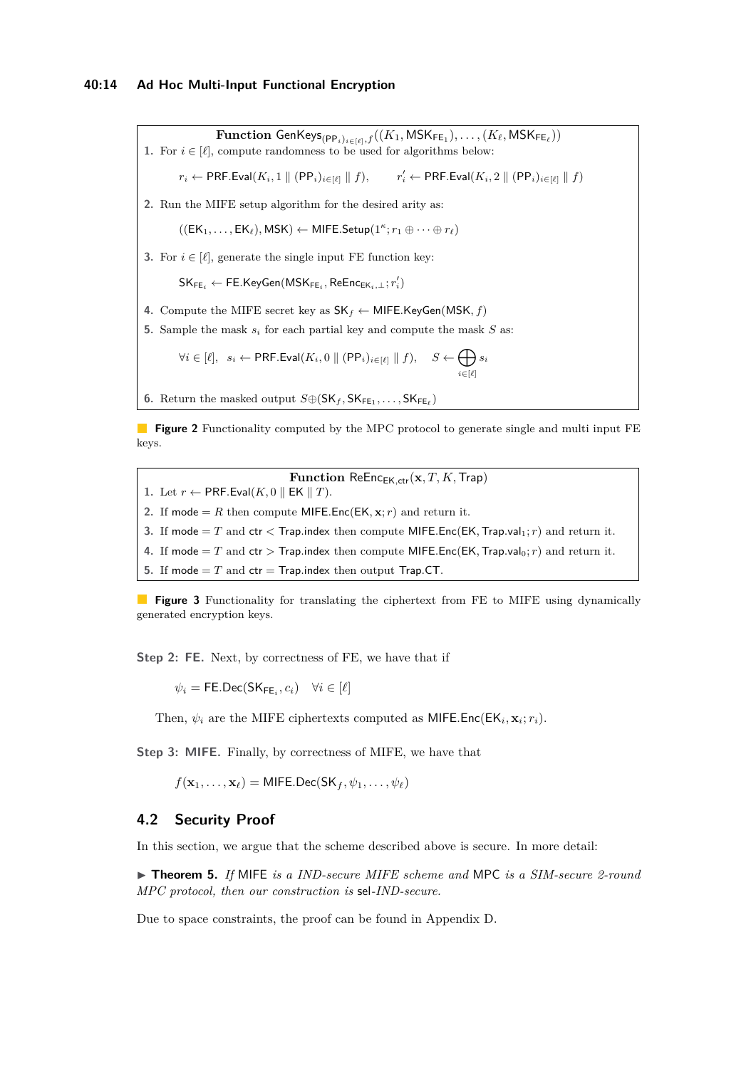<span id="page-13-0"></span> $\mathbf{Function} \ \mathsf{GenKeyS}_{(\mathsf{PP}_i)_{i \in [\ell]}, f}((K_1, \mathsf{MSK}_{\mathsf{FE}_1}), \ldots, (K_\ell, \mathsf{MSK}_{\mathsf{FE}_\ell}))$ 1. For  $i \in [\ell]$ , compute randomness to be used for algorithms below:

 $r_i \leftarrow \text{PRF.Eval}(K_i, 1 \parallel (\text{PP}_i)_{i \in [\ell]} \parallel f),$  $O'_i$  ← PRF.Eval $(K_i, 2 \parallel (PP_i)_{i \in [\ell]} \parallel f)$ 

**2.** Run the MIFE setup algorithm for the desired arity as:

 $((EK_1, \ldots, EK_\ell), \mathsf{MSK}) \leftarrow \mathsf{MIFE}.\mathsf{Setup}(1^\kappa; r_1 \oplus \cdots \oplus r_\ell)$ 

**3.** For  $i \in [\ell]$ , generate the single input FE function key:

 $\mathsf{SK}_{\mathsf{FE}_i} \leftarrow \mathsf{FE}.\mathsf{KeyGen}(\mathsf{MSK}_{\mathsf{FE}_i}, \mathsf{ReEnc}_{\mathsf{EK}_i,\bot}; r'_i)$ 

- **4.** Compute the MIFE secret key as  $SK_f \leftarrow$  MIFE.KeyGen(MSK, f)
- **5.** Sample the mask *s<sup>i</sup>* for each partial key and compute the mask *S* as:

 $\forall i \in [\ell], \; s_i \leftarrow \mathsf{PRF}.\mathsf{Eval}(K_i, 0 \parallel (\mathsf{PP}_i)_{i \in [\ell]} \parallel f), \quad S \leftarrow \bigoplus s_i$ *i*∈[*`*]

**6.** Return the masked output  $S \oplus (\mathsf{SK}_f, \mathsf{SK}_{\mathsf{FE}_1}, \ldots, \mathsf{SK}_{\mathsf{FE}_\ell})$ 

**Figure 2** Functionality computed by the MPC protocol to generate single and multi input FE keys.

**Function** ReEnc<sub>EK.ctr</sub>( $\mathbf{x}, T, K$ , Trap)

<span id="page-13-2"></span>1. Let  $r \leftarrow \textsf{PRF.Eval}(K, 0 \parallel \textsf{EK} \parallel T)$ .

**2.** If mode = *R* then compute MIFE. Enc(EK,  $\mathbf{x}; r$ ) and return it.

- **3.** If mode  $=T$  and ctr  $\lt$  Trap.index then compute MIFE. Enc(EK, Trap.val<sub>1</sub>; *r*) and return it.
- **4.** If mode  $=T$  and ctr  $>$  Trap.index then compute MIFE. Enc(EK, Trap.val<sub>0</sub>; *r*) and return it.
- **5.** If mode  $=T$  and  $ctr =$  Trap.index then output Trap.CT.

**Figure 3** Functionality for translating the ciphertext from FE to MIFE using dynamically generated encryption keys.

**Step 2: FE.** Next, by correctness of FE, we have that if

 $\psi_i = \mathsf{FE}.\mathsf{Dec}(\mathsf{SK}_{\mathsf{FE}_i}, c_i) \quad \forall i \in [\ell]$ 

Then,  $\psi_i$  are the MIFE ciphertexts computed as MIFE.Enc( $EK_i, x_i; r_i$ ).

**Step 3: MIFE.** Finally, by correctness of MIFE, we have that

 $f(\mathbf{x}_1, \dots, \mathbf{x}_\ell) = \text{MIFE.Dec}(\text{SK}_f, \psi_1, \dots, \psi_\ell)$ 

# **4.2 Security Proof**

<span id="page-13-1"></span>In this section, we argue that the scheme described above is secure. In more detail:

▶ **Theorem 5.** *If* MIFE *is a IND-secure MIFE scheme and* MPC *is a SIM-secure 2-round MPC protocol, then our construction is* sel*-IND-secure.*

Due to space constraints, the proof can be found in Appendix [D.](#page-30-1)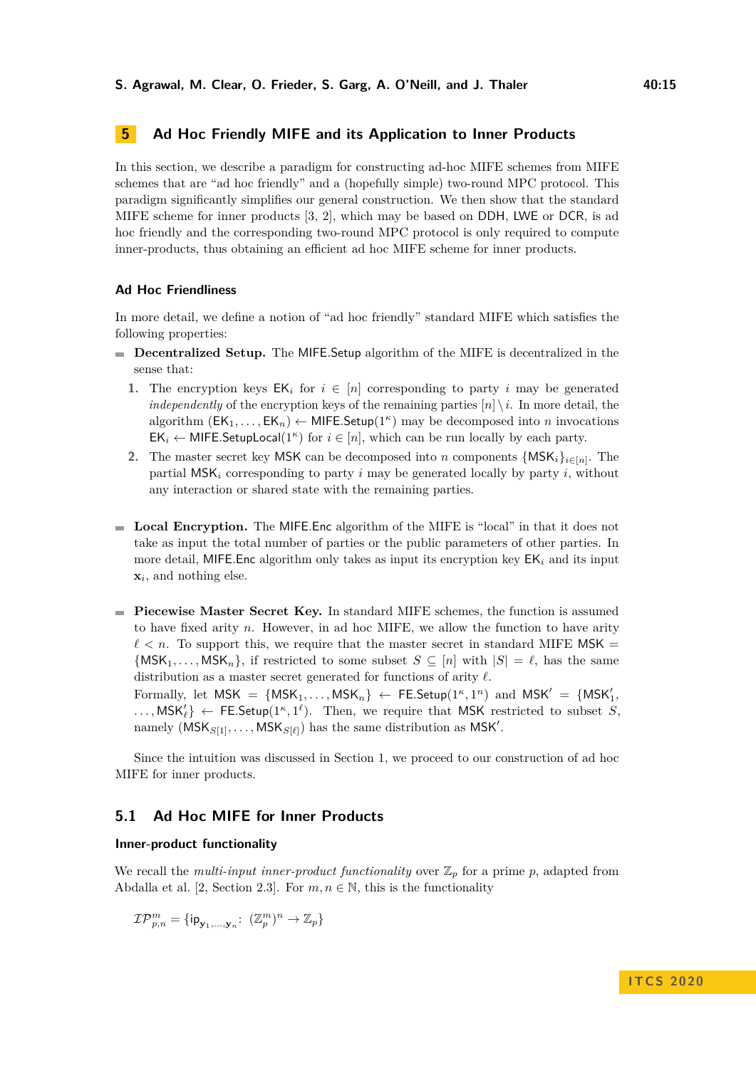# <span id="page-14-0"></span>**5 Ad Hoc Friendly MIFE and its Application to Inner Products**

In this section, we describe a paradigm for constructing ad-hoc MIFE schemes from MIFE schemes that are "ad hoc friendly" and a (hopefully simple) two-round MPC protocol. This paradigm significantly simplifies our general construction. We then show that the standard MIFE scheme for inner products [\[3,](#page-18-1) [2\]](#page-18-2), which may be based on DDH, LWE or DCR, is ad hoc friendly and the corresponding two-round MPC protocol is only required to compute inner-products, thus obtaining an efficient ad hoc MIFE scheme for inner products.

#### **Ad Hoc Friendliness**

In more detail, we define a notion of "ad hoc friendly" standard MIFE which satisfies the following properties:

- **Decentralized Setup.** The MIFE*.*Setup algorithm of the MIFE is decentralized in the sense that:
	- **1.** The encryption keys  $EK_i$  for  $i \in [n]$  corresponding to party *i* may be generated *independently* of the encryption keys of the remaining parties  $[n] \setminus i$ . In more detail, the algorithm  $(\mathsf{EK}_1, \ldots, \mathsf{EK}_n) \leftarrow \mathsf{MIFE}.\mathsf{Setup}(1^{\kappa})$  may be decomposed into *n* invocations  $EK_i \leftarrow$  MIFE.SetupLocal(1<sup>*κ*</sup>) for  $i \in [n]$ , which can be run locally by each party.
	- **2.** The master secret key MSK can be decomposed into *n* components  $\{MSK_i\}_{i \in [n]}$ . The partial  $MSK_i$  corresponding to party *i* may be generated locally by party *i*, without any interaction or shared state with the remaining parties.
- **Local Encryption.** The MIFE*.*Enc algorithm of the MIFE is "local" in that it does not take as input the total number of parties or the public parameters of other parties. In more detail, MIFE. Enc algorithm only takes as input its encryption key  $EK_i$  and its input **x***i* , and nothing else.
- **Piecewise Master Secret Key.** In standard MIFE schemes, the function is assumed to have fixed arity *n*. However, in ad hoc MIFE, we allow the function to have arity  $\ell < n$ . To support this, we require that the master secret in standard MIFE MSK =  $\{MSK_1, \ldots, MSK_n\}$ , if restricted to some subset  $S \subseteq [n]$  with  $|S| = \ell$ , has the same distribution as a master secret generated for functions of arity  $\ell$ .

Formally, let  $MSK = \{MSK_1, \ldots, MSK_n\} \leftarrow \text{FE}.\text{Setup}(1^{\kappa}, 1^n) \text{ and } \text{MSK}' = \{MSK'_1, \ldots, MSK'_n\}$  $\dots$ , MSK<sup>'</sup><sub>i</sub></sub>} ← FE.Setup(1<sup>*κ*</sup>, 1<sup>*i*</sup>). Then, we require that MSK restricted to subset *S*, namely  $(MSK_{S[1]}, \ldots, MSK_{S[\ell]})$  has the same distribution as MSK'.

Since the intuition was discussed in Section [1,](#page-1-0) we proceed to our construction of ad hoc MIFE for inner products.

# **5.1 Ad Hoc MIFE for Inner Products**

#### **Inner-product functionality**

We recall the *multi-input inner-product functionality* over  $\mathbb{Z}_p$  for a prime p, adapted from Abdalla et al. [\[2,](#page-18-2) Section 2.3]. For  $m, n \in \mathbb{N}$ , this is the functionality

$$
\mathcal{IP}_{p,n}^{m} = \{ \mathsf{ip}_{\mathbf{y}_1,\ldots,\mathbf{y}_n} \colon \ (\mathbb{Z}_p^m)^n \to \mathbb{Z}_p \}
$$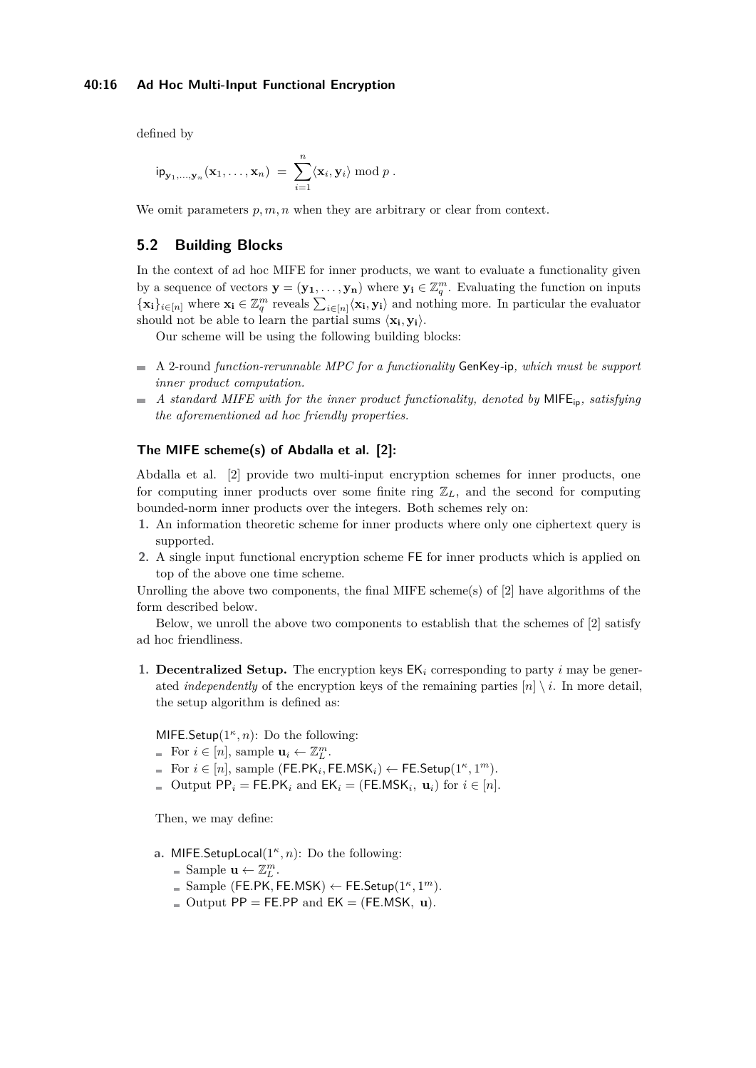defined by

$$
ip_{\mathbf{y}_1,\ldots,\mathbf{y}_n}(\mathbf{x}_1,\ldots,\mathbf{x}_n) = \sum_{i=1}^n \langle \mathbf{x}_i, \mathbf{y}_i \rangle \bmod p.
$$

We omit parameters  $p, m, n$  when they are arbitrary or clear from context.

# **5.2 Building Blocks**

In the context of ad hoc MIFE for inner products, we want to evaluate a functionality given by a sequence of vectors  $\mathbf{y} = (\mathbf{y_1}, \dots, \mathbf{y_n})$  where  $\mathbf{y_i} \in \mathbb{Z}_q^m$ . Evaluating the function on inputs  ${\bf x_i}_{i \in [n]}$  where  ${\bf x_i} \in \mathbb{Z}_q^m$  reveals  $\sum_{i \in [n]} \langle {\bf x_i}, {\bf y_i} \rangle$  and nothing more. In particular the evaluator should not be able to learn the partial sums  $\langle \mathbf{x}_i, \mathbf{y}_i \rangle$ .

Our scheme will be using the following building blocks:

- A 2-round *function-rerunnable MPC for a functionality* GenKey*-*ip*, which must be support inner product computation.*
- *A standard MIFE with for the inner product functionality, denoted by* MIFEip*, satisfying*  $\overline{\phantom{a}}$ *the aforementioned ad hoc friendly properties.*

### **The MIFE scheme(s) of Abdalla et al. [\[2\]](#page-18-2):**

Abdalla et al. [\[2\]](#page-18-2) provide two multi-input encryption schemes for inner products, one for computing inner products over some finite ring  $\mathbb{Z}_L$ , and the second for computing bounded-norm inner products over the integers. Both schemes rely on:

- **1.** An information theoretic scheme for inner products where only one ciphertext query is supported.
- **2.** A single input functional encryption scheme FE for inner products which is applied on top of the above one time scheme.

Unrolling the above two components, the final MIFE scheme(s) of [\[2\]](#page-18-2) have algorithms of the form described below.

Below, we unroll the above two components to establish that the schemes of [\[2\]](#page-18-2) satisfy ad hoc friendliness.

**1. Decentralized Setup.** The encryption keys  $EK_i$  corresponding to party *i* may be generated *independently* of the encryption keys of the remaining parties  $[n] \setminus i$ . In more detail, the setup algorithm is defined as:

MIFE*.*Setup(1*<sup>κ</sup> , n*): Do the following:

- For  $i \in [n]$ , sample  $\mathbf{u}_i \leftarrow \mathbb{Z}_L^m$ .
- For  $i \in [n]$ , sample (FE.PK<sub>*i*</sub>, FE.MSK<sub>*i*</sub>) ← FE.Setup(1<sup>*κ*</sup>, 1<sup>*m*</sup>).
- Output  $PP_i = FE.PK_i$  and  $EK_i = (FE.MSK_i, u_i)$  for  $i \in [n]$ .

Then, we may define:

- **a.** MIFE*.*SetupLocal(1*<sup>κ</sup> , n*): Do the following:
	- Sample  $\mathbf{u} \leftarrow \mathbb{Z}_L^m$ .
	- $\text{Sample (FE.PK, FE.MSK)} \leftarrow \text{FE}.\text{Setup}(1^{\kappa}, 1^m).$
	- $\blacksquare$  Output PP = FE.PP and EK = (FE.MSK, **u**).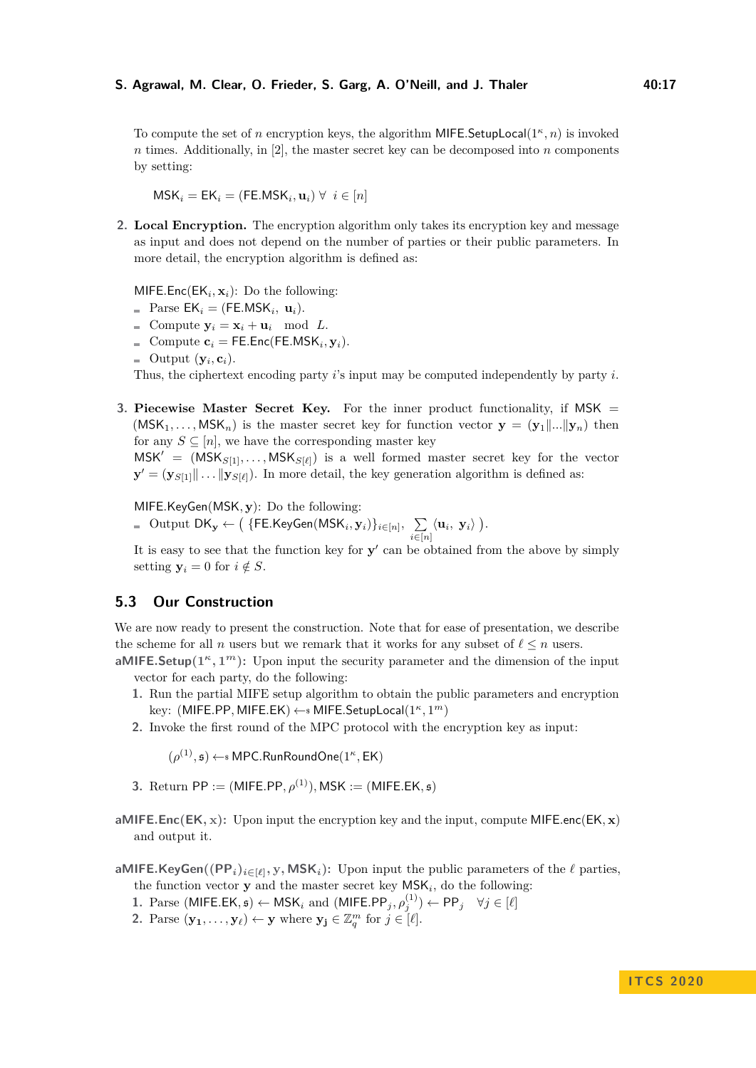To compute the set of *n* encryption keys, the algorithm MIFE*.*SetupLocal(1*<sup>κ</sup> , n*) is invoked  $n \times n$  times. Additionally, in [\[2\]](#page-18-2), the master secret key can be decomposed into  $n$  components by setting:

 $\mathsf{MSK}_i = \mathsf{EK}_i = (\mathsf{FE}.\mathsf{MSK}_i, \mathbf{u}_i) \ \forall \ i \in [n]$ 

**2. Local Encryption.** The encryption algorithm only takes its encryption key and message as input and does not depend on the number of parties or their public parameters. In more detail, the encryption algorithm is defined as:

 $M$ **IFE**.Enc(E $K_i$ ,  $\mathbf{x}_i$ ): Do the following:

- $\text{Parse } \mathsf{EK}_i = (\mathsf{FE}.\mathsf{MSK}_i, \mathbf{u}_i).$
- $\bullet$  Compute  $y_i = x_i + u_i \mod L$ .
- Compute  $\mathbf{c}_i = \mathsf{FE}.\mathsf{Enc}(\mathsf{FE}.\mathsf{MSK}_i, \mathbf{y}_i).$
- Output  $(\mathbf{y}_i, \mathbf{c}_i)$ .

Thus, the ciphertext encoding party *i*'s input may be computed independently by party *i*.

**3. Piecewise Master Secret Key.** For the inner product functionality, if MSK =  $(MSK_1, \ldots, MK_n)$  is the master secret key for function vector  $\mathbf{y} = (\mathbf{y}_1 | \ldots | \mathbf{y}_n)$  then for any  $S \subseteq [n]$ , we have the corresponding master key

 $MSK' = (MSK<sub>S[1]</sub>, ..., MSK<sub>S[ℓ]</sub>)$  is a well formed master secret key for the vector  $\mathbf{y}' = (\mathbf{y}_{S[1]}\|\dots\|\mathbf{y}_{S[\ell]})$ . In more detail, the key generation algorithm is defined as:

MIFE*.*KeyGen(MSK*,* **y**): Do the following:

 $\mathrm{Output}~\mathrm{DK}_{\mathbf{y}} \leftarrow \big(\left.\{\mathsf{FE}.\mathsf{KeyGen}(\mathsf{MSK}_i, \mathbf{y}_i)\right\}_{i \in [n]}, \;\;\sum\limits_{i=1}^n\left(\mathsf{CK}_i\right)\left(\mathsf{MSK}_i\right)\}_{i \in [n]},\;\;\sum\limits_{i=1}^n\left(\mathsf{CK}_i\right)\left(\mathsf{CK}_i\right)\left(\mathsf{CK}_i\right)\}_{i \in [n]},\;\;\sum\limits_{i=1}^n\left(\mathsf{CK}_i\right)\left(\mathsf{CK}_i\right)\left(\mathsf{CK}_i\right)\right)$  $\sum_{i\in [n]} \langle \mathbf{u}_i, \mathbf{y}_i \rangle$   $\big).$ 

It is easy to see that the function key for  $y'$  can be obtained from the above by simply setting  $y_i = 0$  for  $i \notin S$ .

#### **5.3 Our Construction**

We are now ready to present the construction. Note that for ease of presentation, we describe the scheme for all *n* users but we remark that it works for any subset of  $\ell \leq n$  users.

**aMIFE**.Setup $(1^k, 1^m)$ : Upon input the security parameter and the dimension of the input vector for each party, do the following:

- **1.** Run the partial MIFE setup algorithm to obtain the public parameters and encryption key: (MIFE*.*PP*,* MIFE*.*EK) ←\$ MIFE*.*SetupLocal(1*<sup>κ</sup> ,* 1 *<sup>m</sup>*)
- **2.** Invoke the first round of the MPC protocol with the encryption key as input:

 $(\rho^{(1)}, \mathfrak{s}) \leftarrow \mathfrak{s}$  MPC.RunRoundOne $(1^{\kappa}, \mathsf{EK})$ 

- **3.** Return PP := (MIFE.PP,  $\rho^{(1)}$ ), MSK := (MIFE.EK,  $\mathfrak{s}$ )
- **aMIFE***.***Enc**( $E$ **K**, **x**): Upon input the encryption key and the input, compute MIFE*.enc*( $E$ **K**, **x**) and output it.

aMIFE.KeyGen( $(PP_i)_{i \in [\ell]}, y, MSK_i$ ): Upon input the public parameters of the  $\ell$  parties,

- the function vector  $y$  and the master secret key  $MSK_i$ , do the following: **1.** Parse (MIFE.EK,  $\mathfrak{s}$ ) ← MSK<sub>i</sub> and (MIFE.PP<sub>j</sub>,  $\rho_j^{(1)}$ ) ← PP<sub>j</sub>  $\forall j \in [\ell]$
- 

**2.** Parse  $(\mathbf{y}_1, \ldots, \mathbf{y}_\ell) \leftarrow \mathbf{y}$  where  $\mathbf{y}_j \in \mathbb{Z}_q^m$  for  $j \in [\ell]$ .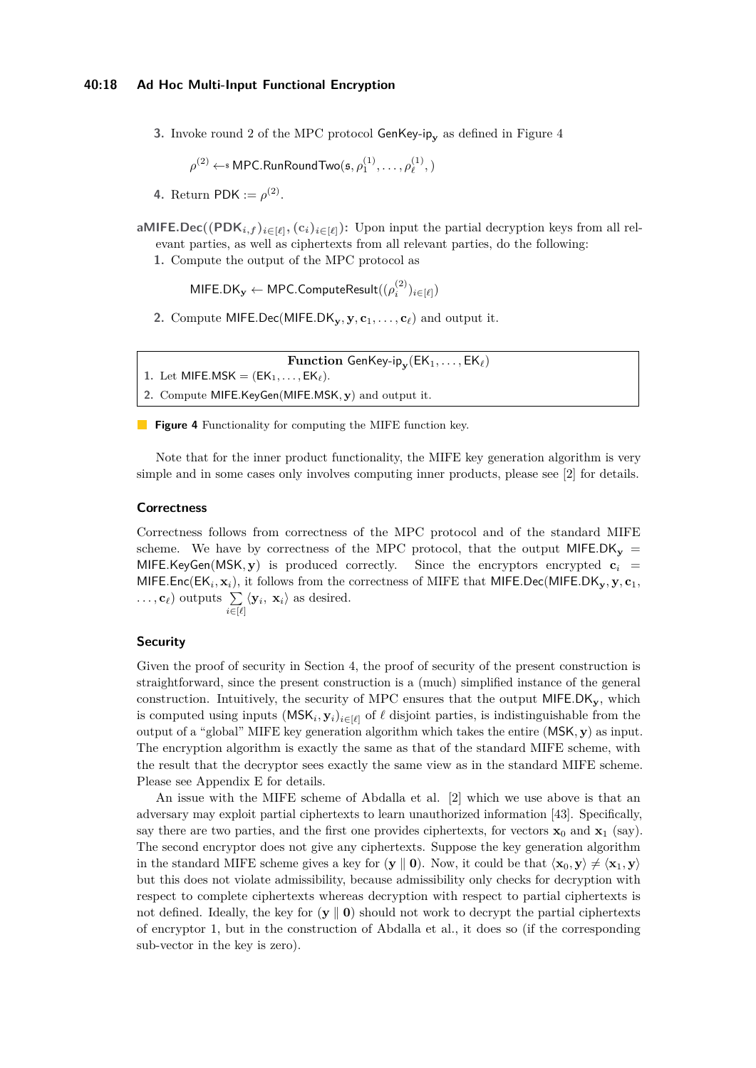**3.** Invoke round 2 of the MPC protocol GenKey-ip<sub>y</sub> as defined in Figure [4](#page-17-0)

 $\rho^{(2)} \leftarrow$  MPC.RunRoundTwo $(\mathfrak{s}, \rho^{(1)}_1, \ldots, \rho^{(1)}_\ell)$  $\binom{1}{\ell}$ , )

**4.** Return PDK :=  $\rho^{(2)}$ .

**aMIFE.Dec**( $(PDK_{i,f})_{i \in [\ell]}, (c_i)_{i \in [\ell]}$ ): Upon input the partial decryption keys from all relevant parties, as well as ciphertexts from all relevant parties, do the following:

**1.** Compute the output of the MPC protocol as

 $\mathsf{MIFE.DK}_{\mathbf{y}} \leftarrow \mathsf{MPC}. \mathsf{ComputeResult}((\rho_{i}^{(2)})_{i \in [\ell]})$ 

2. Compute MIFE.Dec(MIFE.DK<sub>y</sub>, y,  $c_1, \ldots, c_\ell$ ) and output it.

 $\mathbf{Function}$  GenKey-ip $_{\mathbf{y}}(\mathsf{EK}_1,\dots,\mathsf{EK}_{\ell})$ 

- <span id="page-17-0"></span>1. Let MIFE.MSK =  $(EK_1, \ldots, EK_\ell)$ .
- **2.** Compute MIFE*.*KeyGen(MIFE*.*MSK*,* **y**) and output it.

**Figure 4** Functionality for computing the MIFE function key.

Note that for the inner product functionality, the MIFE key generation algorithm is very simple and in some cases only involves computing inner products, please see [\[2\]](#page-18-2) for details.

#### **Correctness**

Correctness follows from correctness of the MPC protocol and of the standard MIFE scheme. We have by correctness of the MPC protocol, that the output  $MFE.DK_v$  = MIFE.KeyGen(MSK,  $\mathbf{v}$ ) is produced correctly. Since the encryptors encrypted  $\mathbf{c}_i$  = MIFE*.*Enc(EK*<sup>i</sup> ,* **x***i*), it follows from the correctness of MIFE that MIFE*.*Dec(MIFE*.*DK**y***,* **y***,* **c**1*,*  $\dots, \mathbf{c}_{\ell}$  outputs  $\sum_{i \in [\ell]} \langle \mathbf{y}_i, \mathbf{x}_i \rangle$  as desired.

#### **Security**

Given the proof of security in Section [4,](#page-11-0) the proof of security of the present construction is straightforward, since the present construction is a (much) simplified instance of the general construction. Intuitively, the security of MPC ensures that the output MIFE*.*DK**y**, which is computed using inputs  $(MSK_i, y_i)_{i \in [\ell]}$  of  $\ell$  disjoint parties, is indistinguishable from the output of a "global" MIFE key generation algorithm which takes the entire (MSK*,* **y**) as input. The encryption algorithm is exactly the same as that of the standard MIFE scheme, with the result that the decryptor sees exactly the same view as in the standard MIFE scheme. Please see Appendix [E](#page-40-1) for details.

An issue with the MIFE scheme of Abdalla et al. [\[2\]](#page-18-2) which we use above is that an adversary may exploit partial ciphertexts to learn unauthorized information [\[43\]](#page-21-9). Specifically, say there are two parties, and the first one provides ciphertexts, for vectors  $\mathbf{x}_0$  and  $\mathbf{x}_1$  (say). The second encryptor does not give any ciphertexts. Suppose the key generation algorithm in the standard MIFE scheme gives a key for  $(\mathbf{y} \parallel \mathbf{0})$ . Now, it could be that  $\langle \mathbf{x}_0, \mathbf{y} \rangle \neq \langle \mathbf{x}_1, \mathbf{y} \rangle$ but this does not violate admissibility, because admissibility only checks for decryption with respect to complete ciphertexts whereas decryption with respect to partial ciphertexts is not defined. Ideally, the key for  $(\mathbf{y} \parallel \mathbf{0})$  should not work to decrypt the partial ciphertexts of encryptor 1, but in the construction of Abdalla et al., it does so (if the corresponding sub-vector in the key is zero).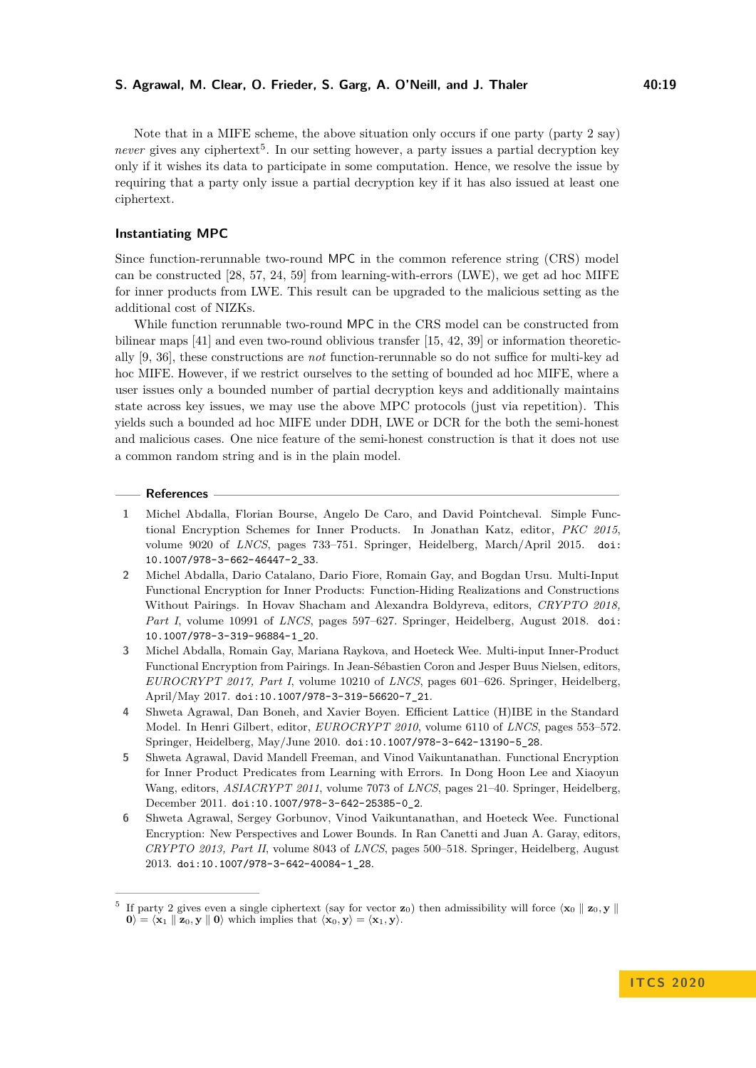Note that in a MIFE scheme, the above situation only occurs if one party (party 2 say) never gives any ciphertext<sup>[5](#page-18-4)</sup>. In our setting however, a party issues a partial decryption key only if it wishes its data to participate in some computation. Hence, we resolve the issue by requiring that a party only issue a partial decryption key if it has also issued at least one ciphertext.

# **Instantiating MPC**

Since function-rerunnable two-round MPC in the common reference string (CRS) model can be constructed [\[28,](#page-20-6) [57,](#page-22-1) [24,](#page-20-7) [59\]](#page-22-3) from learning-with-errors (LWE), we get ad hoc MIFE for inner products from LWE. This result can be upgraded to the malicious setting as the additional cost of NIZKs.

While function rerunnable two-round MPC in the CRS model can be constructed from bilinear maps [\[41\]](#page-21-3) and even two-round oblivious transfer [\[15,](#page-19-5) [42,](#page-21-4) [39\]](#page-21-7) or information theoretically [\[9,](#page-19-7) [36\]](#page-20-8), these constructions are *not* function-rerunnable so do not suffice for multi-key ad hoc MIFE. However, if we restrict ourselves to the setting of bounded ad hoc MIFE, where a user issues only a bounded number of partial decryption keys and additionally maintains state across key issues, we may use the above MPC protocols (just via repetition). This yields such a bounded ad hoc MIFE under DDH, LWE or DCR for the both the semi-honest and malicious cases. One nice feature of the semi-honest construction is that it does not use a common random string and is in the plain model.

#### **References**

- <span id="page-18-0"></span>**1** Michel Abdalla, Florian Bourse, Angelo De Caro, and David Pointcheval. Simple Functional Encryption Schemes for Inner Products. In Jonathan Katz, editor, *PKC 2015*, volume 9020 of *LNCS*, pages 733–751. Springer, Heidelberg, March/April 2015. [doi:](https://doi.org/10.1007/978-3-662-46447-2_33) [10.1007/978-3-662-46447-2\\_33](https://doi.org/10.1007/978-3-662-46447-2_33).
- <span id="page-18-2"></span>**2** Michel Abdalla, Dario Catalano, Dario Fiore, Romain Gay, and Bogdan Ursu. Multi-Input Functional Encryption for Inner Products: Function-Hiding Realizations and Constructions Without Pairings. In Hovav Shacham and Alexandra Boldyreva, editors, *CRYPTO 2018, Part I*, volume 10991 of *LNCS*, pages 597–627. Springer, Heidelberg, August 2018. [doi:](https://doi.org/10.1007/978-3-319-96884-1_20) [10.1007/978-3-319-96884-1\\_20](https://doi.org/10.1007/978-3-319-96884-1_20).
- <span id="page-18-1"></span>**3** Michel Abdalla, Romain Gay, Mariana Raykova, and Hoeteck Wee. Multi-input Inner-Product Functional Encryption from Pairings. In Jean-Sébastien Coron and Jesper Buus Nielsen, editors, *EUROCRYPT 2017, Part I*, volume 10210 of *LNCS*, pages 601–626. Springer, Heidelberg, April/May 2017. [doi:10.1007/978-3-319-56620-7\\_21](https://doi.org/10.1007/978-3-319-56620-7_21).
- <span id="page-18-5"></span>**4** Shweta Agrawal, Dan Boneh, and Xavier Boyen. Efficient Lattice (H)IBE in the Standard Model. In Henri Gilbert, editor, *EUROCRYPT 2010*, volume 6110 of *LNCS*, pages 553–572. Springer, Heidelberg, May/June 2010. [doi:10.1007/978-3-642-13190-5\\_28](https://doi.org/10.1007/978-3-642-13190-5_28).
- <span id="page-18-6"></span>**5** Shweta Agrawal, David Mandell Freeman, and Vinod Vaikuntanathan. Functional Encryption for Inner Product Predicates from Learning with Errors. In Dong Hoon Lee and Xiaoyun Wang, editors, *ASIACRYPT 2011*, volume 7073 of *LNCS*, pages 21–40. Springer, Heidelberg, December 2011. [doi:10.1007/978-3-642-25385-0\\_2](https://doi.org/10.1007/978-3-642-25385-0_2).
- <span id="page-18-3"></span>**6** Shweta Agrawal, Sergey Gorbunov, Vinod Vaikuntanathan, and Hoeteck Wee. Functional Encryption: New Perspectives and Lower Bounds. In Ran Canetti and Juan A. Garay, editors, *CRYPTO 2013, Part II*, volume 8043 of *LNCS*, pages 500–518. Springer, Heidelberg, August 2013. [doi:10.1007/978-3-642-40084-1\\_28](https://doi.org/10.1007/978-3-642-40084-1_28).

<span id="page-18-4"></span><sup>&</sup>lt;sup>5</sup> If party 2 gives even a single ciphertext (say for vector  $\mathbf{z}_0$ ) then admissibility will force  $\langle \mathbf{x}_0 | \mathbf{z}_0, \mathbf{y} |$  $\mathbf{0}$  $\mathbf{0} = \langle \mathbf{x}_1 \parallel \mathbf{z}_0, \mathbf{y} \parallel \mathbf{0} \rangle$  which implies that  $\langle \mathbf{x}_0, \mathbf{y} \rangle = \langle \mathbf{x}_1, \mathbf{y} \rangle$ .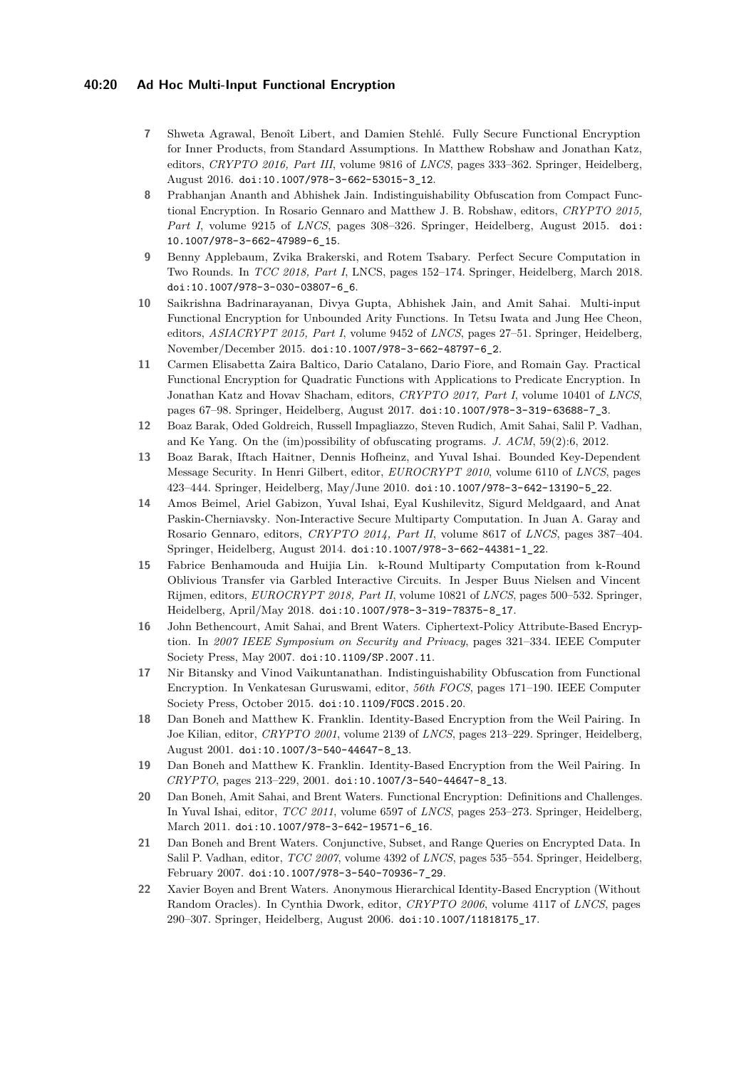### **40:20 Ad Hoc Multi-Input Functional Encryption**

- <span id="page-19-12"></span>**7** Shweta Agrawal, Benoît Libert, and Damien Stehlé. Fully Secure Functional Encryption for Inner Products, from Standard Assumptions. In Matthew Robshaw and Jonathan Katz, editors, *CRYPTO 2016, Part III*, volume 9816 of *LNCS*, pages 333–362. Springer, Heidelberg, August 2016. [doi:10.1007/978-3-662-53015-3\\_12](https://doi.org/10.1007/978-3-662-53015-3_12).
- <span id="page-19-3"></span>**8** Prabhanjan Ananth and Abhishek Jain. Indistinguishability Obfuscation from Compact Functional Encryption. In Rosario Gennaro and Matthew J. B. Robshaw, editors, *CRYPTO 2015, Part I*, volume 9215 of *LNCS*, pages 308–326. Springer, Heidelberg, August 2015. [doi:](https://doi.org/10.1007/978-3-662-47989-6_15) [10.1007/978-3-662-47989-6\\_15](https://doi.org/10.1007/978-3-662-47989-6_15).
- <span id="page-19-7"></span>**9** Benny Applebaum, Zvika Brakerski, and Rotem Tsabary. Perfect Secure Computation in Two Rounds. In *TCC 2018, Part I*, LNCS, pages 152–174. Springer, Heidelberg, March 2018. [doi:10.1007/978-3-030-03807-6\\_6](https://doi.org/10.1007/978-3-030-03807-6_6).
- <span id="page-19-2"></span>**10** Saikrishna Badrinarayanan, Divya Gupta, Abhishek Jain, and Amit Sahai. Multi-input Functional Encryption for Unbounded Arity Functions. In Tetsu Iwata and Jung Hee Cheon, editors, *ASIACRYPT 2015, Part I*, volume 9452 of *LNCS*, pages 27–51. Springer, Heidelberg, November/December 2015. [doi:10.1007/978-3-662-48797-6\\_2](https://doi.org/10.1007/978-3-662-48797-6_2).
- <span id="page-19-14"></span>**11** Carmen Elisabetta Zaira Baltico, Dario Catalano, Dario Fiore, and Romain Gay. Practical Functional Encryption for Quadratic Functions with Applications to Predicate Encryption. In Jonathan Katz and Hovav Shacham, editors, *CRYPTO 2017, Part I*, volume 10401 of *LNCS*, pages 67–98. Springer, Heidelberg, August 2017. [doi:10.1007/978-3-319-63688-7\\_3](https://doi.org/10.1007/978-3-319-63688-7_3).
- <span id="page-19-13"></span>**12** Boaz Barak, Oded Goldreich, Russell Impagliazzo, Steven Rudich, Amit Sahai, Salil P. Vadhan, and Ke Yang. On the (im)possibility of obfuscating programs. *J. ACM*, 59(2):6, 2012.
- <span id="page-19-6"></span>**13** Boaz Barak, Iftach Haitner, Dennis Hofheinz, and Yuval Ishai. Bounded Key-Dependent Message Security. In Henri Gilbert, editor, *EUROCRYPT 2010*, volume 6110 of *LNCS*, pages 423–444. Springer, Heidelberg, May/June 2010. [doi:10.1007/978-3-642-13190-5\\_22](https://doi.org/10.1007/978-3-642-13190-5_22).
- <span id="page-19-15"></span>**14** Amos Beimel, Ariel Gabizon, Yuval Ishai, Eyal Kushilevitz, Sigurd Meldgaard, and Anat Paskin-Cherniavsky. Non-Interactive Secure Multiparty Computation. In Juan A. Garay and Rosario Gennaro, editors, *CRYPTO 2014, Part II*, volume 8617 of *LNCS*, pages 387–404. Springer, Heidelberg, August 2014. [doi:10.1007/978-3-662-44381-1\\_22](https://doi.org/10.1007/978-3-662-44381-1_22).
- <span id="page-19-5"></span>**15** Fabrice Benhamouda and Huijia Lin. k-Round Multiparty Computation from k-Round Oblivious Transfer via Garbled Interactive Circuits. In Jesper Buus Nielsen and Vincent Rijmen, editors, *EUROCRYPT 2018, Part II*, volume 10821 of *LNCS*, pages 500–532. Springer, Heidelberg, April/May 2018. [doi:10.1007/978-3-319-78375-8\\_17](https://doi.org/10.1007/978-3-319-78375-8_17).
- <span id="page-19-10"></span>**16** John Bethencourt, Amit Sahai, and Brent Waters. Ciphertext-Policy Attribute-Based Encryption. In *2007 IEEE Symposium on Security and Privacy*, pages 321–334. IEEE Computer Society Press, May 2007. [doi:10.1109/SP.2007.11](https://doi.org/10.1109/SP.2007.11).
- <span id="page-19-4"></span>**17** Nir Bitansky and Vinod Vaikuntanathan. Indistinguishability Obfuscation from Functional Encryption. In Venkatesan Guruswami, editor, *56th FOCS*, pages 171–190. IEEE Computer Society Press, October 2015. [doi:10.1109/FOCS.2015.20](https://doi.org/10.1109/FOCS.2015.20).
- <span id="page-19-1"></span>**18** Dan Boneh and Matthew K. Franklin. Identity-Based Encryption from the Weil Pairing. In Joe Kilian, editor, *CRYPTO 2001*, volume 2139 of *LNCS*, pages 213–229. Springer, Heidelberg, August 2001. [doi:10.1007/3-540-44647-8\\_13](https://doi.org/10.1007/3-540-44647-8_13).
- <span id="page-19-8"></span>**19** Dan Boneh and Matthew K. Franklin. Identity-Based Encryption from the Weil Pairing. In *CRYPTO*, pages 213–229, 2001. [doi:10.1007/3-540-44647-8\\_13](https://doi.org/10.1007/3-540-44647-8_13).
- <span id="page-19-0"></span>**20** Dan Boneh, Amit Sahai, and Brent Waters. Functional Encryption: Definitions and Challenges. In Yuval Ishai, editor, *TCC 2011*, volume 6597 of *LNCS*, pages 253–273. Springer, Heidelberg, March 2011. [doi:10.1007/978-3-642-19571-6\\_16](https://doi.org/10.1007/978-3-642-19571-6_16).
- <span id="page-19-11"></span>**21** Dan Boneh and Brent Waters. Conjunctive, Subset, and Range Queries on Encrypted Data. In Salil P. Vadhan, editor, *TCC 2007*, volume 4392 of *LNCS*, pages 535–554. Springer, Heidelberg, February 2007. [doi:10.1007/978-3-540-70936-7\\_29](https://doi.org/10.1007/978-3-540-70936-7_29).
- <span id="page-19-9"></span>**22** Xavier Boyen and Brent Waters. Anonymous Hierarchical Identity-Based Encryption (Without Random Oracles). In Cynthia Dwork, editor, *CRYPTO 2006*, volume 4117 of *LNCS*, pages 290–307. Springer, Heidelberg, August 2006. [doi:10.1007/11818175\\_17](https://doi.org/10.1007/11818175_17).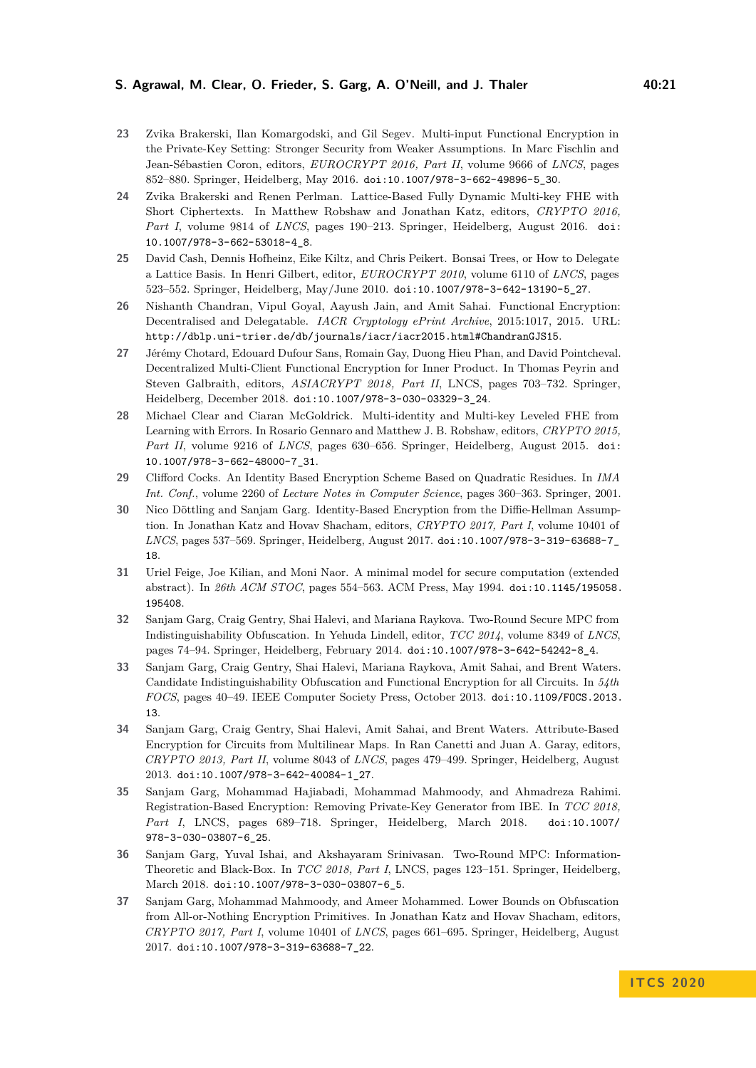#### **S. Agrawal, M. Clear, O. Frieder, S. Garg, A. O'Neill, and J. Thaler 40:21**

- <span id="page-20-12"></span>**23** Zvika Brakerski, Ilan Komargodski, and Gil Segev. Multi-input Functional Encryption in the Private-Key Setting: Stronger Security from Weaker Assumptions. In Marc Fischlin and Jean-Sébastien Coron, editors, *EUROCRYPT 2016, Part II*, volume 9666 of *LNCS*, pages 852–880. Springer, Heidelberg, May 2016. [doi:10.1007/978-3-662-49896-5\\_30](https://doi.org/10.1007/978-3-662-49896-5_30).
- <span id="page-20-7"></span>**24** Zvika Brakerski and Renen Perlman. Lattice-Based Fully Dynamic Multi-key FHE with Short Ciphertexts. In Matthew Robshaw and Jonathan Katz, editors, *CRYPTO 2016, Part I*, volume 9814 of *LNCS*, pages 190–213. Springer, Heidelberg, August 2016. [doi:](https://doi.org/10.1007/978-3-662-53018-4_8) [10.1007/978-3-662-53018-4\\_8](https://doi.org/10.1007/978-3-662-53018-4_8).
- <span id="page-20-10"></span>**25** David Cash, Dennis Hofheinz, Eike Kiltz, and Chris Peikert. Bonsai Trees, or How to Delegate a Lattice Basis. In Henri Gilbert, editor, *EUROCRYPT 2010*, volume 6110 of *LNCS*, pages 523–552. Springer, Heidelberg, May/June 2010. [doi:10.1007/978-3-642-13190-5\\_27](https://doi.org/10.1007/978-3-642-13190-5_27).
- <span id="page-20-14"></span>**26** Nishanth Chandran, Vipul Goyal, Aayush Jain, and Amit Sahai. Functional Encryption: Decentralised and Delegatable. *IACR Cryptology ePrint Archive*, 2015:1017, 2015. URL: <http://dblp.uni-trier.de/db/journals/iacr/iacr2015.html#ChandranGJS15>.
- <span id="page-20-1"></span>**27** Jérémy Chotard, Edouard Dufour Sans, Romain Gay, Duong Hieu Phan, and David Pointcheval. Decentralized Multi-Client Functional Encryption for Inner Product. In Thomas Peyrin and Steven Galbraith, editors, *ASIACRYPT 2018, Part II*, LNCS, pages 703–732. Springer, Heidelberg, December 2018. [doi:10.1007/978-3-030-03329-3\\_24](https://doi.org/10.1007/978-3-030-03329-3_24).
- <span id="page-20-6"></span>**28** Michael Clear and Ciaran McGoldrick. Multi-identity and Multi-key Leveled FHE from Learning with Errors. In Rosario Gennaro and Matthew J. B. Robshaw, editors, *CRYPTO 2015, Part II*, volume 9216 of *LNCS*, pages 630–656. Springer, Heidelberg, August 2015. [doi:](https://doi.org/10.1007/978-3-662-48000-7_31) [10.1007/978-3-662-48000-7\\_31](https://doi.org/10.1007/978-3-662-48000-7_31).
- <span id="page-20-9"></span>**29** Clifford Cocks. An Identity Based Encryption Scheme Based on Quadratic Residues. In *IMA Int. Conf.*, volume 2260 of *Lecture Notes in Computer Science*, pages 360–363. Springer, 2001.
- <span id="page-20-4"></span>**30** Nico Döttling and Sanjam Garg. Identity-Based Encryption from the Diffie-Hellman Assumption. In Jonathan Katz and Hovav Shacham, editors, *CRYPTO 2017, Part I*, volume 10401 of *LNCS*, pages 537–569. Springer, Heidelberg, August 2017. [doi:10.1007/978-3-319-63688-7\\_](https://doi.org/10.1007/978-3-319-63688-7_18) [18](https://doi.org/10.1007/978-3-319-63688-7_18).
- <span id="page-20-13"></span>**31** Uriel Feige, Joe Kilian, and Moni Naor. A minimal model for secure computation (extended abstract). In *26th ACM STOC*, pages 554–563. ACM Press, May 1994. [doi:10.1145/195058.](https://doi.org/10.1145/195058.195408) [195408](https://doi.org/10.1145/195058.195408).
- <span id="page-20-5"></span>**32** Sanjam Garg, Craig Gentry, Shai Halevi, and Mariana Raykova. Two-Round Secure MPC from Indistinguishability Obfuscation. In Yehuda Lindell, editor, *TCC 2014*, volume 8349 of *LNCS*, pages 74–94. Springer, Heidelberg, February 2014. [doi:10.1007/978-3-642-54242-8\\_4](https://doi.org/10.1007/978-3-642-54242-8_4).
- <span id="page-20-2"></span>**33** Sanjam Garg, Craig Gentry, Shai Halevi, Mariana Raykova, Amit Sahai, and Brent Waters. Candidate Indistinguishability Obfuscation and Functional Encryption for all Circuits. In *54th FOCS*, pages 40–49. IEEE Computer Society Press, October 2013. [doi:10.1109/FOCS.2013.](https://doi.org/10.1109/FOCS.2013.13) [13](https://doi.org/10.1109/FOCS.2013.13).
- <span id="page-20-11"></span>**34** Sanjam Garg, Craig Gentry, Shai Halevi, Amit Sahai, and Brent Waters. Attribute-Based Encryption for Circuits from Multilinear Maps. In Ran Canetti and Juan A. Garay, editors, *CRYPTO 2013, Part II*, volume 8043 of *LNCS*, pages 479–499. Springer, Heidelberg, August 2013. [doi:10.1007/978-3-642-40084-1\\_27](https://doi.org/10.1007/978-3-642-40084-1_27).
- <span id="page-20-0"></span>**35** Sanjam Garg, Mohammad Hajiabadi, Mohammad Mahmoody, and Ahmadreza Rahimi. Registration-Based Encryption: Removing Private-Key Generator from IBE. In *TCC 2018, Part I*, LNCS, pages 689–718. Springer, Heidelberg, March 2018. [doi:10.1007/](https://doi.org/10.1007/978-3-030-03807-6_25) [978-3-030-03807-6\\_25](https://doi.org/10.1007/978-3-030-03807-6_25).
- <span id="page-20-8"></span>**36** Sanjam Garg, Yuval Ishai, and Akshayaram Srinivasan. Two-Round MPC: Information-Theoretic and Black-Box. In *TCC 2018, Part I*, LNCS, pages 123–151. Springer, Heidelberg, March 2018. [doi:10.1007/978-3-030-03807-6\\_5](https://doi.org/10.1007/978-3-030-03807-6_5).
- <span id="page-20-3"></span>**37** Sanjam Garg, Mohammad Mahmoody, and Ameer Mohammed. Lower Bounds on Obfuscation from All-or-Nothing Encryption Primitives. In Jonathan Katz and Hovav Shacham, editors, *CRYPTO 2017, Part I*, volume 10401 of *LNCS*, pages 661–695. Springer, Heidelberg, August 2017. [doi:10.1007/978-3-319-63688-7\\_22](https://doi.org/10.1007/978-3-319-63688-7_22).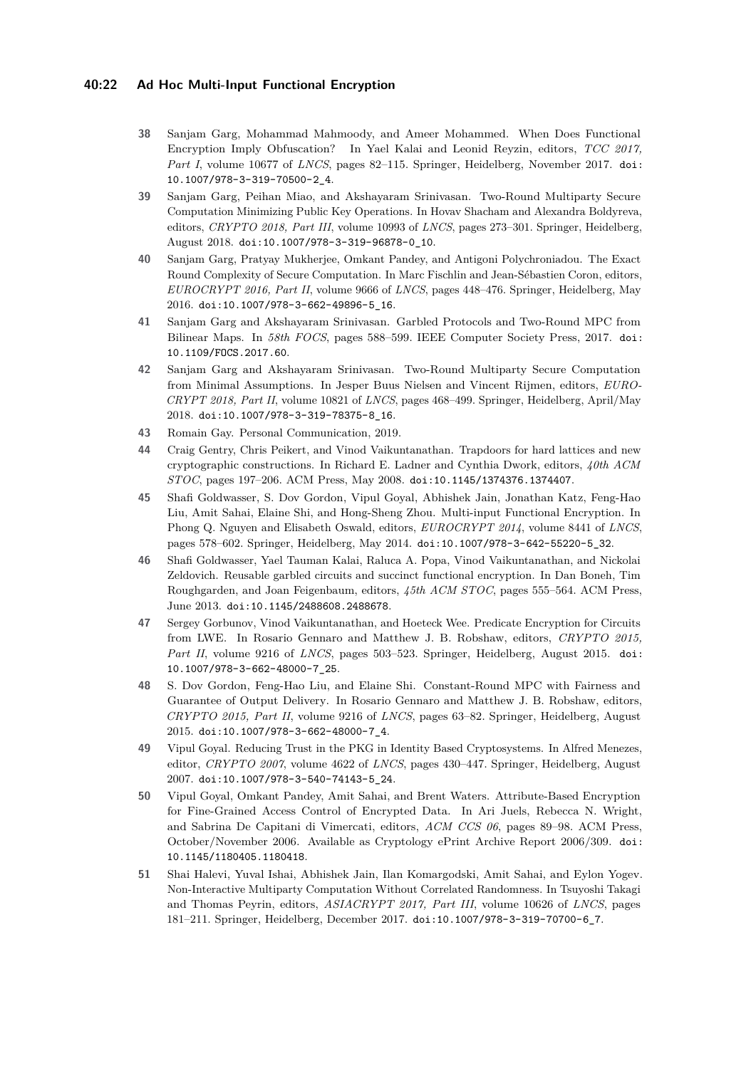### **40:22 Ad Hoc Multi-Input Functional Encryption**

- <span id="page-21-2"></span>**38** Sanjam Garg, Mohammad Mahmoody, and Ameer Mohammed. When Does Functional Encryption Imply Obfuscation? In Yael Kalai and Leonid Reyzin, editors, *TCC 2017, Part I*, volume 10677 of *LNCS*, pages 82–115. Springer, Heidelberg, November 2017. [doi:](https://doi.org/10.1007/978-3-319-70500-2_4) [10.1007/978-3-319-70500-2\\_4](https://doi.org/10.1007/978-3-319-70500-2_4).
- <span id="page-21-7"></span>**39** Sanjam Garg, Peihan Miao, and Akshayaram Srinivasan. Two-Round Multiparty Secure Computation Minimizing Public Key Operations. In Hovav Shacham and Alexandra Boldyreva, editors, *CRYPTO 2018, Part III*, volume 10993 of *LNCS*, pages 273–301. Springer, Heidelberg, August 2018. [doi:10.1007/978-3-319-96878-0\\_10](https://doi.org/10.1007/978-3-319-96878-0_10).
- <span id="page-21-6"></span>**40** Sanjam Garg, Pratyay Mukherjee, Omkant Pandey, and Antigoni Polychroniadou. The Exact Round Complexity of Secure Computation. In Marc Fischlin and Jean-Sébastien Coron, editors, *EUROCRYPT 2016, Part II*, volume 9666 of *LNCS*, pages 448–476. Springer, Heidelberg, May 2016. [doi:10.1007/978-3-662-49896-5\\_16](https://doi.org/10.1007/978-3-662-49896-5_16).
- <span id="page-21-3"></span>**41** Sanjam Garg and Akshayaram Srinivasan. Garbled Protocols and Two-Round MPC from Bilinear Maps. In *58th FOCS*, pages 588–599. IEEE Computer Society Press, 2017. [doi:](https://doi.org/10.1109/FOCS.2017.60) [10.1109/FOCS.2017.60](https://doi.org/10.1109/FOCS.2017.60).
- <span id="page-21-4"></span>**42** Sanjam Garg and Akshayaram Srinivasan. Two-Round Multiparty Secure Computation from Minimal Assumptions. In Jesper Buus Nielsen and Vincent Rijmen, editors, *EURO-CRYPT 2018, Part II*, volume 10821 of *LNCS*, pages 468–499. Springer, Heidelberg, April/May 2018. [doi:10.1007/978-3-319-78375-8\\_16](https://doi.org/10.1007/978-3-319-78375-8_16).
- <span id="page-21-9"></span>**43** Romain Gay. Personal Communication, 2019.
- <span id="page-21-11"></span>**44** Craig Gentry, Chris Peikert, and Vinod Vaikuntanathan. Trapdoors for hard lattices and new cryptographic constructions. In Richard E. Ladner and Cynthia Dwork, editors, *40th ACM STOC*, pages 197–206. ACM Press, May 2008. [doi:10.1145/1374376.1374407](https://doi.org/10.1145/1374376.1374407).
- <span id="page-21-0"></span>**45** Shafi Goldwasser, S. Dov Gordon, Vipul Goyal, Abhishek Jain, Jonathan Katz, Feng-Hao Liu, Amit Sahai, Elaine Shi, and Hong-Sheng Zhou. Multi-input Functional Encryption. In Phong Q. Nguyen and Elisabeth Oswald, editors, *EUROCRYPT 2014*, volume 8441 of *LNCS*, pages 578–602. Springer, Heidelberg, May 2014. [doi:10.1007/978-3-642-55220-5\\_32](https://doi.org/10.1007/978-3-642-55220-5_32).
- <span id="page-21-13"></span>**46** Shafi Goldwasser, Yael Tauman Kalai, Raluca A. Popa, Vinod Vaikuntanathan, and Nickolai Zeldovich. Reusable garbled circuits and succinct functional encryption. In Dan Boneh, Tim Roughgarden, and Joan Feigenbaum, editors, *45th ACM STOC*, pages 555–564. ACM Press, June 2013. [doi:10.1145/2488608.2488678](https://doi.org/10.1145/2488608.2488678).
- <span id="page-21-12"></span>**47** Sergey Gorbunov, Vinod Vaikuntanathan, and Hoeteck Wee. Predicate Encryption for Circuits from LWE. In Rosario Gennaro and Matthew J. B. Robshaw, editors, *CRYPTO 2015, Part II*, volume 9216 of *LNCS*, pages 503–523. Springer, Heidelberg, August 2015. [doi:](https://doi.org/10.1007/978-3-662-48000-7_25) [10.1007/978-3-662-48000-7\\_25](https://doi.org/10.1007/978-3-662-48000-7_25).
- <span id="page-21-5"></span>**48** S. Dov Gordon, Feng-Hao Liu, and Elaine Shi. Constant-Round MPC with Fairness and Guarantee of Output Delivery. In Rosario Gennaro and Matthew J. B. Robshaw, editors, *CRYPTO 2015, Part II*, volume 9216 of *LNCS*, pages 63–82. Springer, Heidelberg, August 2015. [doi:10.1007/978-3-662-48000-7\\_4](https://doi.org/10.1007/978-3-662-48000-7_4).
- <span id="page-21-1"></span>**49** Vipul Goyal. Reducing Trust in the PKG in Identity Based Cryptosystems. In Alfred Menezes, editor, *CRYPTO 2007*, volume 4622 of *LNCS*, pages 430–447. Springer, Heidelberg, August 2007. [doi:10.1007/978-3-540-74143-5\\_24](https://doi.org/10.1007/978-3-540-74143-5_24).
- <span id="page-21-10"></span>**50** Vipul Goyal, Omkant Pandey, Amit Sahai, and Brent Waters. Attribute-Based Encryption for Fine-Grained Access Control of Encrypted Data. In Ari Juels, Rebecca N. Wright, and Sabrina De Capitani di Vimercati, editors, *ACM CCS 06*, pages 89–98. ACM Press, October/November 2006. Available as Cryptology ePrint Archive Report 2006/309. [doi:](https://doi.org/10.1145/1180405.1180418) [10.1145/1180405.1180418](https://doi.org/10.1145/1180405.1180418).
- <span id="page-21-8"></span>**51** Shai Halevi, Yuval Ishai, Abhishek Jain, Ilan Komargodski, Amit Sahai, and Eylon Yogev. Non-Interactive Multiparty Computation Without Correlated Randomness. In Tsuyoshi Takagi and Thomas Peyrin, editors, *ASIACRYPT 2017, Part III*, volume 10626 of *LNCS*, pages 181–211. Springer, Heidelberg, December 2017. [doi:10.1007/978-3-319-70700-6\\_7](https://doi.org/10.1007/978-3-319-70700-6_7).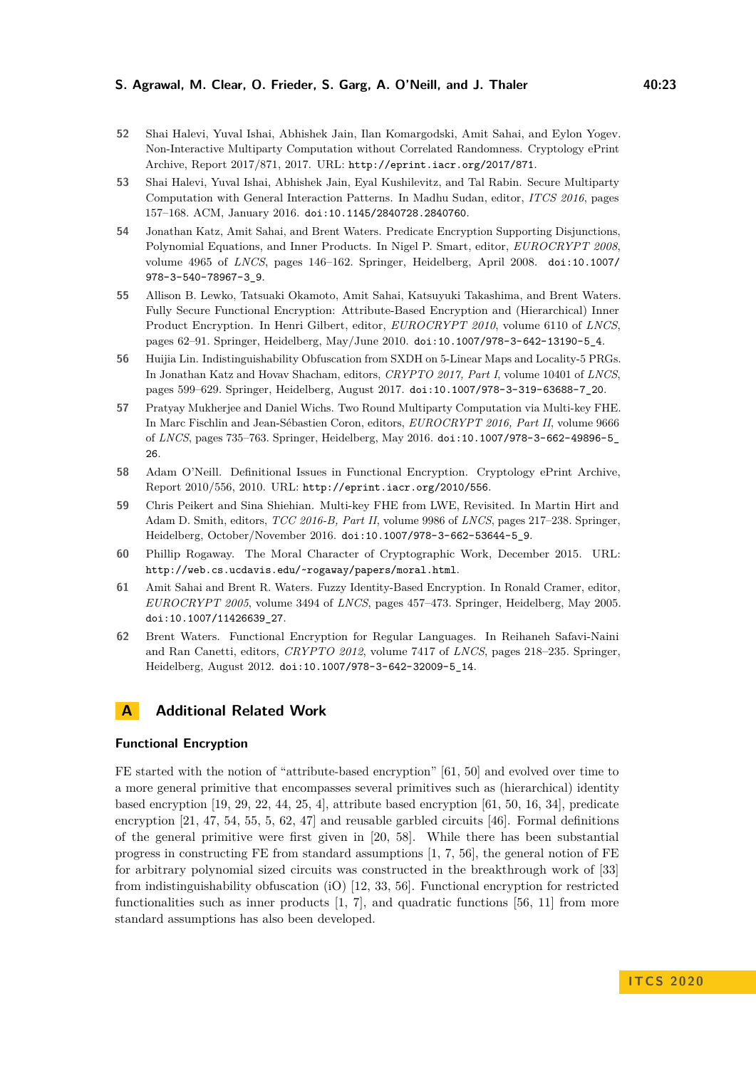- <span id="page-22-11"></span>**52** Shai Halevi, Yuval Ishai, Abhishek Jain, Ilan Komargodski, Amit Sahai, and Eylon Yogev. Non-Interactive Multiparty Computation without Correlated Randomness. Cryptology ePrint Archive, Report 2017/871, 2017. URL: <http://eprint.iacr.org/2017/871>.
- <span id="page-22-10"></span>**53** Shai Halevi, Yuval Ishai, Abhishek Jain, Eyal Kushilevitz, and Tal Rabin. Secure Multiparty Computation with General Interaction Patterns. In Madhu Sudan, editor, *ITCS 2016*, pages 157–168. ACM, January 2016. [doi:10.1145/2840728.2840760](https://doi.org/10.1145/2840728.2840760).
- <span id="page-22-2"></span>**54** Jonathan Katz, Amit Sahai, and Brent Waters. Predicate Encryption Supporting Disjunctions, Polynomial Equations, and Inner Products. In Nigel P. Smart, editor, *EUROCRYPT 2008*, volume 4965 of *LNCS*, pages 146–162. Springer, Heidelberg, April 2008. [doi:10.1007/](https://doi.org/10.1007/978-3-540-78967-3_9) [978-3-540-78967-3\\_9](https://doi.org/10.1007/978-3-540-78967-3_9).
- <span id="page-22-6"></span>**55** Allison B. Lewko, Tatsuaki Okamoto, Amit Sahai, Katsuyuki Takashima, and Brent Waters. Fully Secure Functional Encryption: Attribute-Based Encryption and (Hierarchical) Inner Product Encryption. In Henri Gilbert, editor, *EUROCRYPT 2010*, volume 6110 of *LNCS*, pages 62–91. Springer, Heidelberg, May/June 2010. [doi:10.1007/978-3-642-13190-5\\_4](https://doi.org/10.1007/978-3-642-13190-5_4).
- <span id="page-22-9"></span>**56** Huijia Lin. Indistinguishability Obfuscation from SXDH on 5-Linear Maps and Locality-5 PRGs. In Jonathan Katz and Hovav Shacham, editors, *CRYPTO 2017, Part I*, volume 10401 of *LNCS*, pages 599–629. Springer, Heidelberg, August 2017. [doi:10.1007/978-3-319-63688-7\\_20](https://doi.org/10.1007/978-3-319-63688-7_20).
- <span id="page-22-1"></span>**57** Pratyay Mukherjee and Daniel Wichs. Two Round Multiparty Computation via Multi-key FHE. In Marc Fischlin and Jean-Sébastien Coron, editors, *EUROCRYPT 2016, Part II*, volume 9666 of *LNCS*, pages 735–763. Springer, Heidelberg, May 2016. [doi:10.1007/978-3-662-49896-5\\_](https://doi.org/10.1007/978-3-662-49896-5_26) [26](https://doi.org/10.1007/978-3-662-49896-5_26).
- <span id="page-22-8"></span>**58** Adam O'Neill. Definitional Issues in Functional Encryption. Cryptology ePrint Archive, Report 2010/556, 2010. URL: <http://eprint.iacr.org/2010/556>.
- <span id="page-22-3"></span>**59** Chris Peikert and Sina Shiehian. Multi-key FHE from LWE, Revisited. In Martin Hirt and Adam D. Smith, editors, *TCC 2016-B, Part II*, volume 9986 of *LNCS*, pages 217–238. Springer, Heidelberg, October/November 2016. [doi:10.1007/978-3-662-53644-5\\_9](https://doi.org/10.1007/978-3-662-53644-5_9).
- <span id="page-22-0"></span>**60** Phillip Rogaway. The Moral Character of Cryptographic Work, December 2015. URL: <http://web.cs.ucdavis.edu/~rogaway/papers/moral.html>.
- <span id="page-22-5"></span>**61** Amit Sahai and Brent R. Waters. Fuzzy Identity-Based Encryption. In Ronald Cramer, editor, *EUROCRYPT 2005*, volume 3494 of *LNCS*, pages 457–473. Springer, Heidelberg, May 2005. [doi:10.1007/11426639\\_27](https://doi.org/10.1007/11426639_27).
- <span id="page-22-7"></span>**62** Brent Waters. Functional Encryption for Regular Languages. In Reihaneh Safavi-Naini and Ran Canetti, editors, *CRYPTO 2012*, volume 7417 of *LNCS*, pages 218–235. Springer, Heidelberg, August 2012. [doi:10.1007/978-3-642-32009-5\\_14](https://doi.org/10.1007/978-3-642-32009-5_14).

# <span id="page-22-4"></span>**A Additional Related Work**

### **Functional Encryption**

FE started with the notion of "attribute-based encryption" [\[61,](#page-22-5) [50\]](#page-21-10) and evolved over time to a more general primitive that encompasses several primitives such as (hierarchical) identity based encryption [\[19,](#page-19-8) [29,](#page-20-9) [22,](#page-19-9) [44,](#page-21-11) [25,](#page-20-10) [4\]](#page-18-5), attribute based encryption [\[61,](#page-22-5) [50,](#page-21-10) [16,](#page-19-10) [34\]](#page-20-11), predicate encryption [\[21,](#page-19-11) [47,](#page-21-12) [54,](#page-22-2) [55,](#page-22-6) [5,](#page-18-6) [62,](#page-22-7) [47\]](#page-21-12) and reusable garbled circuits [\[46\]](#page-21-13). Formal definitions of the general primitive were first given in [\[20,](#page-19-0) [58\]](#page-22-8). While there has been substantial progress in constructing FE from standard assumptions [\[1,](#page-18-0) [7,](#page-19-12) [56\]](#page-22-9), the general notion of FE for arbitrary polynomial sized circuits was constructed in the breakthrough work of [\[33\]](#page-20-2) from indistinguishability obfuscation (iO) [\[12,](#page-19-13) [33,](#page-20-2) [56\]](#page-22-9). Functional encryption for restricted functionalities such as inner products  $[1, 7]$  $[1, 7]$  $[1, 7]$ , and quadratic functions  $[56, 11]$  $[56, 11]$  $[56, 11]$  from more standard assumptions has also been developed.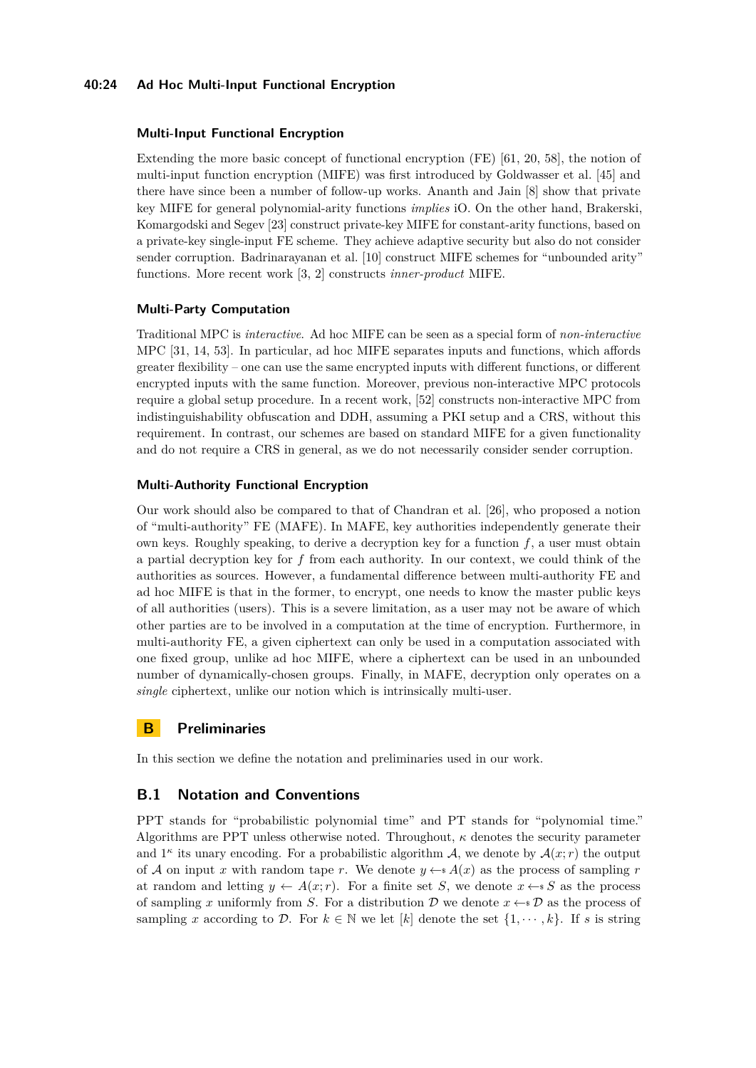### **40:24 Ad Hoc Multi-Input Functional Encryption**

#### **Multi-Input Functional Encryption**

Extending the more basic concept of functional encryption (FE) [\[61,](#page-22-5) [20,](#page-19-0) [58\]](#page-22-8), the notion of multi-input function encryption (MIFE) was first introduced by Goldwasser et al. [\[45\]](#page-21-0) and there have since been a number of follow-up works. Ananth and Jain [\[8\]](#page-19-3) show that private key MIFE for general polynomial-arity functions *implies* iO. On the other hand, Brakerski, Komargodski and Segev [\[23\]](#page-20-12) construct private-key MIFE for constant-arity functions, based on a private-key single-input FE scheme. They achieve adaptive security but also do not consider sender corruption. Badrinarayanan et al. [\[10\]](#page-19-2) construct MIFE schemes for "unbounded arity" functions. More recent work [\[3,](#page-18-1) [2\]](#page-18-2) constructs *inner-product* MIFE.

#### **Multi-Party Computation**

Traditional MPC is *interactive*. Ad hoc MIFE can be seen as a special form of *non-interactive* MPC [\[31,](#page-20-13) [14,](#page-19-15) [53\]](#page-22-10). In particular, ad hoc MIFE separates inputs and functions, which affords greater flexibility – one can use the same encrypted inputs with different functions, or different encrypted inputs with the same function. Moreover, previous non-interactive MPC protocols require a global setup procedure. In a recent work, [\[52\]](#page-22-11) constructs non-interactive MPC from indistinguishability obfuscation and DDH, assuming a PKI setup and a CRS, without this requirement. In contrast, our schemes are based on standard MIFE for a given functionality and do not require a CRS in general, as we do not necessarily consider sender corruption.

#### **Multi-Authority Functional Encryption**

Our work should also be compared to that of Chandran et al. [\[26\]](#page-20-14), who proposed a notion of "multi-authority" FE (MAFE). In MAFE, key authorities independently generate their own keys. Roughly speaking, to derive a decryption key for a function *f*, a user must obtain a partial decryption key for *f* from each authority. In our context, we could think of the authorities as sources. However, a fundamental difference between multi-authority FE and ad hoc MIFE is that in the former, to encrypt, one needs to know the master public keys of all authorities (users). This is a severe limitation, as a user may not be aware of which other parties are to be involved in a computation at the time of encryption. Furthermore, in multi-authority FE, a given ciphertext can only be used in a computation associated with one fixed group, unlike ad hoc MIFE, where a ciphertext can be used in an unbounded number of dynamically-chosen groups. Finally, in MAFE, decryption only operates on a *single* ciphertext, unlike our notion which is intrinsically multi-user.

# <span id="page-23-0"></span>**B Preliminaries**

In this section we define the notation and preliminaries used in our work.

#### **B.1 Notation and Conventions**

PPT stands for "probabilistic polynomial time" and PT stands for "polynomial time." Algorithms are PPT unless otherwise noted. Throughout, *κ* denotes the security parameter and  $1^{\kappa}$  its unary encoding. For a probabilistic algorithm A, we denote by  $\mathcal{A}(x; r)$  the output of A on input x with random tape r. We denote  $y \leftarrow A(x)$  as the process of sampling r at random and letting  $y \leftarrow A(x; r)$ . For a finite set *S*, we denote  $x \leftarrow s S$  as the process of sampling x uniformly from *S*. For a distribution  $D$  we denote  $x \leftarrow s \mathcal{D}$  as the process of sampling *x* according to D. For  $k \in \mathbb{N}$  we let  $[k]$  denote the set  $\{1, \dots, k\}$ . If *s* is string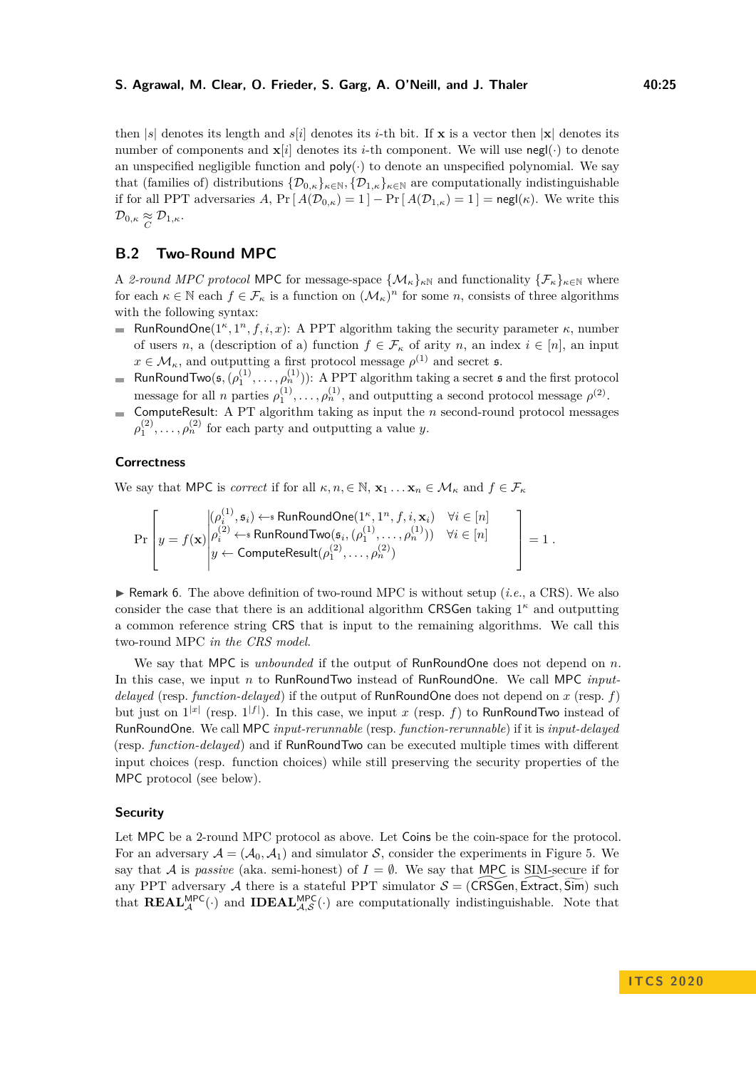then  $|s|$  denotes its length and  $s[i]$  denotes its *i*-th bit. If **x** is a vector then  $|\mathbf{x}|$  denotes its number of components and  $\mathbf{x}[i]$  denotes its *i*-th component. We will use negl( $\cdot$ ) to denote an unspecified negligible function and  $\text{poly}(\cdot)$  to denote an unspecified polynomial. We say that (families of) distributions  $\{D_{0,\kappa}\}_{\kappa\in\mathbb{N}}$ ,  $\{D_{1,\kappa}\}_{\kappa\in\mathbb{N}}$  are computationally indistinguishable if for all PPT adversaries *A*,  $Pr[A(\mathcal{D}_{0,\kappa}) = 1] - Pr[A(\mathcal{D}_{1,\kappa}) = 1] = \mathsf{negl}(\kappa)$ . We write this  $\mathcal{D}_{0,\kappa} \underset{C}{\approx} \mathcal{D}_{1,\kappa}.$ 

# **B.2 Two-Round MPC**

A 2-round MPC protocol MPC for message-space  $\{\mathcal{M}_{\kappa}\}_{\kappa N}$  and functionality  $\{\mathcal{F}_{\kappa}\}_{\kappa \in \mathbb{N}}$  where for each  $\kappa \in \mathbb{N}$  each  $f \in \mathcal{F}_{\kappa}$  is a function on  $(\mathcal{M}_{\kappa})^n$  for some *n*, consists of three algorithms with the following syntax:

- RunRoundOne( $1^{\kappa}, 1^n, f, i, x$ ): A PPT algorithm taking the security parameter  $\kappa$ , number of users *n*, a (description of a) function  $f \in \mathcal{F}_{\kappa}$  of arity *n*, an index  $i \in [n]$ , an input  $x \in M_{\kappa}$ , and outputting a first protocol message  $\rho^{(1)}$  and secret **s**.
- RunRoundTwo( $\mathfrak{s},(\rho_1^{(1)},\ldots,\rho_n^{(1)})$ ): A PPT algorithm taking a secret  $\mathfrak{s}$  and the first protocol m. message for all *n* parties  $\rho_1^{(1)}, \ldots, \rho_n^{(1)}$ , and outputting a second protocol message  $\rho^{(2)}$ .
- ComputeResult: A PT algorithm taking as input the *n* second-round protocol messages  $\rho_1^{(2)}, \ldots, \rho_n^{(2)}$  for each party and outputting a value *y*.

#### **Correctness**

We say that MPC is *correct* if for all  $\kappa, n \in \mathbb{N}$ ,  $\mathbf{x}_1 \dots \mathbf{x}_n \in \mathcal{M}_\kappa$  and  $f \in \mathcal{F}_\kappa$ 

$$
\Pr\left[y = f(\mathbf{x}) \middle| \begin{aligned} &\rho_i^{(1)}, \mathfrak{s}_i \rangle \leftrightarrow \text{RunRoundOne}(1^{\kappa}, 1^n, f, i, \mathbf{x}_i) &\forall i \in [n] \\ &\rho_i^{(2)} \leftrightarrow \text{RunRoundTwo}(\mathfrak{s}_i, (\rho_1^{(1)}, \dots, \rho_n^{(1)})) &\forall i \in [n] \\ &y \leftarrow \text{ComputeResult}(\rho_1^{(2)}, \dots, \rho_n^{(2)}) &\end{aligned}\right\} = 1.
$$

 $\triangleright$  Remark 6. The above definition of two-round MPC is without setup *(i.e., a CRS)*. We also consider the case that there is an additional algorithm CRSGen taking 1 *<sup>κ</sup>* and outputting a common reference string CRS that is input to the remaining algorithms. We call this two-round MPC *in the CRS model*.

We say that MPC is *unbounded* if the output of RunRoundOne does not depend on *n*. In this case, we input *n* to RunRoundTwo instead of RunRoundOne. We call MPC *inputdelayed* (resp. *function-delayed*) if the output of RunRoundOne does not depend on *x* (resp. *f*) but just on  $1^{|x|}$  (resp.  $1^{|f|}$ ). In this case, we input *x* (resp. *f*) to RunRoundTwo instead of RunRoundOne. We call MPC *input-rerunnable* (resp. *function-rerunnable*) if it is *input-delayed* (resp. *function-delayed*) and if RunRoundTwo can be executed multiple times with different input choices (resp. function choices) while still preserving the security properties of the MPC protocol (see below).

#### **Security**

Let MPC be a 2-round MPC protocol as above. Let Coins be the coin-space for the protocol. For an adversary  $\mathcal{A} = (\mathcal{A}_0, \mathcal{A}_1)$  and simulator S, consider the experiments in Figure [5.](#page-25-0) We say that A is *passive* (aka. semi-honest) of  $I = \emptyset$ . We say that MPC is SIM-secure if for any PPT adversary A there is a stateful PPT simulator  $S = (CRSGen, Extract, Sim)$  such that  $\text{REAL}_{\mathcal{A}}^{\text{MPC}}(\cdot)$  and  $\text{IDEAL}_{\mathcal{A},\mathcal{S}}^{\text{MPC}}(\cdot)$  are computationally indistinguishable. Note that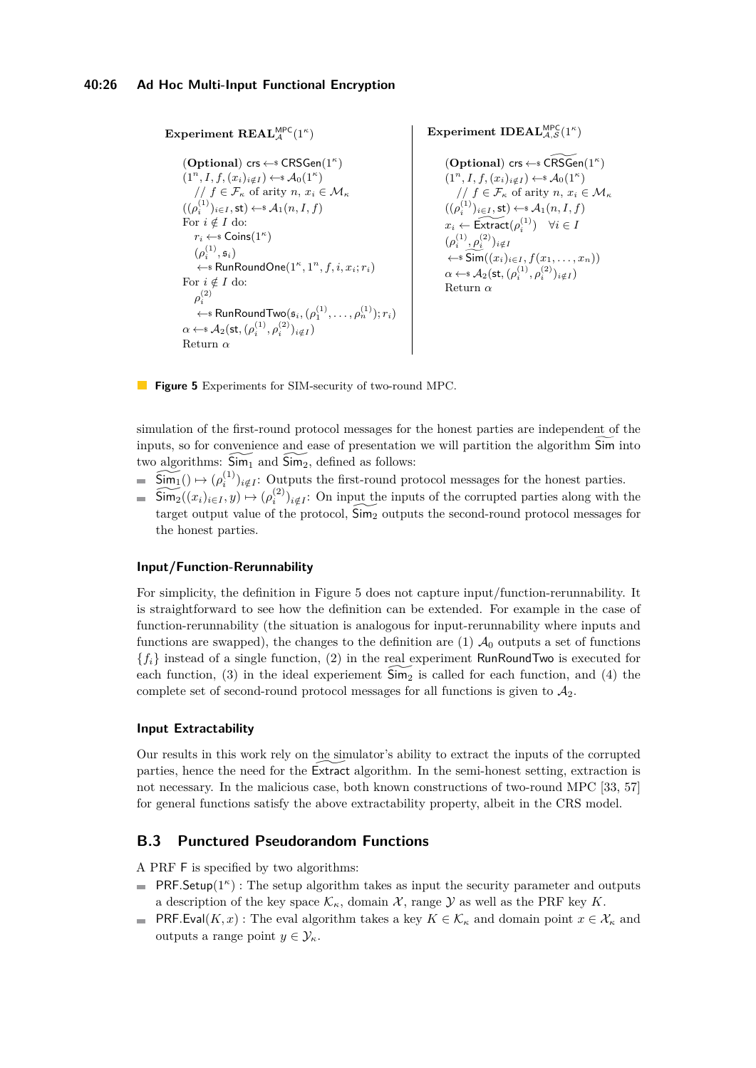```
\mathbf{Experiment}\ \mathbf{REAL}_{\mathcal{A}}^{\mathsf{MPC}}(1^{\kappa})(Optional) crs ←$ CRSGen(1κ
)
       (1^n, I, f, (x_i)_{i \notin I}) \leftarrow \mathcal{A}_0(1^{\kappa})1/f \in \mathcal{F}_{\kappa} of arity n, x_i \in \mathcal{M}_{\kappa}((\rho_i^{(1)})_{i \in I}, \operatorname{\mathsf{st}}) \leftarrow \operatorname{\mathsf{st}} \mathcal{A}_1(n, I, f)For i \notin I do:
            r_i \leftarrow Coins(1^{\kappa})(\rho_i^{(1)}, \mathfrak{s}_i)\leftarrow RunRoundOne(1^{\kappa}, 1^n, f, i, x_i; r_i)For i \notin I do:
            \rho_i^{(2)}\leftarrow * RunRoundTwo(\mathfrak{s}_i, (\rho_1^{(1)}, \ldots, \rho_n^{(1)}); r_i)\alpha \leftarrow * \mathcal{A}_2(\mathsf{st},(\rho_i^{(1)},\rho_i^{(2)})_{i\notin I})Return α
```
**Experiment IDEAL**<sup>MPC</sup><sub>*A*</sub>, $S(1^{\kappa})$ 

 $($ **Optional** $)$  crs  $\leftarrow$  **\***  $\widetilde{\text{CRSGen}}(1^{\kappa})$  $(1^n, I, f, (x_i)_{i \notin I}) \leftarrow \mathcal{A}_0(1^{\kappa})$  $// f ∈ F<sub>κ</sub> of arity n, x<sub>i</sub> ∈ M<sub>κ</sub>$  $((\rho_i^{(1)})_{i \in I}, \mathsf{st}) \leftarrow \mathsf{s} \mathcal{A}_1(n, I, f)$  $x_i \leftarrow \widetilde{\text{Extract}}(\rho_i^{(1)}) \quad \forall i \in I$  $(\rho_i^{(1)}, \rho_i^{(2)})_{i \notin I}$  $\xleftarrow{\text{ss}}$   $\widetilde{\text{Sim}}((x_i)_{i \in I}, f(x_1, \ldots, x_n))$  $\alpha \leftarrow$  **s**  $\mathcal{A}_2(\textsf{st},(\rho_i^{(1)},\rho_i^{(2)})_{i\notin I})$ Return *α*

**Figure 5** Experiments for SIM-security of two-round MPC.

simulation of the first-round protocol messages for the honest parties are independent of the inputs, so for convenience and ease of presentation we will partition the algorithm Sim into two algorithms:  $\widetilde{\mathsf{Sim}}_1$  and  $\widetilde{\mathsf{Sim}}_2$ , defined as follows:

- $\widetilde{\text{Sim}_1}() \mapsto (\rho_i^{(1)})_{i \notin I}$ : Outputs the first-round protocol messages for the honest parties.
- $\widetilde{\text{Sim}_2}((x_i)_{i \in I}, y) \mapsto (\rho_i^{(2)})_{i \notin I}$ : On input the inputs of the corrupted parties along with the target output value of the protocol,  $\overline{\text{Sim}_2}$  outputs the second-round protocol messages for the honest parties.

### **Input/Function-Rerunnability**

For simplicity, the definition in Figure [5](#page-25-0) does not capture input/function-rerunnability. It is straightforward to see how the definition can be extended. For example in the case of function-rerunnability (the situation is analogous for input-rerunnability where inputs and functions are swapped), the changes to the definition are (1)  $\mathcal{A}_0$  outputs a set of functions  ${f_i}$  instead of a single function, (2) in the real experiment RunRoundTwo is executed for each function, (3) in the ideal experiement  $\overline{\text{Sim}}_2$  is called for each function, and (4) the complete set of second-round protocol messages for all functions is given to  $A_2$ .

### **Input Extractability**

Our results in this work rely on the simulator's ability to extract the inputs of the corrupted parties, hence the need for the Extract algorithm. In the semi-honest setting, extraction is not necessary. In the malicious case, both known constructions of two-round MPC [\[33,](#page-20-2) [57\]](#page-22-1) for general functions satisfy the above extractability property, albeit in the CRS model.

# **B.3 Punctured Pseudorandom Functions**

A PRF F is specified by two algorithms:

- PRF. Setup( $1^{\kappa}$ ) : The setup algorithm takes as input the security parameter and outputs a description of the key space  $\mathcal{K}_{\kappa}$ , domain  $\mathcal{X}$ , range  $\mathcal{Y}$  as well as the PRF key  $K$ .
- PRF*.Eval*(*K, x*) : The eval algorithm takes a key  $K \in \mathcal{K}_{\kappa}$  and domain point  $x \in \mathcal{X}_{\kappa}$  and outputs a range point  $y \in \mathcal{Y}_\kappa$ .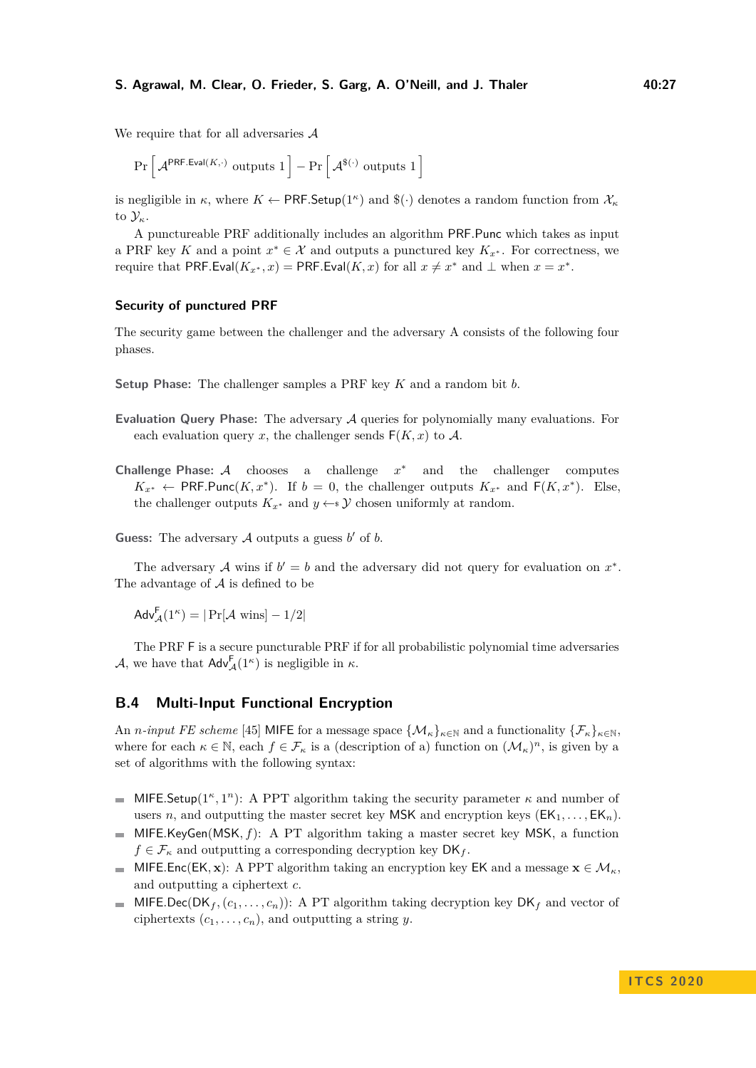We require that for all adversaries A

$$
\Pr\left[\, \mathcal{A}^{\mathsf{PRF.Eval}(K,\cdot)} \text{ outputs } 1 \,\right] - \Pr\left[\, \mathcal{A}^{\$(\cdot)} \text{ outputs } 1 \,\right]
$$

is negligible in  $\kappa$ , where  $K \leftarrow \textsf{PRF}.\textsf{Setup}(1^{\kappa})$  and  $\mathcal{F}(\cdot)$  denotes a random function from  $\mathcal{X}_{\kappa}$ to Y*κ*.

A punctureable PRF additionally includes an algorithm PRF*.*Punc which takes as input a PRF key K and a point  $x^* \in \mathcal{X}$  and outputs a punctured key  $K_{x^*}$ . For correctness, we require that PRF.Eval( $K_x^*, x$ ) = PRF.Eval( $K, x$ ) for all  $x \neq x^*$  and  $\perp$  when  $x = x^*$ .

#### **Security of punctured PRF**

The security game between the challenger and the adversary A consists of the following four phases.

**Setup Phase:** The challenger samples a PRF key *K* and a random bit *b*.

- **Evaluation Query Phase:** The adversary A queries for polynomially many evaluations. For each evaluation query *x*, the challenger sends  $F(K, x)$  to A.
- **Challenge Phase:** A chooses a challenge *x* and the challenger computes  $K_{x^*} \leftarrow \textsf{PRF.Punc}(K, x^*)$ . If *b* = 0, the challenger outputs  $K_{x^*}$  and  $\textsf{F}(K, x^*)$ . Else, the challenger outputs  $K_{x^*}$  and  $y \leftarrow y$  chosen uniformly at random.

Guess: The adversary  $A$  outputs a guess  $b'$  of  $b$ .

The adversary A wins if  $b' = b$  and the adversary did not query for evaluation on  $x^*$ . The advantage of  $A$  is defined to be

 $\mathsf{Adv}_{\mathcal{A}}^{\mathsf{F}}(1^{\kappa}) = |\Pr[\mathcal{A} \text{ wins}] - 1/2|$ 

The PRF F is a secure puncturable PRF if for all probabilistic polynomial time adversaries A, we have that  $\mathsf{Adv}_{\mathcal{A}}^{\mathsf{F}}(1^{\kappa})$  is negligible in  $\kappa$ .

### **B.4 Multi-Input Functional Encryption**

An *n-input FE scheme* [\[45\]](#page-21-0) MIFE for a message space  $\{\mathcal{M}_{\kappa}\}_{\kappa \in \mathbb{N}}$  and a functionality  $\{\mathcal{F}_{\kappa}\}_{\kappa \in \mathbb{N}}$ , where for each  $\kappa \in \mathbb{N}$ , each  $f \in \mathcal{F}_{\kappa}$  is a (description of a) function on  $(\mathcal{M}_{\kappa})^n$ , is given by a set of algorithms with the following syntax:

- MIFE.Setup( $1^{\kappa}, 1^n$ ): A PPT algorithm taking the security parameter  $\kappa$  and number of  $\mathbf{r}$ users *n*, and outputting the master secret key MSK and encryption keys  $(EK_1, \ldots, EK_n)$ .
- MIFE*.*KeyGen(MSK*, f*): A PT algorithm taking a master secret key MSK, a function  $f \in \mathcal{F}_{\kappa}$  and outputting a corresponding decryption key  $\mathsf{DK}_f$ .
- MIFE<sub>rc</sub>(EK, **x**): A PPT algorithm taking an encryption key EK and a message  $\mathbf{x} \in \mathcal{M}_{\kappa}$ . and outputting a ciphertext *c*.
- $\blacksquare$  MIFE.Dec(DK<sub>f</sub>, ( $c_1, \ldots, c_n$ )): A PT algorithm taking decryption key DK<sub>f</sub> and vector of ciphertexts  $(c_1, \ldots, c_n)$ , and outputting a string *y*.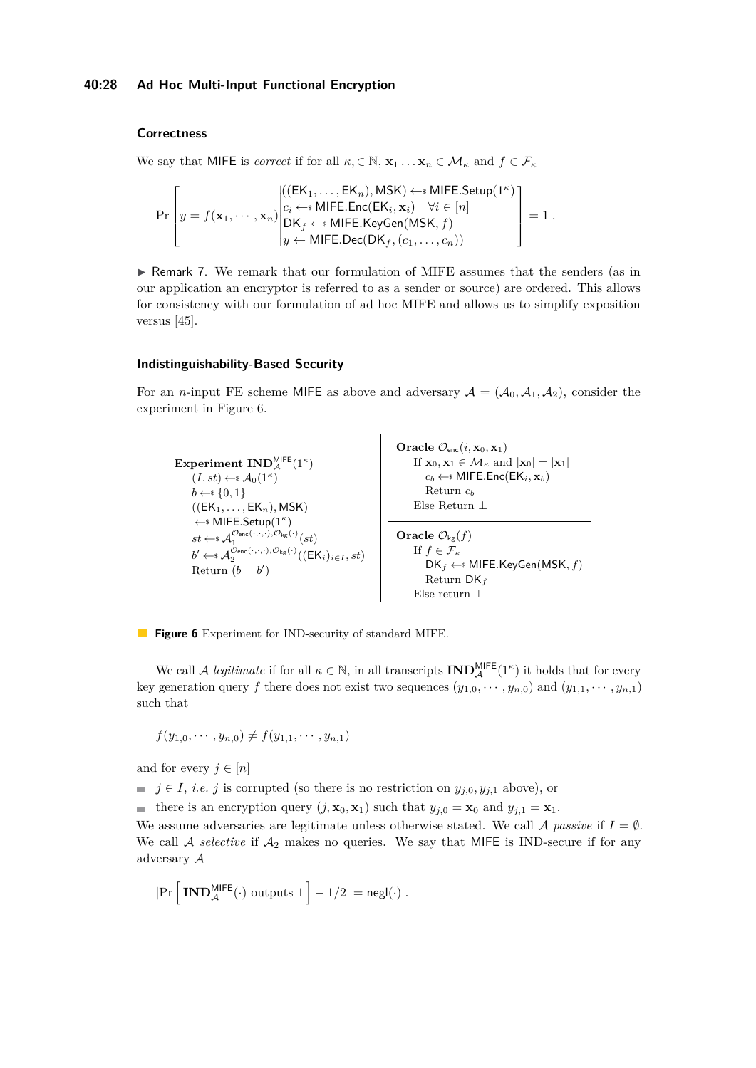### **Correctness**

We say that MIFE is *correct* if for all  $\kappa, \in \mathbb{N}, \mathbf{x}_1 \dots \mathbf{x}_n \in \mathcal{M}_\kappa$  and  $f \in \mathcal{F}_\kappa$ 

$$
\Pr\left[y = f(\mathbf{x}_1, \cdots, \mathbf{x}_n) \middle| \begin{aligned} & ((\mathsf{EK}_1, \ldots, \mathsf{EK}_n), \mathsf{MSK}) \leftarrow^* \mathsf{MIFE}.\mathsf{Setup}(1^\kappa) \\ & c_i \leftarrow^* \mathsf{MIFE}.\mathsf{Enc}(\mathsf{EK}_i, \mathbf{x}_i) \quad \forall i \in [n] \\ & \mathsf{DK}_f \leftarrow^* \mathsf{MIFE}.\mathsf{KeyGen}(\mathsf{MSK}, f) \\ & y \leftarrow \mathsf{MIFE}.\mathsf{Dec}(\mathsf{DK}_f, (c_1, \ldots, c_n)) \end{aligned} \right) \right] = 1 \ .
$$

▶ Remark 7. We remark that our formulation of MIFE assumes that the senders (as in our application an encryptor is referred to as a sender or source) are ordered. This allows for consistency with our formulation of ad hoc MIFE and allows us to simplify exposition versus [\[45\]](#page-21-0).

#### **Indistinguishability-Based Security**

For an *n*-input FE scheme MIFE as above and adversary  $A = (A_0, A_1, A_2)$ , consider the experiment in Figure [6.](#page-27-0)

<span id="page-27-0"></span>

**Figure 6** Experiment for IND-security of standard MIFE.

We call A *legitimate* if for all  $\kappa \in \mathbb{N}$ , in all transcripts  $\text{IND}_{\mathcal{A}}^{\text{MFE}}(1^{\kappa})$  it holds that for every key generation query *f* there does not exist two sequences  $(y_{1,0}, \dots, y_{n,0})$  and  $(y_{1,1}, \dots, y_{n,1})$ such that

$$
f(y_{1,0},\cdots,y_{n,0})\neq f(y_{1,1},\cdots,y_{n,1})
$$

and for every  $j \in [n]$ 

 $\blacksquare$  *j*  $\in$  *I*, *i.e. j* is corrupted (so there is no restriction on  $y_{j,0}, y_{j,1}$  above), or

there is an encryption query  $(j, \mathbf{x}_0, \mathbf{x}_1)$  such that  $y_{j,0} = \mathbf{x}_0$  and  $y_{j,1} = \mathbf{x}_1$ .

We assume adversaries are legitimate unless otherwise stated. We call  $\mathcal A$  *passive* if  $I = \emptyset$ . We call  $A$  *selective* if  $A_2$  makes no queries. We say that MIFE is IND-secure if for any adversary A

$$
|\mathrm{Pr}\left[\,\mathbf{IND}_{\mathcal{A}}^{\mathsf{MIFE}}(\cdot)\,\,\text{outputs}\,\,1\,\right]-1/2|=\mathsf{negl}(\cdot)\;.
$$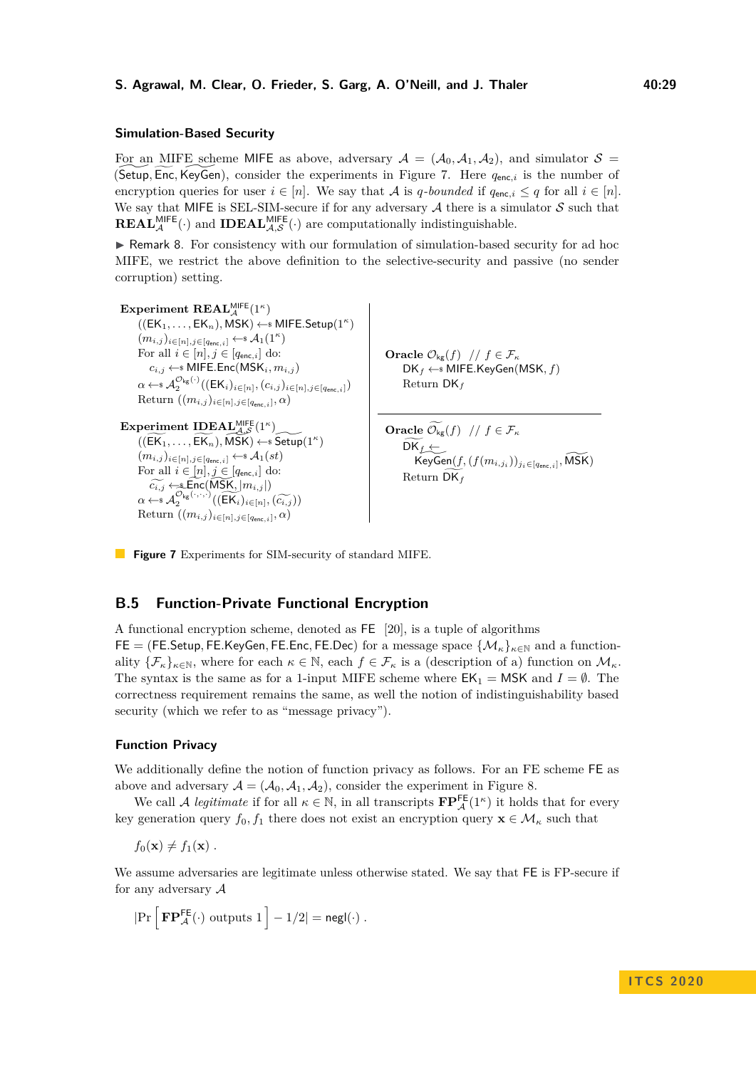#### **Simulation-Based Security**

For an MIFE scheme MIFE as above, adversary  $A = (A_0, A_1, A_2)$ , and simulator  $S =$ (Setup, Enc, KeyGen), consider the experiments in Figure [7.](#page-28-0) Here  $q_{enc,i}$  is the number of encryption queries for user  $i \in [n]$ . We say that A is *q*-bounded if  $q_{\text{enc},i} \leq q$  for all  $i \in [n]$ . We say that MIFE is SEL-SIM-secure if for any adversary  $A$  there is a simulator  $S$  such that  $\mathbf{REAL}_{\mathcal{A}}^{\mathsf{MIFE}}(\cdot)$  and  $\mathbf{IDEAL}_{\mathcal{A},\mathcal{S}}^{\mathsf{MIFE}}(\cdot)$  are computationally indistinguishable.

 $\blacktriangleright$  Remark 8. For consistency with our formulation of simulation-based security for ad hoc MIFE, we restrict the above definition to the selective-security and passive (no sender corruption) setting.

```
\mathbf{Experiment}\ \mathbf{REAL}_{\mathcal{A}}^{\mathsf{MIEE}}(1^{\kappa})((EK_1, \ldots, EK_n), \mathsf{MSK}) \leftarrow \mathsf{sMIFE}. Setup(1^{\kappa})(m_{i,j})_{i \in [n], j \in [q_{\mathsf{enc},i}]}\leftarrow \mathcal{A}_1(1^\kappa)For all i \in [n], j \in [q_{enc,i}] do:
              c_{i,j} \leftarrow MIFE.Enc(MSK<sub>i</sub></sub>, m<sub>i,j</sub>)
         \alpha \leftarrow \mathcal{A}_2^{\mathcal{O}_{\mathsf{kg}}(\cdot)}((\mathsf{EK}_i)_{i \in [n]},(c_{i,j})_{i \in [n],j \in [q_{\mathsf{enc},i}]})\text{Return } ((m_{i,j})_{i \in [n], j \in [q_{\text{enc},i}]}, \alpha)Experiment IDEAL<sup>MIFE</sup>(1<sup>κ</sup>)</sub>
         ((\widetilde{\mathsf{EK}_1}, \ldots, \widetilde{\mathsf{EK}_n}), \widetilde{\mathsf{MSK}}) \leftarrow \widetilde{\mathsf{Setup}}(1^\kappa)(m_{i,j})_{i \in [n], j \in [\textit{q}_{\texttt{enc},i}]}\leftarrow \texttt{\$A}_1(st)For all i \in [n], j \in [q_{enc,i}] do:
         \widetilde{c_{i,j}} \leftarrow \text{Enc}(\widetilde{\text{MSK}}, |m_{i,j}|)
\alpha \leftarrow s
\mathcal{A}_2^{\mathcal{O}_{\text{kg}}(\cdot, \cdot, \cdot)}((\widetilde{\text{EK}}_i)_{i \in [n]}, (\widetilde{c_{i,j}}))
Beturn ((m, \cdot)_{i \in [n]}, \text{tr} \rightarrow \infty)\text{Return } ((m_{i,j})_{i \in [n], j \in [q_{\text{enc},i}]}, \alpha)Oracle \mathcal{O}_{\mathsf{kg}}(f) // f \in \mathcal{F}_{\kappa}DKf ←$ MIFE.KeyGen(MSK, f)
                                                                                                                                                        Return DKf
                                                                                                                                              Oracle \widetilde{\mathcal{O}_{\mathsf{kg}}}(f) // f \in \mathcal{F}_{\kappa}\mathsf{DK}_f \leftarrow \mathsf{\mathsf{\mathsf{KeyGen}}}(f, (f(m_{i,j_i}))_{j_i \in [q_{\mathsf{enc},i}]}, \widetilde{\mathsf{MSK}})Return DKgf
```
**Figure 7** Experiments for SIM-security of standard MIFE.

### **B.5 Function-Private Functional Encryption**

A functional encryption scheme, denoted as FE [\[20\]](#page-19-0), is a tuple of algorithms  $FE = (FE. Setup, FE. KeyGen, FE. Enc, FE. Dec)$  for a message space  $\{M_{\kappa}\}_{\kappa \in \mathbb{N}}$  and a functionality  $\{\mathcal{F}_{\kappa}\}_{\kappa \in \mathbb{N}}$ , where for each  $\kappa \in \mathbb{N}$ , each  $f \in \mathcal{F}_{\kappa}$  is a (description of a) function on  $\mathcal{M}_{\kappa}$ . The syntax is the same as for a 1-input MIFE scheme where  $EK_1 = MSK$  and  $I = \emptyset$ . The correctness requirement remains the same, as well the notion of indistinguishability based security (which we refer to as "message privacy").

#### **Function Privacy**

We additionally define the notion of function privacy as follows. For an FE scheme FE as above and adversary  $A = (A_0, A_1, A_2)$ , consider the experiment in Figure [8.](#page-29-1)

We call A *legitimate* if for all  $\kappa \in \mathbb{N}$ , in all transcripts  $\mathbf{FP}_{\mathcal{A}}^{\mathsf{FE}}(1^{\kappa})$  it holds that for every key generation query  $f_0, f_1$  there does not exist an encryption query  $\mathbf{x} \in \mathcal{M}_{\kappa}$  such that

 $f_0(\mathbf{x}) \neq f_1(\mathbf{x})$ .

We assume adversaries are legitimate unless otherwise stated. We say that FE is FP-secure if for any adversary  $A$ 

 $|\Pr\left[\mathbf{FP}_{\mathcal{A}}^{\mathsf{FE}}(\cdot) \text{ outputs } 1\right] - 1/2| = \mathsf{negl}(\cdot)$ .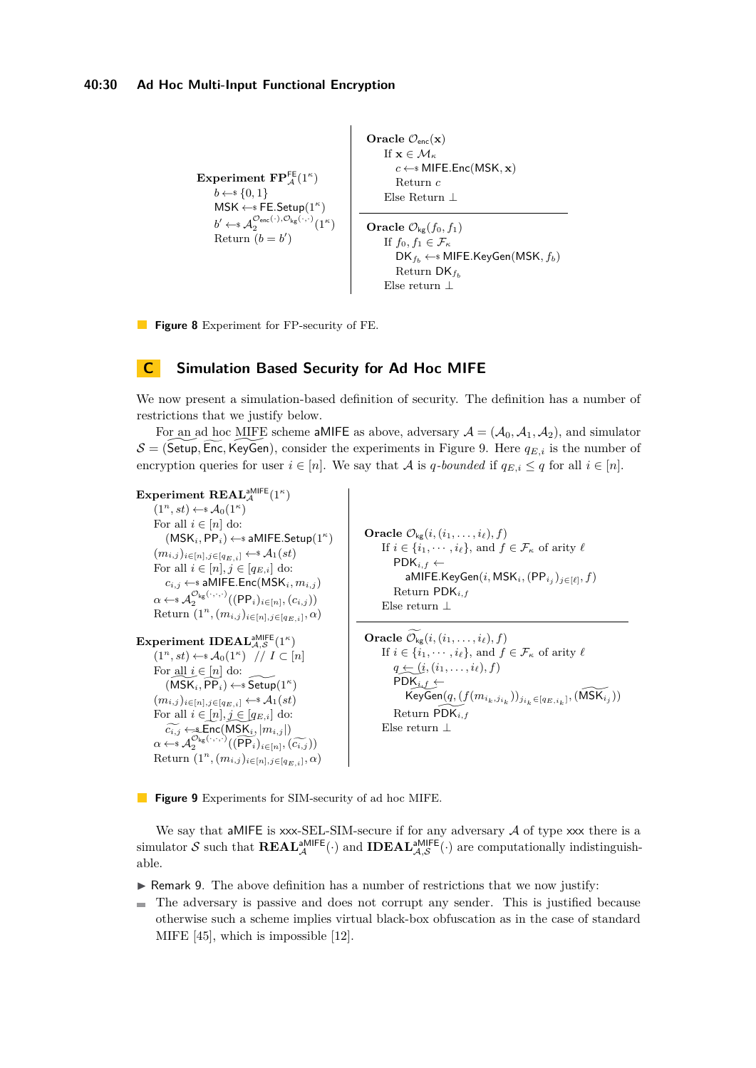```
Experiment \mathbf{FP}_{\mathcal{A}}^{\mathsf{FE}}(1^{\kappa})b \leftarrow s \{0, 1\}MSK ←$ FE.Setup(1κ
)
      b' \leftarrow \mathcal{A}_2^{\mathcal{O}_{\mathsf{enc}}(\cdot), \mathcal{O}_{\mathsf{kg}}(\cdot, \cdot)}(1^{\kappa})Return (b = b')Oracle \mathcal{O}_{\text{enc}}(\mathbf{x})If \mathbf{x} \in \mathcal{M}_\kappac \leftarrow MIFE.Enc(MSK, x)
                                                                         Return c
                                                                    Else Return ⊥
                                                              Oracle \mathcal{O}_{\mathsf{kg}}(f_0, f_1)If f_0, f_1 \in \mathcal{F}_\kappaDKfb ←$ MIFE.KeyGen(MSK, fb)
                                                                         Return DKfb
                                                                     Else return ⊥
```
**Figure 8** Experiment for FP-security of FE.

# <span id="page-29-0"></span>**C Simulation Based Security for Ad Hoc MIFE**

We now present a simulation-based definition of security. The definition has a number of restrictions that we justify below.

For an ad hoc MIFE scheme aMIFE as above, adversary  $A = (A_0, A_1, A_2)$ , and simulator  $S = ($ Setup, Enc, KeyGen), consider the experiments in Figure [9.](#page-29-2) Here  $q_{E,i}$  is the number of encryption queries for user  $i \in [n]$ . We say that A is *q*-bounded if  $q_{E,i} \leq q$  for all  $i \in [n]$ .

```
\mathbf{Experiment}\ \mathbf{REAL}_{\mathcal{A}}^{\mathsf{aMIEE}}(1^{\kappa})(1^n, st) \leftarrow \{A_0(1^n)\}For all i \in [n] do:
            (MSK_i, PP_i) \leftarrow aMIFE.Setup(1^{\kappa})(mi,j )i∈[n],j∈[qE,i] ←$ A1(st)
       For all i \in [n], j \in [q_{E,i}] do:
            c_{i,j} \leftarrow aMIFE.Enc(MSK<sub>i</sub></sub>, m_{i,j})
       \alpha \leftarrow \alpha \mathcal{A}_2^{\mathcal{O}_{\mathsf{kg}}(\cdot,\cdot,\cdot)}((\mathsf{PP}_i)_{i\in[n]},(c_{i,j}))Return (1^n, (m_{i,j})_{i \in [n], j \in [q_{E,i}]}, \alpha){\bf Experiment~IDEAL}_{\mathcal{A},\mathcal{S}}^{\sf aMIEE}(1^{\kappa})(1^n, st) \leftarrow \mathcal{A}_0(1^\kappa) // I \subset [n]For all i \in [n] do:
            (\widetilde{\mathsf{MSK}_i}, \widetilde{\mathsf{PP}_i}) \leftarrow \widetilde{\mathsf{Setup}}(1^\kappa)(mi,j )i∈[n],j∈[qE,i] ←$ A1(st)
       For all i \in [n], j \in [q_{E,i}] do:
       \widetilde{c_{i,j}} \leftarrow \text{Enc}(\text{MSK}_i, |m_{i,j}|)
<br>
\alpha \leftarrow s
\mathcal{A}_2^{\mathcal{O}_{\text{kg}}(\cdot, \cdot, \cdot)}((\widehat{\text{PP}_i})_{i \in [n]}, (\widehat{c_{i,j}}))
<br>
Beturn (1^n, (m_{i,j})_{i \in [n]}, \widehat{c_{i,j}})Return (1^n, (m_{i,j})_{i \in [n], j \in [q_{E,i}]}, \alpha)Oracle \mathcal{O}_{\mathsf{kg}}(i, (i_1, \ldots, i_\ell), f)If i \in \{i_1, \dots, i_\ell\}, and f \in \mathcal{F}_\kappa of arity \ellPDK_{i,f} \leftarrowaMIFE.KeyGen(i, \mathsf{MSK}_i, (\mathsf{PP}_{i_j})_{j \in [\ell]}, f)Return PDKi,f
                                                                                                         Else return ⊥
                                                                                                  Oracle \mathcal{O}_{\mathsf{kg}}(i, (i_1, \ldots, i_\ell), f)If i \in \{i_1, \dots, i_\ell\}, and f \in \mathcal{F}_\kappa of arity \ellq \leftarrow (i, (i_1, \ldots, i_\ell), f)PDK_{i,f} \leftarrow\widetilde{\operatorname{KeyGen}(q, (f(m_{i_k, j_{i_k}}))_{j_{i_k} \in [q_{E, i_k}]}, (\widetilde{\operatorname{MSK}_{i_j}}))}Return PDK^i,f
                                                                                                         Else return ⊥
```
**Figure 9** Experiments for SIM-security of ad hoc MIFE.

We say that a MIFE is  $xxx$ -SEL-SIM-secure if for any adversary  $A$  of type  $xxx$  there is a simulator S such that  $REAL_{\mathcal{A}}^{\text{aMIFE}}(\cdot)$  and  $IDEAL_{\mathcal{A},\mathcal{S}}^{\text{aMIFE}}(\cdot)$  are computationally indistinguishable.

 $\triangleright$  Remark 9. The above definition has a number of restrictions that we now justify:

The adversary is passive and does not corrupt any sender. This is justified because m. otherwise such a scheme implies virtual black-box obfuscation as in the case of standard MIFE [\[45\]](#page-21-0), which is impossible [\[12\]](#page-19-13).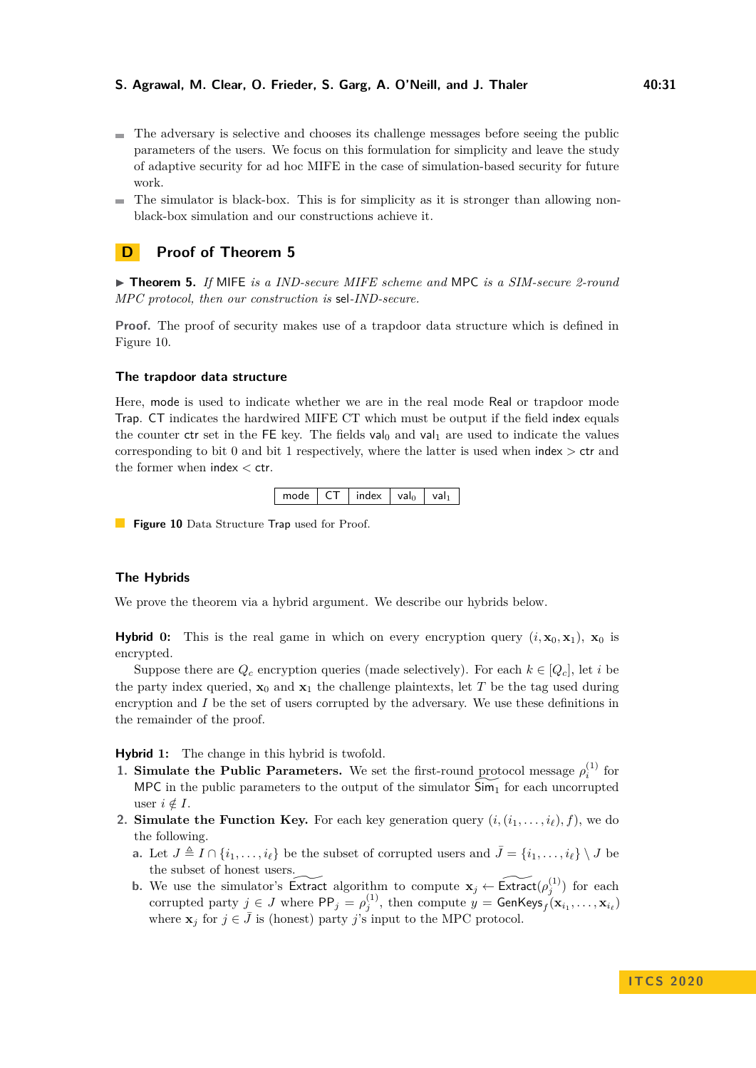- The adversary is selective and chooses its challenge messages before seeing the public parameters of the users. We focus on this formulation for simplicity and leave the study of adaptive security for ad hoc MIFE in the case of simulation-based security for future work.
- $\blacksquare$  The simulator is black-box. This is for simplicity as it is stronger than allowing nonblack-box simulation and our constructions achieve it.

# <span id="page-30-1"></span>**D Proof of Theorem [5](#page-13-1)**

▶ **Theorem 5.** *If* MIFE *is a IND-secure MIFE scheme and* MPC *is a SIM-secure 2-round MPC protocol, then our construction is* sel*-IND-secure.*

**Proof.** The proof of security makes use of a trapdoor data structure which is defined in Figure [10.](#page-30-0)

#### **The trapdoor data structure**

Here, mode is used to indicate whether we are in the real mode Real or trapdoor mode Trap. CT indicates the hardwired MIFE CT which must be output if the field index equals the counter ctr set in the FE key. The fields  $val_0$  and  $val_1$  are used to indicate the values corresponding to bit 0 and bit 1 respectively, where the latter is used when index *>* ctr and the former when index *<* ctr.

| mode | CT. | index   val <sub>0</sub> |  | l val <sub>1</sub> |  |
|------|-----|--------------------------|--|--------------------|--|
|------|-----|--------------------------|--|--------------------|--|

<span id="page-30-0"></span>**Figure 10** Data Structure Trap used for Proof.

### **The Hybrids**

We prove the theorem via a hybrid argument. We describe our hybrids below.

**Hybrid** 0: This is the real game in which on every encryption query  $(i, \mathbf{x}_0, \mathbf{x}_1)$ ,  $\mathbf{x}_0$  is encrypted.

Suppose there are  $Q_c$  encryption queries (made selectively). For each  $k \in [Q_c]$ , let *i* be the party index queried,  $\mathbf{x}_0$  and  $\mathbf{x}_1$  the challenge plaintexts, let T be the tag used during encryption and *I* be the set of users corrupted by the adversary. We use these definitions in the remainder of the proof.

**Hybrid 1:** The change in this hybrid is twofold.

- **1. Simulate the Public Parameters.** We set the first-round protocol message  $\rho_i^{(1)}$  for MPC in the public parameters to the output of the simulator  $\widetilde{Sim_1}$  for each uncorrupted user  $i \notin I$ .
- **2. Simulate the Function Key.** For each key generation query  $(i, (i_1, \ldots, i_\ell), f)$ , we do the following.
	- **a.** Let  $J \triangleq I \cap \{i_1, \ldots, i_\ell\}$  be the subset of corrupted users and  $\bar{J} = \{i_1, \ldots, i_\ell\} \setminus J$  be the subset of honest users.
	- **b.** We use the simulator's Extract algorithm to compute  $\mathbf{x}_j \leftarrow \widetilde{\text{Extract}}(\rho_j^{(1)})$  for each corrupted party  $j \in J$  where  $\mathsf{PP}_j = \rho_j^{(1)}$ , then compute  $y = \mathsf{GenKeys}_f(\mathbf{x}_{i_1}, \dots, \mathbf{x}_{i_\ell})$ where  $\mathbf{x}_j$  for  $j \in \bar{J}$  is (honest) party *j*'s input to the MPC protocol.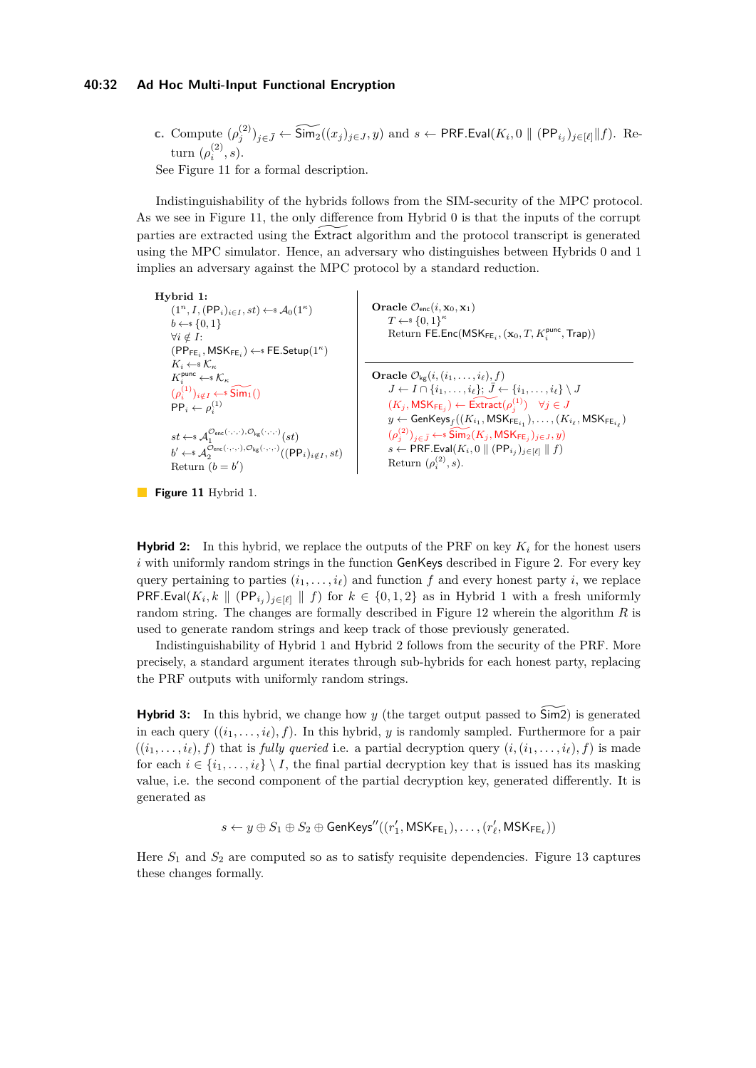#### **40:32 Ad Hoc Multi-Input Functional Encryption**

**c.** Compute 
$$
(\rho_j^{(2)})_{j \in \bar{J}} \leftarrow \widetilde{\text{Sim}}_2((x_j)_{j \in J}, y)
$$
 and  $s \leftarrow \text{PRF.Eval}(K_i, 0 \parallel (\text{PP}_{i_j})_{j \in [\ell]} \parallel f)$ . Re-  
turn  $(\rho_i^{(2)}, s)$ .

See Figure [11](#page-31-0) for a formal description.

Indistinguishability of the hybrids follows from the SIM-security of the MPC protocol. As we see in Figure [11,](#page-31-0) the only difference from Hybrid 0 is that the inputs of the corrupt parties are extracted using the Extract algorithm and the protocol transcript is generated using the MPC simulator. Hence, an adversary who distinguishes between Hybrids 0 and 1 implies an adversary against the MPC protocol by a standard reduction.

<span id="page-31-0"></span>**Hybrid 1:**  $(1^n, I, (\text{PP}_i)_{i \in I}, st) \leftarrow \mathcal{A}_0(1^\kappa)$  $b \leftarrow s \{0, 1\}$ ∀*i /*∈ *I*:  $(\mathsf{PP}_{\mathsf{FE}_i}, \mathsf{MSK}_{\mathsf{FE}_i}) \leftarrow \mathsf{sFE}.\mathsf{Setup}(1^\kappa)$  $K_i \leftarrow \, \mathcal{K}_\kappa$  $K_i^{\text{punc}} \leftarrow \mathcal{K}_\kappa$  $(\rho_i^{(1)})_{i \notin I} \leftarrow \widetilde{\mathsf{Sim}_1}()$  $PP_i \leftarrow \rho_i^{(1)}$  $st \leftarrow \mathcal{A}_1^{\mathcal{O}_{\mathsf{enc}}(\cdot,\cdot,\cdot),\mathcal{O}_{\mathsf{kg}}(\cdot,\cdot,\cdot)}(st)$  $b' \leftarrow \mathscr{A}_2^{\mathcal{O}_{\mathsf{enc}}(\cdot,\cdot,\cdot),\mathcal{O}_{\mathsf{kg}}(\cdot,\cdot,\cdot)}((\mathsf{PP}_i)_{i \notin I}, st)$ Return  $(b = b')$ Oracle  $\mathcal{O}_{\text{enc}}(i, \mathbf{x}_0, \mathbf{x}_1)$  $T \leftarrow \{0, 1\}^{\kappa}$  $\mathsf{Return}\ \mathsf{FE}.\mathsf{Enc}(\mathsf{MSK}_{\mathsf{FE}_i},(\mathbf{x}_0,T,K^{\mathsf{punc}}_i,\mathsf{Trap}))$ **Oracle**  $\mathcal{O}_{\mathsf{kg}}(i, (i_1, \ldots, i_\ell), f)$  $J \leftarrow I \cap \{i_1, \ldots, i_\ell\}; \bar{J} \leftarrow \{i_1, \ldots, i_\ell\} \setminus J$  $(K_j, \mathsf{MSK}_{\mathsf{FE}_j}) \leftarrow \widetilde{\operatorname{Extract}}(\rho_j^{(1)}) \quad \forall j \in J$  $y \leftarrow \mathsf{GenKeys}_f((K_{i_1}, \mathsf{MSK}_{\mathsf{FE}_{i_1}}), \dots, (K_{i_\ell}, \mathsf{MSK}_{\mathsf{FE}_{i_\ell}})$  $(\rho_j^{(2)})_{j \in \bar{J}} \leftarrow \widetilde{\text{Sim}}_2(K_j, \textsf{MSK}_{\mathsf{FE}_j})_{j \in J}, y$ *s* ← PRF.Eval $(K_i, 0 \parallel (PP_{i_j})_{j \in [\ell]} \parallel f)$ Return  $(\rho_i^{(2)}, s)$ .



**Hybrid** 2: In this hybrid, we replace the outputs of the PRF on key  $K_i$  for the honest users *i* with uniformly random strings in the function GenKeys described in Figure [2.](#page-13-0) For every key query pertaining to parties  $(i_1, \ldots, i_\ell)$  and function *f* and every honest party *i*, we replace PRF.Eval $(K_i, k \parallel (PP_{i_j})_{j \in [\ell]} \parallel f)$  for  $k \in \{0, 1, 2\}$  as in Hybrid 1 with a fresh uniformly random string. The changes are formally described in Figure [12](#page-32-0) wherein the algorithm *R* is used to generate random strings and keep track of those previously generated.

Indistinguishability of Hybrid 1 and Hybrid 2 follows from the security of the PRF. More precisely, a standard argument iterates through sub-hybrids for each honest party, replacing the PRF outputs with uniformly random strings.

**Hybrid** 3: In this hybrid, we change how *y* (the target output passed to  $\sin 2$ ) is generated in each query  $((i_1, \ldots, i_\ell), f)$ . In this hybrid, *y* is randomly sampled. Furthermore for a pair  $((i_1, \ldots, i_\ell), f)$  that is *fully queried* i.e. a partial decryption query  $(i, (i_1, \ldots, i_\ell), f)$  is made for each  $i \in \{i_1, \ldots, i_\ell\} \setminus I$ , the final partial decryption key that is issued has its masking value, i.e. the second component of the partial decryption key, generated differently. It is generated as

 $s \leftarrow y \oplus S_1 \oplus S_2 \oplus \mathsf{GenKeys''}((r'_1, \mathsf{MSK}_{\mathsf{FE}_1}), \dots, (r'_\ell, \mathsf{MSK}_{\mathsf{FE}_\ell}))$ 

Here  $S_1$  and  $S_2$  are computed so as to satisfy requisite dependencies. Figure [13](#page-33-0) captures these changes formally.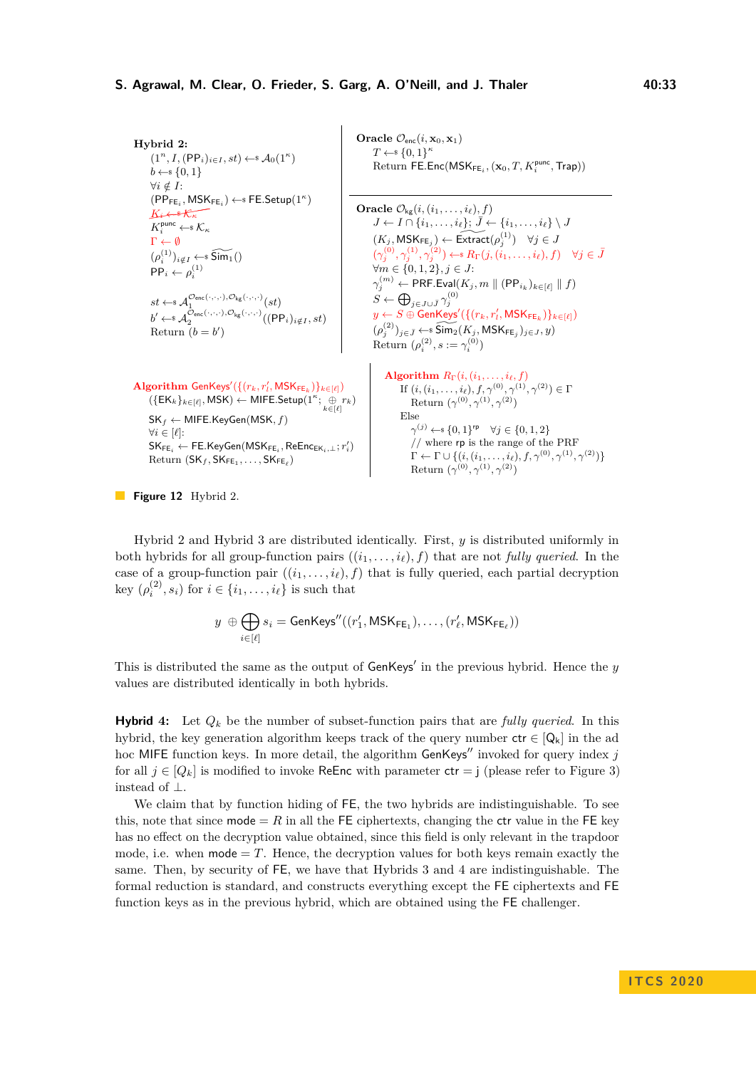<span id="page-32-0"></span>**Hybrid 2:**  $(1^n, I, (\text{PP}_i)_{i \in I}, st) \leftarrow \mathcal{A}_0(1^\kappa)$  $b \leftarrow s \{0, 1\}$ ∀*i /*∈ *I*:  $(\mathsf{PP}_{\mathsf{FE}_i}, \mathsf{MSK}_{\mathsf{FE}_i}) \leftarrow \mathsf{sFE}.\mathsf{Setup}(1^\kappa)$  $K_i \leftrightarrow \mathcal{K}_\kappa$  $K_i^{\text{punc}} \leftarrow \mathcal{K}_\kappa$  $\Gamma \leftarrow \emptyset$  $(\rho_i^{(1)})_{i \notin I} \leftarrow \widetilde{\mathsf{Sim}_1}()$  $PP_i \leftarrow \rho_i^{(1)}$  $st \leftarrow \mathcal{A}_1^{\mathcal{O}_{\mathsf{enc}}(\cdot,\cdot,\cdot),\mathcal{O}_{\mathsf{kg}}(\cdot,\cdot,\cdot)}(st)$  $b' \leftarrow \mathcal{A}_2^{\mathcal{O}_{\mathsf{enc}}(\cdot,\cdot,\cdot),\mathcal{O}_{\mathsf{kg}}(\cdot,\cdot,\cdot)}((\mathsf{PP}_i)_{i \notin I}, st)$ Return  $(b = b')$ Oracle  $\mathcal{O}_{\text{enc}}(i, \mathbf{x}_0, \mathbf{x}_1)$  $T \leftarrow s \{0, 1\}^{\kappa}$  $\mathrm{Return}\ \mathsf{FE}.\mathsf{Enc}(\mathsf{MSK}_{\mathsf{FE}_i},(\mathbf{x}_0,T,K^{\mathsf{punc}}_i,\mathsf{Trap}))$ **Oracle**  $\mathcal{O}_{\mathsf{kg}}(i, (i_1, \ldots, i_\ell), f)$  $J \leftarrow I \cap \{i_1, \ldots, i_\ell\}; \bar{J} \leftarrow \{i_1, \ldots, i_\ell\} \setminus J$  $(K_j, \mathsf{MSK}_{\mathsf{FE}_j}) \leftarrow \widetilde{\mathsf{Extract}}(\rho_j^{(1)}) \quad \forall j \in J$  $(\gamma_j^{(0)}, \gamma_j^{(1)}, \gamma_j^{(2)}) \leftarrow \mathbb{R}_{\Gamma}(j, (i_1, \ldots, i_\ell), f) \quad \forall j \in \bar{J}$ ∀*m* ∈ {0*,* 1*,* 2}*, j* ∈ *J*:  $\gamma_j^{(m)} \leftarrow \mathsf{PRF}.\mathsf{Eval}(K_j, m \parallel (\mathsf{PP}_{i_k})_{k \in [\ell]} \parallel f)$  $S \leftarrow \bigoplus_{j \in J \cup \bar{J}} \gamma_j^{(0)}$  $y \leftarrow S \oplus \overline{\mathsf{GenK} }$ eys' $(\{(r_k,r'_l,\mathsf{MSK}_{\mathsf{FE}_k})\}_{k \in [\ell]})$  $(\rho_j^{(2)})_{j \in \bar{J}} \leftarrow \widehat{\text{Sim}_2}(K_j, \text{MSK}_{\text{FE}_j})_{j \in J}, y$ Return  $(\rho_i^{(2)}, s := \gamma_i^{(0)})$  $\mathbf{Algorithm}$  GenKeys'({ $(r_k, r'_l, \mathsf{MSK}_{\mathsf{FE}_k})$ } $_{k \in [\ell]}$ )  $($ {EK<sub>*k*</sub>}<sub>*k*∈[*ℓ*]</sub>, MSK) ← MIFE.Setup(1<sup>*κ*</sup>; ⊕ *r<sub><i>k*</sub></sub>)<br>({EK<sub>*k*</sub>}<sub>*k*∈[*ℓ*]</sub>, MSK) ← MIFE.Setup(1<sup>*κ*</sup>; ⊕ *r<sub>k</sub>*) SK*<sup>f</sup>* ← MIFE*.*KeyGen(MSK*, f*)  $∀i ∈ [ℓ]$ :  $\mathsf{SK}_{\mathsf{FE}_i} \leftarrow \mathsf{FE}.\mathsf{KeyGen}(\mathsf{MSK}_{\mathsf{FE}_i}, \mathsf{ReEnc}_{\mathsf{EK}_i,\bot}; r'_i)$  $\mathrm{Return} \ (\mathsf{SK}_f, \mathsf{SK}_{\mathsf{FE}_1}, \ldots, \mathsf{SK}_{\mathsf{FE}_\ell})$ **Algorithm**  $R_{\Gamma}(i, (i_1, \ldots, i_\ell, f))$ If  $(i, (i_1, \ldots, i_\ell), f, \gamma^{(0)}, \gamma^{(1)}, \gamma^{(2)}) \in \Gamma$ Return  $(\gamma^{(0)}, \gamma^{(1)}, \gamma^{(2)})$ Else  $γ^{(j)} \leftarrow$  {0*,* 1}<sup>rp</sup>  $∀j \in \{0, 1, 2\}$ // where rp is the range of the PRF  $\Gamma \leftarrow \Gamma \cup \{(i,(i_1,\ldots,i_\ell),f,\gamma^{(0)},\gamma^{(1)},\gamma^{(2)})\}$ Return  $(\gamma^{(0)}, \gamma^{(1)}, \gamma^{(2)})$ 

**Figure 12** Hybrid 2.

Hybrid 2 and Hybrid 3 are distributed identically. First, *y* is distributed uniformly in both hybrids for all group-function pairs  $((i_1, \ldots, i_\ell), f)$  that are not *fully queried*. In the case of a group-function pair  $((i_1, \ldots, i_\ell), f)$  that is fully queried, each partial decryption key  $(\rho_i^{(2)}, s_i)$  for  $i \in \{i_1, \ldots, i_\ell\}$  is such that

$$
y \ \oplus \bigoplus_{i \in [\ell]} s_i = \mathsf{GenKeys''}((r'_1, \mathsf{MSK}_{\mathsf{FE}_1}), \allowbreak \ldots, (r'_\ell, \mathsf{MSK}_{\mathsf{FE}_\ell}))
$$

This is distributed the same as the output of  $GenKeys'$  in the previous hybrid. Hence the *y* values are distributed identically in both hybrids.

**Hybrid** 4: Let  $Q_k$  be the number of subset-function pairs that are *fully queried*. In this hybrid, the key generation algorithm keeps track of the query number  $ctr \in [Q_k]$  in the ad hoc MIFE function keys. In more detail, the algorithm  $GenKeys''$  invoked for query index  $j$ for all  $j \in [Q_k]$  is modified to invoke ReEnc with parameter  $ctr = j$  (please refer to Figure [3\)](#page-13-2) instead of ⊥.

We claim that by function hiding of FE, the two hybrids are indistinguishable. To see this, note that since  $\text{mode} = R$  in all the FE ciphertexts, changing the ctr value in the FE key has no effect on the decryption value obtained, since this field is only relevant in the trapdoor mode, i.e. when  $\text{mode} = T$ . Hence, the decryption values for both keys remain exactly the same. Then, by security of FE, we have that Hybrids 3 and 4 are indistinguishable. The formal reduction is standard, and constructs everything except the FE ciphertexts and FE function keys as in the previous hybrid, which are obtained using the FE challenger.

**I T C S 2 0 2 0**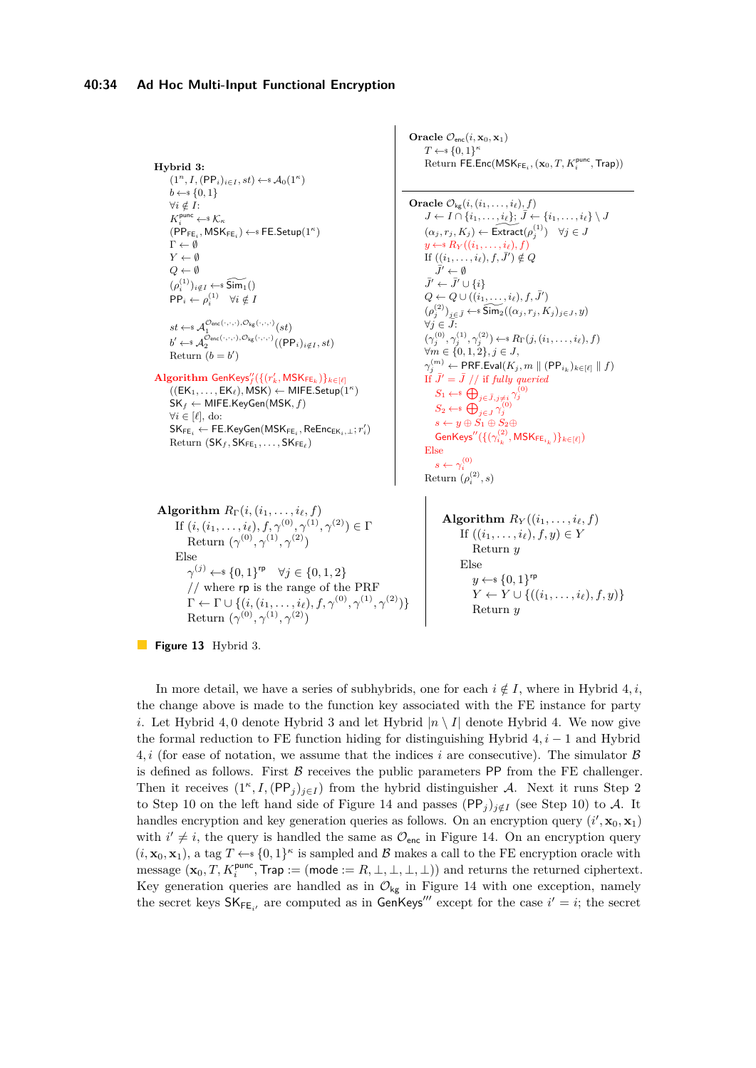```
Hybrid 3:
        (1^n, I, (\text{PP}_i)_{i \in I}, st) \leftarrow \mathcal{A}_0(1^\kappa)b \leftarrow s \{0, 1\}∀i /∈ I:
        K_i^{\text{punc}} \leftarrow \mathcal{K}_{\kappa}(\mathsf{PP}_{\mathsf{FE}_i}, \mathsf{MSK}_{\mathsf{FE}_i}) \leftarrow \mathsf{sFE}.\mathsf{Setup}(1^\kappa)\Gamma \leftarrow \emptysetY \leftarrow \emptysetQ \leftarrow \emptyset(\rho_i^{(1)})_{i \notin I} \leftarrow \widetilde{\mathsf{Sim}_1}()PP_i \leftarrow \rho_i^{(1)} \quad \forall i \notin Ist \leftarrow \mathcal{A}_1^{\mathcal{O}_{\mathsf{enc}}(\cdot,\cdot,\cdot),\mathcal{O}_{\mathsf{kg}}(\cdot,\cdot,\cdot)}(st)b' \leftarrow \mathscr{A}_2^{\mathcal{O}_{\mathsf{enc}}(\cdot,\cdot,\cdot),\mathcal{O}_{\mathsf{kg}}(\cdot,\cdot,\cdot)}((\mathsf{PP}_i)_{i \notin I}, st)Return (b = b')\mathbf{Algorithm} GenKeys"\left(\{(r'_k, \mathsf{MSK}_{\mathsf{FE}_k})\}_{k \in [\ell]}((EK_1, \ldots, EK_\ell), \overline{\text{MSK}}) \leftarrow \textsf{MIFE}.\mathsf{Setup}(1^\kappa)SK_f \leftarrow MIFE.KeyGen(MSK, f)
       ∀i ∈ [`], do:
        \mathsf{SK}_{\mathsf{FE}_i} \leftarrow \mathsf{FE}.\mathsf{KeyGen}(\mathsf{MSK}_{\mathsf{FE}_i}, \mathsf{ReEnc}_{\mathsf{EK}_i,\bot}; r'_i)\text{Return } (\mathsf{SK}_f, \mathsf{SK}_{\mathsf{FE}_1}, \ldots, \mathsf{SK}_{\mathsf{FE}_\ell})\overline{J}' \leftarrow \emptyset\bar{J}' \leftarrow \bar{J}' \cup \{i\}\forall j ∈ J:
                                                                                                                                           Else
                                                                                                                                                 s \leftarrow \gamma_i^{(0)}Return (\rho_i^{(2)}, s)Algorithm R_{\Gamma}(i, (i_1, \ldots, i_{\ell}, f))If (i, (i_1, \ldots, i_\ell), f, \gamma^{(0)}, \gamma^{(1)}, \gamma^{(2)}) \in \GammaReturn (\gamma^{(0)}, \gamma^{(1)}, \gamma^{(2)})Else
                  γ<sup>(j)</sup> ←$ {0, 1}<sup>rp</sup> ∀j ∈ {0, 1, 2}
                 // where rp is the range of the PRF
                 \Gamma \leftarrow \Gamma \cup \{(i, (i_1, \ldots, i_\ell), f, \gamma^{(0)}, \gamma^{(1)}, \gamma^{(2)})\}Else
```

```
Oracle \mathcal{O}_{\text{enc}}(i, \mathbf{x}_0, \mathbf{x}_1)T \leftarrow \{0, 1\}^{\kappa}\mathsf{Return}\ \mathsf{FE}.\mathsf{Enc}(\mathsf{MSK}_{\mathsf{FE}_i},(\mathbf{x}_0,T,K^{\mathsf{punc}}_i,\mathsf{Trap}))
```

```
Oracle \mathcal{O}_{\mathsf{kg}}(i, (i_1, \ldots, i_\ell), f)J \leftarrow I \cap \{i_1, \ldots, i_\ell\}; \bar{J} \leftarrow \{i_1, \ldots, i_\ell\} \setminus J(\alpha_j, r_j, K_j) \leftarrow \widetilde{\textsf{Extract}}(\rho_j^{(1)}) \quad \forall j \in Jy \leftarrow^* R_Y((i_1, \ldots, i_\ell), f)If ((i_1, \ldots, i_\ell), f, \bar{J}') \notin QQ \leftarrow Q \cup ((i_1, \ldots, i_\ell), f, \bar{J}')(\rho_j^{(2)})_{j \in \bar{J}} \leftarrow \widehat{\text{Sim}}_2((\alpha_j, r_j, K_j)_{j \in J}, y)(\gamma_j^{(0)}, \gamma_j^{(1)}, \gamma_j^{(2)}) \leftarrow \{F} R_{\Gamma}(j, (i_1, \ldots, i_\ell), f)∀m ∈ {0, 1, 2}, j ∈ J,\gamma_j^{(m)} \leftarrow \mathsf{PRF}.\mathsf{Eval}(K_j, m \parallel (\mathsf{PP}_{i_k})_{k \in [\ell]} \parallel f)If \bar{J}' = \bar{J} // if fully queried
              S_1 \leftarrow \oplus \bigoplus_{j \in \bar{J}, j \neq i} \gamma_j^{(0)}S_2 \leftarrow \bigoplus_{j \in J} \gamma_j^{(0)}s \leftarrow y \oplus \overline{S}_1 \oplus S_2 \oplus\mathsf{GenKeys}''(\{(\gamma_{i_k}^{(2)}, \mathsf{MSK}_{\mathsf{FE}_{i_k}})\}_{k \in [\ell]})
```
**Algorithm**  $R_Y((i_1, \ldots, i_\ell, f))$ If  $((i_1, \ldots, i_\ell), f, y) \in Y$ Return *y*  $y \leftarrow s \{0, 1\}^{\text{rp}}$ *Y* ← *Y* ∪ { $((i_1, ..., i_\ell), f, y)$ } Return *y*

**Figure 13** Hybrid 3.

Return  $(\gamma^{(0)}, \gamma^{(1)}, \gamma^{(2)})$ 

In more detail, we have a series of subhybrids, one for each  $i \notin I$ , where in Hybrid 4, i, the change above is made to the function key associated with the FE instance for party *i*. Let Hybrid 4, 0 denote Hybrid 3 and let Hybrid  $|n \setminus I|$  denote Hybrid 4. We now give the formal reduction to FE function hiding for distinguishing Hybrid 4*, i* − 1 and Hybrid 4, i (for ease of notation, we assume that the indices i are consecutive). The simulator  $\beta$ is defined as follows. First  $\beta$  receives the public parameters PP from the FE challenger. Then it receives  $(1^{\kappa}, I, (PP_j)_{j \in I})$  from the hybrid distinguisher A. Next it runs Step 2 to Step 10 on the left hand side of Figure [14](#page-34-0) and passes  $(PP_j)_{i \notin I}$  (see Step 10) to A. It handles encryption and key generation queries as follows. On an encryption query  $(i',\mathbf{x}_0,\mathbf{x}_1)$ with  $i' \neq i$ , the query is handled the same as  $\mathcal{O}_{\text{enc}}$  in Figure [14.](#page-34-0) On an encryption query  $(i, \mathbf{x}_0, \mathbf{x}_1)$ , a tag  $T \leftarrow \{0, 1\}^{\kappa}$  is sampled and B makes a call to the FE encryption oracle with  $\text{message } (\mathbf{x}_0, T, K_i^{\text{punc}}, \text{Trap} := (\text{mode} := R, \bot, \bot, \bot, \bot)) \text{ and returns the returned ciphertext.}$ Key generation queries are handled as in  $\mathcal{O}_{kg}$  in Figure [14](#page-34-0) with one exception, namely the secret keys  $SK_{FE_{i'}}$  are computed as in GenKeys<sup>'''</sup> except for the case  $i' = i$ ; the secret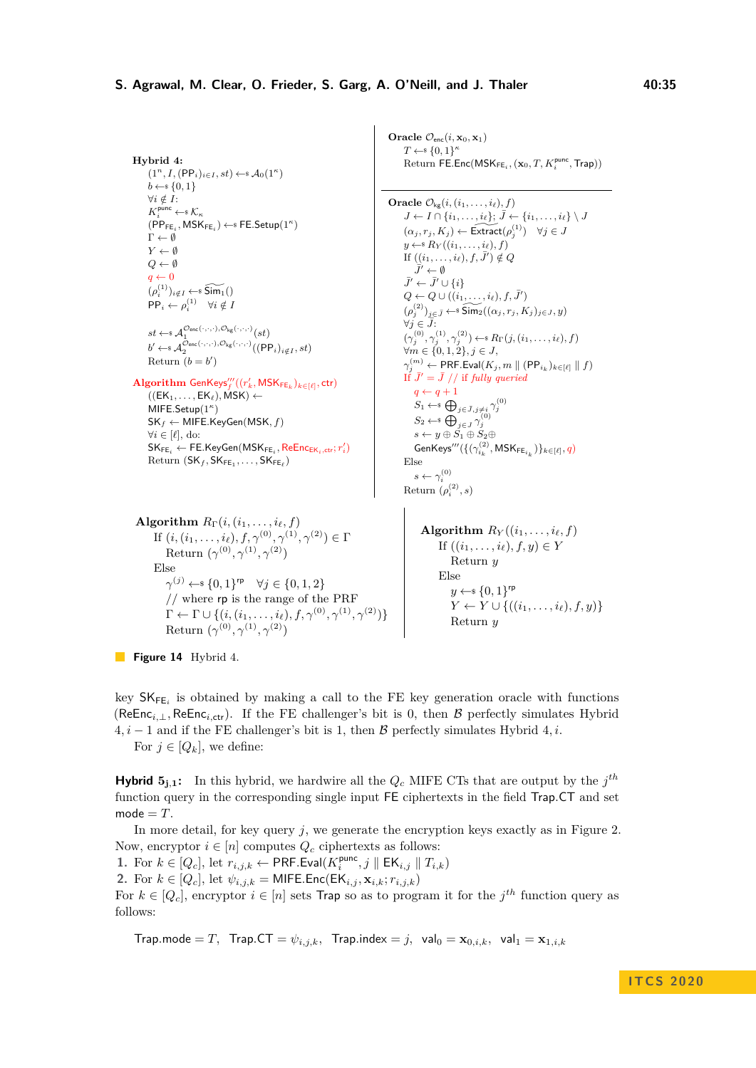```
Hybrid 4:
        (1^n, I, (\text{PP}_i)_{i \in I}, st) \leftarrow \mathcal{A}_0(1^\kappa)b \leftarrow \{0, 1\}∀i /∈ I:
        K_i^{\text{punc}} \leftarrow \mathcal{K}_{\kappa}(\mathsf{PP}_{\mathsf{FE}_i}, \mathsf{MSK}_{\mathsf{FE}_i}) \leftarrow \mathsf{sFE}.\mathsf{Setup}(1^\kappa)\Gamma \leftarrow \emptysetY ← ∅
       Q ← ∅
       q \leftarrow 0(\rho_i^{(1)})_{i \notin I} \leftarrow \widetilde{\mathsf{Sim}_1}()PP_i \leftarrow \rho_i^{(1)} \quad \forall i \notin Ist \leftarrow \mathcal{A}_1^{\mathcal{O}_{\mathsf{enc}}(\cdot,\cdot,\cdot),\mathcal{O}_{\mathsf{kg}}(\cdot,\cdot,\cdot)}(st)b' \leftarrow \mathcal{A}_2^{\mathcal{O}_{\mathsf{enc}}(\cdot,\cdot,\cdot),\mathcal{O}_{\mathsf{kg}}(\cdot,\cdot,\cdot)}((\mathsf{PP}_i)_{i \notin I}, st)Return (b = b')Algorithm GenKeys000
f
((r
0
k, MSKFEk
)k∈[`], ctr)
       ((EK_1, \ldots, EK_\ell), \overline{MSK}) \leftarrowMIFE.Setup(1κ
)
       SKf ← MIFE.KeyGen(MSK, f)
       ∀i ∈ [`], do:
        \mathsf{SK}_{\mathsf{FE}_i} \leftarrow \mathsf{FE}.\mathsf{KeyGen}(\mathsf{MSK}_{\mathsf{FE}_i}, \mathsf{ReEnc}_{\mathsf{EK}_i, \mathsf{ctr}}; r'_i)\mathrm{Return}(\mathsf{SK}_f, \mathsf{SK}_{\mathsf{FE}_1}, \ldots, \mathsf{SK}_{\mathsf{FE}_\ell})Algorithm R_{\Gamma}(i, (i_1, \ldots, i_{\ell}, f))If (i, (i_1, \ldots, i_\ell), f, \gamma^{(0)}, \gamma^{(1)}, \gamma^{(2)}) \in \GammaReturn (\gamma^{(0)}, \gamma^{(1)}, \gamma^{(2)})Else
                γ^{(j)} \leftarrow {0, 1}<sup>rp</sup> ∀j \in \{0, 1, 2\}// where rp is the range of the PRF
                \Gamma \leftarrow \Gamma \cup \{(i, (i_1, \ldots, i_\ell), f, \gamma^{(0)}, \gamma^{(1)}, \gamma^{(2)})\}Return (\gamma^{(0)}, \gamma^{(1)}, \gamma^{(2)})
```
**Oracle**  $\mathcal{O}_{\text{enc}}(i, \mathbf{x}_0, \mathbf{x}_1)$  $T \leftarrow \{0, 1\}^{\kappa}$  $\text{Return FE}.\text{Enc}(\textsf{MSK}_{\textsf{FE}_i},(\mathbf{x}_0,T,K^{\textit{punc}}_i,\textsf{Trap}))$ 

**Oracle**  $\mathcal{O}_{\mathsf{ker}}(i, (i_1, \ldots, i_\ell), f)$  $J \leftarrow I \cap \{i_1, \ldots, i_\ell\}; \bar{J} \leftarrow \{i_1, \ldots, i_\ell\} \setminus J$  $(\alpha_j, r_j, K_j) \leftarrow \widetilde{\text{Extract}}(\rho_j^{(1)}) \quad \forall j \in J$  $y \leftarrow^* R_Y((i_1, \ldots, i_\ell), f)$ If  $((i_1, \ldots, i_\ell), f, \bar{J}') \notin Q$  $\bar{J}' \leftarrow \emptyset$  $\bar{J}' \leftarrow \bar{J}' \cup \{i\}$  $Q \leftarrow Q \cup ((i_1, \ldots, i_\ell), f, \bar{J}')$  $(\rho_j^{(2)})_{j \in \bar{J}} \leftarrow \widehat{\text{Sim}_2}((\alpha_j, r_j, K_j)_{j \in J}, y)$  $∀j ∈ \bar{J}$ .  $(\gamma_j^{(0)}, \gamma_j^{(1)}, \gamma_j^{(2)}) \leftarrow \{R_{\Gamma}(j, (i_1, \ldots, i_{\ell}), f)$ ∀*m* ∈ {0*,* 1*,* 2}*, j* ∈ *J*,  $\gamma_j^{(m)} \leftarrow \mathsf{PRF}.\mathsf{Eval}(K_j, m \parallel (\mathsf{PP}_{i_k})_{k \in [\ell]} \parallel f)$ If  $\bar{J}' = \bar{J}$  // if *fully queried*  $q \leftarrow q + 1$  $S_1 \leftarrow \mathcal{S}$   $\bigoplus_{j \in \bar{J}, j \neq i} \gamma_j^{(0)}$  $S_2 \leftarrow^* \bigoplus_{j \in J} \gamma_j'$  $s \leftarrow y \oplus S_1 \oplus S_2 \oplus$  $\mathsf{GenKeys}'''(\{(\gamma_{i_k}^{(2)}, \mathsf{MSK}_{\mathsf{FE}_{i_k}})\}_{k \in [\ell]}, q)$ Else  $s \leftarrow \gamma_i^{(0)}$ Return  $(\rho_i^{(2)}, s)$ 

> **Algorithm**  $R_Y((i_1, \ldots, i_\ell, f))$ If  $((i_1, \ldots, i_\ell), f, y) \in Y$ Return *y* Else  $y \leftarrow s \{0, 1\}^{\text{rp}}$  $Y \leftarrow Y \cup \{((i_1, \ldots, i_\ell), f, y)\}$ Return *y*

**Figure 14** Hybrid 4.

key SKFE*<sup>i</sup>* is obtained by making a call to the FE key generation oracle with functions (ReEnc<sub>i,⊥</sub>, ReEnc<sub>i,ctr</sub>). If the FE challenger's bit is 0, then B perfectly simulates Hybrid  $4, i - 1$  and if the FE challenger's bit is 1, then B perfectly simulates Hybrid  $4, i$ . For  $j \in [Q_k]$ , we define:

**Hybrid**  $5_{j,1}$ : In this hybrid, we hardwire all the  $Q_c$  MIFE CTs that are output by the  $j^{th}$ function query in the corresponding single input FE ciphertexts in the field Trap*.*CT and set mode  $=T$ .

In more detail, for key query *j*, we generate the encryption keys exactly as in Figure [2.](#page-13-0) Now, encryptor  $i \in [n]$  computes  $Q_c$  ciphertexts as follows:

**1.** For  $k \in [Q_c]$ , let  $r_{i,j,k} \leftarrow \textsf{PRF.Eval}(K_i^{\textsf{punc}}, j \parallel \textsf{EK}_{i,j} \parallel T_{i,k})$ 

**2.** For  $k \in [Q_c]$ , let  $\psi_{i,j,k} = \text{MIFE}.\text{Enc}(\text{EK}_{i,j}, \textbf{x}_{i,k}; r_{i,j,k})$ 

For  $k \in [Q_c]$ , encryptor  $i \in [n]$  sets Trap so as to program it for the  $j^{th}$  function query as follows:

 $\text{Trap-mode} = T$ ,  $\text{Trap.CT} = \psi_{i,j,k}$ ,  $\text{Trap.index} = j$ ,  $\text{val}_0 = \mathbf{x}_{0,i,k}$ ,  $\text{val}_1 = \mathbf{x}_{1,i,k}$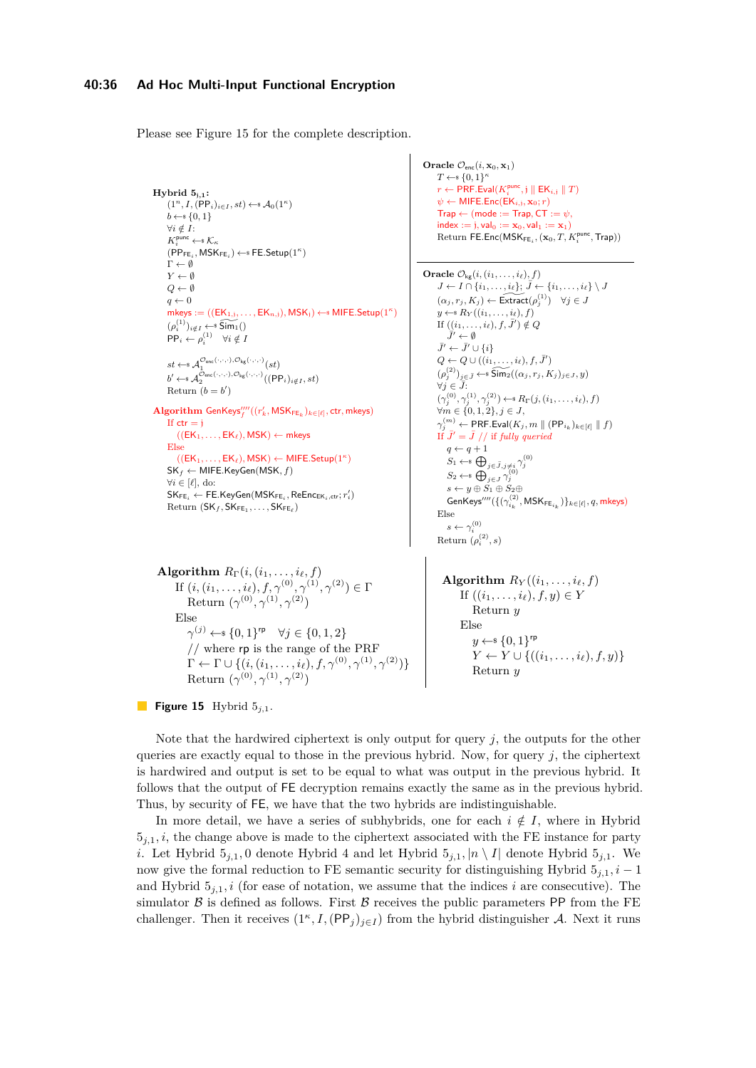#### **40:36 Ad Hoc Multi-Input Functional Encryption**

<span id="page-35-0"></span>Please see Figure [15](#page-35-0) for the complete description.

```
Hybrid 5j,1:
         (1^n, I, (\text{PP}_i)_{i \in I}, st) \leftarrow \mathcal{A}_0(1^\kappa)b \leftarrow s \{0, 1\}∀i /∈ I:
         K_i^{\text{punc}} \leftarrow \, \mathcal{K}_\kappa(\mathsf{PP}_{\mathsf{FE}_i}, \mathsf{MSK}_{\mathsf{FE}_i}) \leftarrow \mathsf{sFE}.\mathsf{Setup}(1^\kappa)\Gamma \leftarrow \emptysetY \leftarrow \emptysetQ ← ∅
       q \leftarrow 0mkeys := ((EK_{1,j},...,EK_{n,j}), MSK_j) \leftarrow MIFE.Setup(1<sup>κ</sup>)
         (\rho_i^{(1)})_{i \notin I} \leftarrow \widetilde{\mathsf{Sim}_1}()PP_i \leftarrow \rho_i^{(1)} \quad \forall i \notin Ist \leftarrow \mathcal{A}_1^{\mathcal{O}_{\mathsf{enc}}(\cdot,\cdot,\cdot),\mathcal{O}_{\mathsf{kg}}(\cdot,\cdot,\cdot)}(st)b' \leftarrow s \mathcal{A}_2^{\mathcal{O}_{\mathsf{enc}}(\cdot,\cdot,\cdot),\mathcal{O}_{\mathsf{kg}}(\cdot,\cdot,\cdot)}((\mathsf{PP}_i)_{i \notin I}, st)Return (b = b')\mathbf{Algorithm} \ \mathsf{GenKeys}'''_f((r'_k, \mathsf{MSK}_{\mathsf{FE}_k})_{k \in [\ell]}, \mathsf{ctr}, \mathsf{mkeys})If ctr = i((EK_1, \ldots, EK_\ell), \mathsf{MSK}) \leftarrow \mathsf{mkeys}Else
              ((EK_1, \ldots, EK_\ell), \mathsf{MSK}) \leftarrow \mathsf{MIFE}.\mathsf{Setup}(1^\kappa)SKf ← MIFE.KeyGen(MSK, f)
        ∀i ∈ [`], do:
         \mathsf{SK}_{\mathsf{FE}_i} \leftarrow \mathsf{FE}.\mathsf{KeyGen}(\mathsf{MSK}_{\mathsf{FE}_i}, \mathsf{ReEnc}_{\mathsf{EK}_i, \mathsf{ctr}}; r'_i)\mathrm{Return}(\mathsf{SK}_f, \mathsf{SK}_{\mathsf{FE}_1}, \ldots, \mathsf{SK}_{\mathsf{FE}_\ell})Algorithm R_{\Gamma}(i, (i_1, \ldots, i_{\ell}, f))If (i, (i_1, \ldots, i_\ell), f, \gamma^{(0)}, \gamma^{(1)}, \gamma^{(2)}) \in \GammaReturn (\gamma^{(0)}, \gamma^{(1)}, \gamma^{(2)})Else
                    γ^{(j)} \leftarrow {0, 1}<sup>rp</sup> ∀j \in \{0, 1, 2\}
```

```
Oracle \mathcal{O}_{\text{enc}}(i, \mathbf{x}_0, \mathbf{x}_1)T \leftarrow \{0, 1\}^{\kappa}r \leftarrow \mathsf{PRF}.\mathsf{Eval}(K^{\mathsf{punc}}_i, \mathfrak{j} \parallel \mathsf{EK}_{i, \mathfrak{j}} \parallel T)\psi \leftarrow MIFE.Enc(EK<sub>i,j</sub>, x<sub>0</sub>; r)
        \mathsf{Trap} \leftarrow (\mathsf{mode} := \mathsf{Trap}, \mathsf{CT} := \psi,index := i, yalo := x<sub>0</sub>, yalo := x<sub>1</sub>\text{Return FE}.\textsf{Enc}(\textsf{MSK}_{\textsf{FE}_i},(\mathbf{x}_0,T,K^{\textsf{punc}}_i,\textsf{Trap}))
```

```
Oracle \mathcal{O}_{\mathsf{kg}}(i, (i_1, \ldots, i_\ell), f)J \leftarrow I \cap \{i_1, \ldots, i_\ell\}; \bar{J} \leftarrow \{i_1, \ldots, i_\ell\} \setminus J(\alpha_j, r_j, K_j) \leftarrow \widetilde{\textsf{Extract}}(\rho_j^{(1)}) \quad \forall j \in Jy \leftarrow^* R_Y((i_1, \ldots, i_\ell), f)If ((i_1, \ldots, i_\ell), f, \bar{J}') \notin QJ' \leftarrow \emptyset\bar{J}' \leftarrow \bar{J}' \cup \{i\}Q \leftarrow Q \cup ((i_1, \ldots, i_\ell), f, \bar{J}')(\rho_j^{(2)})_{j \in \bar{J}} \leftarrow \widehat{\text{Sim}_2}((\alpha_j, r_j, K_j)_{j \in J}, y)\forall j ∈ \overline{J}:
         (\gamma_j^{(0)}, \gamma_j^{(1)}, \gamma_j^{(2)}) \leftarrow \{R_{\Gamma}(j, (i_1, \ldots, i_{\ell}), f)∀m ∈ {0, 1, 2}, j ∈ J,\gamma_j^{(m)} \leftarrow \mathsf{PRF}.\mathsf{Eval}(K_j, m \parallel (\mathsf{PP}_{i_k})_{k \in [\ell]} \parallel f)If \bar{J}' = \bar{J} // if fully queried
              q \leftarrow q + 1S_1 \leftarrow \mathbb{S} \bigoplus_{j \in \bar{J}, j \neq i} \gamma_j^{(0)}<br>S<sub>(0)</sub>
               S_2 \leftarrow^{\mathsf{s}} \bigoplus_{j \in J} \gamma_j^{(0)}<br>
s \leftarrow y \oplus S_1 \oplus S_2 \oplus\mathsf{GenKeys}'''(\{(\gamma_{i_k}^{(2)}, \mathsf{MSK}_{\mathsf{FE}_{i_k}})\}_{k \in [\ell]}, q, \mathsf{mkeys})Else
               s \leftarrow \gamma_i^{(0)}Return (\rho_i^{(2)}, s)
```

```
// where rp is the range of the PRF
\Gamma \leftarrow \Gamma \cup \{(i,(i_1,\ldots,i_\ell),f,\gamma^{(0)},\gamma^{(1)},\gamma^{(2)})\}Return (\gamma^{(0)}, \gamma^{(1)}, \gamma^{(2)})Algorithm R_Y((i_1, \ldots, i_\ell, f))If ((i_1, \ldots, i_\ell), f, y) \in YReturn y
                                                                                      Else
                                                                                          y \leftarrow s \{0, 1\}^{\text{rp}}Y \leftarrow Y \cup \{((i_1, \ldots, i_\ell), f, y)\}Return y
```

```
Figure 15 Hybrid 5_{i,1}.
```
Note that the hardwired ciphertext is only output for query *j*, the outputs for the other queries are exactly equal to those in the previous hybrid. Now, for query  $j$ , the ciphertext is hardwired and output is set to be equal to what was output in the previous hybrid. It follows that the output of FE decryption remains exactly the same as in the previous hybrid. Thus, by security of FE, we have that the two hybrids are indistinguishable.

In more detail, we have a series of subhybrids, one for each  $i \notin I$ , where in Hybrid  $5<sub>j,1</sub>$ , *i*, the change above is made to the ciphertext associated with the FE instance for party *i*. Let Hybrid  $5_{j,1}$ , 0 denote Hybrid 4 and let Hybrid  $5_{j,1}$ ,  $|n \setminus I|$  denote Hybrid  $5_{j,1}$ . We now give the formal reduction to FE semantic security for distinguishing Hybrid  $5<sub>j,1</sub>$ , *i* − 1 and Hybrid  $5_{i,1}$ , i (for ease of notation, we assume that the indices i are consecutive). The simulator  $\beta$  is defined as follows. First  $\beta$  receives the public parameters PP from the FE challenger. Then it receives  $(1^{\kappa}, I, (PP_j)_{j \in I})$  from the hybrid distinguisher A. Next it runs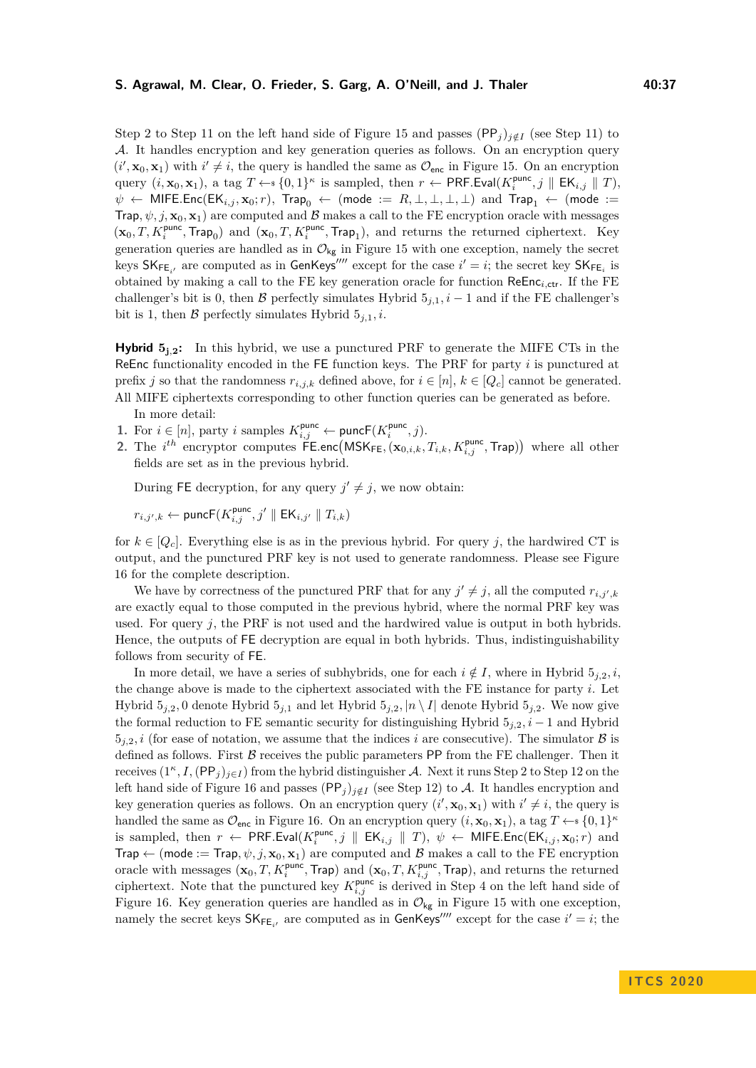#### **S. Agrawal, M. Clear, O. Frieder, S. Garg, A. O'Neill, and J. Thaler 40:37**

Step 2 to Step 11 on the left hand side of Figure [15](#page-35-0) and passes (PP<sub>j</sub>)<sub>j∉I</sub> (see Step 11) to A. It handles encryption and key generation queries as follows. On an encryption query  $(i', \mathbf{x}_0, \mathbf{x}_1)$  with  $i' \neq i$ , the query is handled the same as  $\mathcal{O}_{\text{enc}}$  in Figure [15.](#page-35-0) On an encryption query  $(i, \mathbf{x}_0, \mathbf{x}_1)$ , a tag  $T \leftarrow \{0, 1\}^{\kappa}$  is sampled, then  $r \leftarrow \textsf{PRF.Eval}(K_i^{\text{punc}}, j \parallel \textsf{EK}_{i,j} \parallel T)$ ,  $\psi$  ← MIFE.Enc(EK<sub>*i,j*</sub>, **x**<sub>0</sub>; *r*), Trap<sub>0</sub> ← (mode :=  $R, \perp, \perp, \perp, \perp$ ) and Trap<sub>1</sub> ← (mode := Trap,  $\psi$ , *j*,  $\mathbf{x}_0$ ,  $\mathbf{x}_1$ ) are computed and B makes a call to the FE encryption oracle with messages  $(\mathbf{x}_0, T, K_i^{\text{punc}}, \text{Trap}_0)$  and  $(\mathbf{x}_0, T, K_i^{\text{punc}}, \text{Trap}_1)$ , and returns the returned ciphertext. Key generation queries are handled as in  $\mathcal{O}_{kg}$  in Figure [15](#page-35-0) with one exception, namely the secret keys  $SK_{FE_{i'}}$  are computed as in GenKeys<sup>*III*</sup></sup> except for the case  $i' = i$ ; the secret key  $SK_{FE_i}$  is obtained by making a call to the FE key generation oracle for function  $\mathsf{ReEnc}_{i, \mathsf{ctr}}$ . If the FE challenger's bit is 0, then B perfectly simulates Hybrid  $5_{j,1}$ ,  $i-1$  and if the FE challenger's bit is 1, then  $\beta$  perfectly simulates Hybrid  $5_{i,1}$ , *i*.

**Hybrid**  $5_{1,2}$ : In this hybrid, we use a punctured PRF to generate the MIFE CTs in the ReEnc functionality encoded in the FE function keys. The PRF for party *i* is punctured at prefix *j* so that the randomness  $r_{i,j,k}$  defined above, for  $i \in [n]$ ,  $k \in [Q_c]$  cannot be generated. All MIFE ciphertexts corresponding to other function queries can be generated as before.

In more detail:

- **1.** For *i* ∈ [*n*], party *i* samples  $K_{i,j}^{\text{punc}}$  ← punc $\mathsf{F}(K_i^{\text{punc}}, j)$ .
- 2. The  $i^{th}$  encryptor computes  $\widetilde{\mathsf{FE}}$ *enc*( $\mathsf{MSK}_{\mathsf{FE}}$ ,  $(\mathbf{x}_{0,i,k}, T_{i,k}, K^{\mathsf{punc}}_{i,j}, \mathsf{Trap})$ ) where all other fields are set as in the previous hybrid.

During FE decryption, for any query  $j' \neq j$ , we now obtain:

$$
r_{i,j',k} \leftarrow \textsf{puncF}(K^{\textsf{punc}}_{i,j},j'\parallel \textsf{EK}_{i,j'}\parallel T_{i,k})
$$

for  $k \in [Q_c]$ . Everything else is as in the previous hybrid. For query j, the hardwired CT is output, and the punctured PRF key is not used to generate randomness. Please see Figure [16](#page-37-0) for the complete description.

We have by correctness of the punctured PRF that for any  $j' \neq j$ , all the computed  $r_{i,j',k}$ are exactly equal to those computed in the previous hybrid, where the normal PRF key was used. For query *j*, the PRF is not used and the hardwired value is output in both hybrids. Hence, the outputs of FE decryption are equal in both hybrids. Thus, indistinguishability follows from security of FE.

In more detail, we have a series of subhybrids, one for each  $i \notin I$ , where in Hybrid  $5_{i,2}$ , i, the change above is made to the ciphertext associated with the FE instance for party *i*. Let Hybrid  $5_{j,2}$ , 0 denote Hybrid  $5_{j,1}$  and let Hybrid  $5_{j,2}$ ,  $|n \setminus I|$  denote Hybrid  $5_{j,2}$ . We now give the formal reduction to FE semantic security for distinguishing Hybrid  $5<sub>j,2</sub>$ *, i* − 1 and Hybrid  $5<sub>j,2</sub>$ , *i* (for ease of notation, we assume that the indices *i* are consecutive). The simulator  $\beta$  is defined as follows. First  $\beta$  receives the public parameters PP from the FE challenger. Then it receives  $(1^{\kappa}, I, (PP_j)_{j \in I})$  from the hybrid distinguisher A. Next it runs Step 2 to Step 12 on the left hand side of Figure [16](#page-37-0) and passes  $(PP_j)_{i \notin I}$  (see Step 12) to A. It handles encryption and key generation queries as follows. On an encryption query  $(i', \mathbf{x}_0, \mathbf{x}_1)$  with  $i' \neq i$ , the query is handled the same as  $\mathcal{O}_{\text{enc}}$  in Figure [16.](#page-37-0) On an encryption query  $(i, \mathbf{x}_0, \mathbf{x}_1)$ , a tag  $T \leftarrow s \{0, 1\}^{\kappa}$ is sampled, then  $r \leftarrow \text{PRF.Eval}(K_i^{\text{punc}}, j \parallel \text{EK}_{i,j} \parallel T), \psi \leftarrow \text{MIFE}.\text{Enc}(\text{EK}_{i,j}, \mathbf{x}_0; r)$  and Trap  $\leftarrow$  (mode := Trap,  $\psi$ , j,  $\mathbf{x}_0$ ,  $\mathbf{x}_1$ ) are computed and B makes a call to the FE encryption oracle with messages  $(\mathbf{x}_0, T, K_i^{\text{punc}}, \text{Trap})$  and  $(\mathbf{x}_0, T, K_{i,j}^{\text{punc}}, \text{Trap})$ , and returns the returned ciphertext. Note that the punctured key  $K_{i,j}^{\text{punc}}$  is derived in Step 4 on the left hand side of Figure [16.](#page-37-0) Key generation queries are handled as in  $\mathcal{O}_{\mathsf{kg}}$  in Figure [15](#page-35-0) with one exception, namely the secret keys  $SK_{FE_{i'}}$  are computed as in GenKeys<sup>*III*</sup> except for the case  $i' = i$ ; the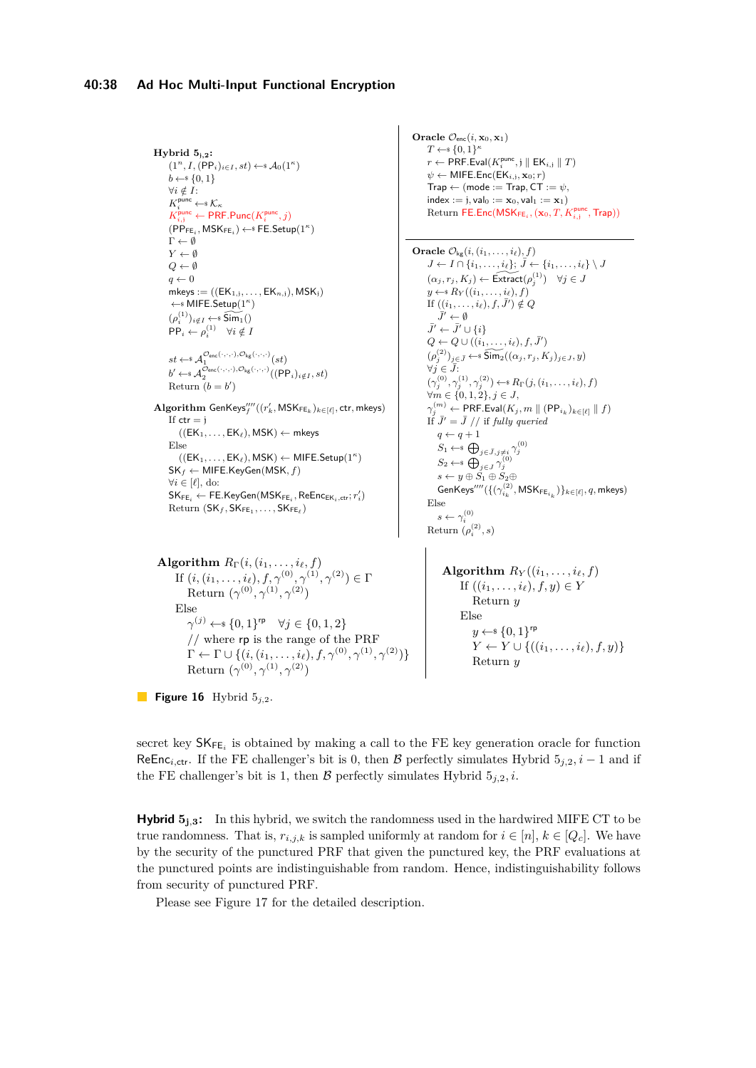```
Hybrid 5j,2:
        (1^n, I, (\text{PP}_i)_{i \in I}, st) \leftarrow \mathcal{A}_0(1^\kappa)b \leftarrow s \{0, 1\}∀i /∈ I:
        K_i^{\text{punc}} \leftarrow \, \mathcal{K}_\kappaK_{i,j}^{\text{punc}} \leftarrow \textsf{PRF.Punc}(K_i^{\text{punc}}, j)(\mathsf{P}\widetilde{\mathsf{P}}_{\mathsf{FE}_i}, \mathsf{MSK}_{\mathsf{FE}_i}) \leftarrow \mathsf{sFE}.\mathsf{Setup}(1^\kappa)\Gamma \leftarrow \emptysetY \leftarrow \emptysetQ \leftarrow \emptysetq \leftarrow 0mkeys := ((EK_{1,j}, \ldots, EK_{n,j}), MSK_j)←$ MIFE.Setup(1κ
)
        (\rho_i^{(1)})_{i\notin I} \leftarrow \widehat{\mathsf{Sim}_1}()PP_i \leftarrow \rho_i^{(1)} \quad \forall i \notin Ist \leftarrow \mathcal{A}_1^{\mathcal{O}_{\mathsf{enc}}(\cdot,\cdot,\cdot),\mathcal{O}_{\mathsf{kg}}(\cdot,\cdot,\cdot)}(st)b' \leftarrow \mathcal{A}_2^{\mathcal{O}_{\mathsf{enc}}(\cdot,\cdot,\cdot),\mathcal{O}_{\mathsf{kg}}(\cdot,\cdot,\cdot)}((\mathsf{PP}_i)_{i \notin I}, st)Return (b = b')\mathbf{Algorithm} GenKeys''''((r_k',\mathsf{MSK}_{\mathsf{FE}_k})_{k\in[\ell]},ctr, mkeys)
        If ctr = i((EK_1, \ldots, EK_\ell), \mathsf{MSK}) \leftarrow \mathsf{mkeys}Else
              ((EK_1, \ldots, EK_\ell), \mathsf{MSK}) \leftarrow \mathsf{MIFE}.\mathsf{Setup}(1^\kappa)SKf ← MIFE.KeyGen(MSK, f)
        ∀i ∈ [`], do:
        \mathsf{SK}_{\mathsf{FE}_i} \leftarrow \mathsf{FE}.\mathsf{KeyGen}(\mathsf{MSK}_{\mathsf{FE}_i}, \mathsf{ReEnc}_{\mathsf{EK}_i, \mathsf{ctr}}; r'_i)\mathrm{Return}(\mathsf{SK}_f, \mathsf{SK}_{\mathsf{FE}_1}, \ldots, \mathsf{SK}_{\mathsf{FE}_\ell})Algorithm R_{\Gamma}(i, (i_1, \ldots, i_\ell, f))If (i, (i_1, \ldots, i_\ell), f, \gamma^{(0)}, \gamma^{(1)}, \gamma^{(2)}) \in \GammaReturn (\gamma^{(0)}, \gamma^{(1)}, \gamma^{(2)})Else
                  γ<sup>(j)</sup> ← {0, 1}^{\text{rp}} \forall j \in {0, 1, 2}
```

```
Oracle \mathcal{O}_{\text{enc}}(i, \mathbf{x}_0, \mathbf{x}_1)T \leftarrow \{0, 1\}^{\kappa}r \leftarrow \mathsf{PRF}.\mathsf{Eval}(K^{\mathsf{punc}}_i, \mathfrak{j} \parallel \mathsf{EK}_{i, \mathfrak{j}} \parallel T)\psi \leftarrow MIFE.Enc(EK<sub>i,j</sub>, \mathbf{x}_0; r)
        \mathsf{Trap} \leftarrow (\mathsf{mode} := \mathsf{Trap}, \mathsf{CT} := \psi,index := j, val_0 := x_0, val_1 := x_1)
         \text{Return FE}.\text{Enc}(\textsf{MSK}_{\textsf{FE}_i},(\mathbf{x}_0, T, K^{\textit{punc}}_{i,j}, \textsf{Trap}))Oracle \mathcal{O}_{\mathsf{kg}}(i, (i_1, \ldots, i_\ell), f)J \leftarrow I \cap \{i_1, \ldots, i_\ell\}; \bar{J} \leftarrow \{i_1, \ldots, i_\ell\} \setminus J(\alpha_j, r_j, K_j) \leftarrow \widetilde{\operatorname{Extract}}(\rho_j^{(1)}) \quad \forall j \in Jy \leftarrow s R_Y((i_1, \ldots, i_\ell), f)If ((i_1, \ldots, i_\ell), f, \bar{J}') \notin Q\bar{J}' \leftarrow \emptyset\bar{J}' \leftarrow \bar{J}' \cup \{i\}Q \leftarrow Q \cup ((i_1, \ldots, i_\ell), f, \bar{J}')(\rho_j^{(2)})_{j \in \bar{J}} \leftarrow \widetilde{\text{Sim}}_2((\alpha_j, r_j, K_j)_{j \in J}, y)\forall j \in J:
         (\gamma_j^{(0)}, \gamma_j^{(1)}, \gamma_j^{(2)}) \leftarrow \{R_{\Gamma}(j, (i_1, \ldots, i_\ell), f)∀m ∈ {0, 1, 2}, j ∈ J,\gamma_j^{(m)} \leftarrow \mathsf{PRF}.\mathsf{Eval}(K_j, m \parallel (\mathsf{PP}_{i_k})_{k \in [\ell]} \parallel f)If \bar{J}' = \bar{J} // if fully queried
              q \leftarrow q + 1S_1 \leftarrow \mathbb{S} \bigoplus_{j \in \bar{J}, j \neq i} \gamma_j^{(0)}<br>S<sub>i</sub> + n</sub> \bigoplus_{j \in \bar{J}, j \neq i} \gamma_j^{(0)}S_2 \leftarrow^* \bigoplus_{j \in J} \gamma^{\setminus}_js \leftarrow y \oplus S_1 \oplus S_2 \oplus\mathsf{GenKeys}^{\prime\prime\prime\prime}(\{(\gamma_{i_k}^{(2)}, \mathsf{MSK}_{\mathsf{FE}_{i_k}})\}_{k\in [\ell]}, q, \mathsf{mkeys})Else
               s \leftarrow \gamma_i^{(0)}Return (\rho_i^{(2)}, s)Algorithm R_Y((i_1, \ldots, i_\ell, f))
```

```
If ((i_1, \ldots, i_\ell), f, y) \in YReturn y
Else
   y \leftarrow s \{0, 1\}^{\text{rp}}Y ← Y ∪ {((i_1, ..., i_\ell), f, y)}
   Return y
```
**Figure 16** Hybrid 5*j,*2.

secret key  $\mathsf{SK}_{\mathsf{FE}_i}$  is obtained by making a call to the FE key generation oracle for function ReEnc<sub>i,ctr</sub>. If the FE challenger's bit is 0, then B perfectly simulates Hybrid  $5_{i,2}$ , i − 1 and if the FE challenger's bit is 1, then  $\beta$  perfectly simulates Hybrid  $5_{i,2}$ , *i*.

**Hybrid 5<sup>j</sup>***,***<sup>3</sup>:** In this hybrid, we switch the randomness used in the hardwired MIFE CT to be true randomness. That is,  $r_{i,j,k}$  is sampled uniformly at random for  $i \in [n]$ ,  $k \in [Q_c]$ . We have by the security of the punctured PRF that given the punctured key, the PRF evaluations at the punctured points are indistinguishable from random. Hence, indistinguishability follows from security of punctured PRF.

Please see Figure [17](#page-38-0) for the detailed description.

// where rp is the range of the PRF  $\Gamma \leftarrow \Gamma \cup \{(i, (i_1, \ldots, i_\ell), f, \gamma^{(0)}, \gamma^{(1)}, \gamma^{(2)})\}$ 

Return  $(\gamma^{(0)}, \gamma^{(1)}, \gamma^{(2)})$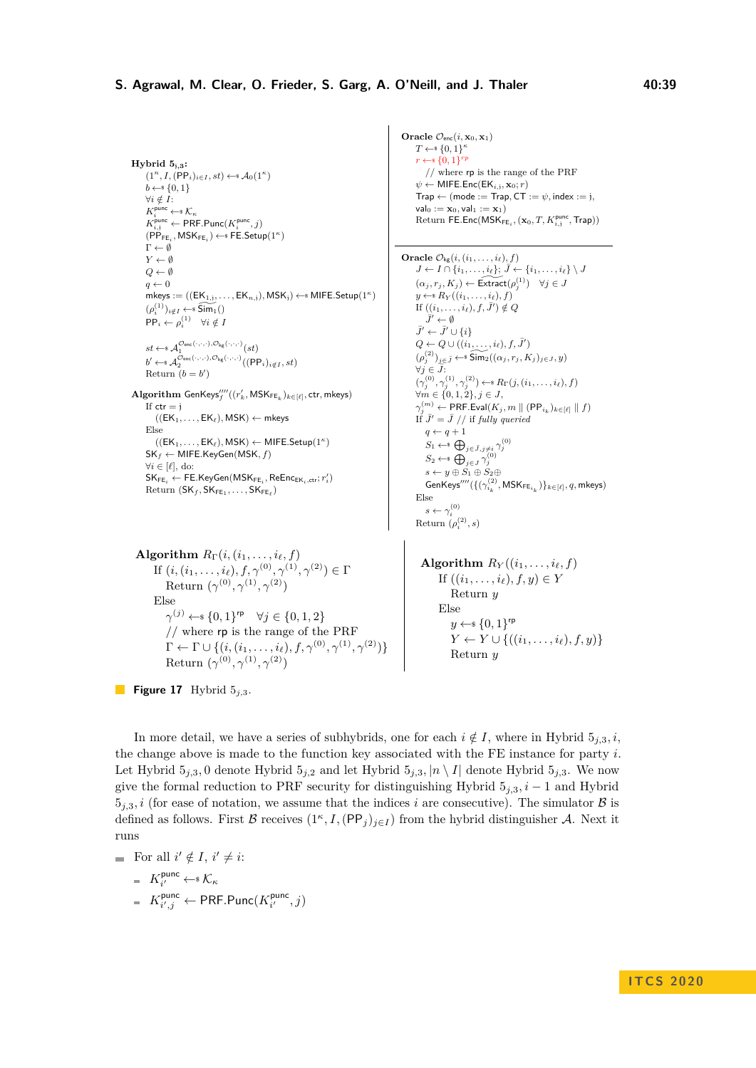```
Hybrid 5j,3:
         (1^n, I, (\text{PP}_i)_{i \in I}, st) \leftarrow s \mathcal{A}_0(1^\kappa)b \leftarrow s \{0, 1\}∀i /∈ I:
         K_i^{\text{punc}} \leftarrow \, \mathcal{K}_\kappaK_{i,j}^{\text{punc}} \leftarrow \textsf{PRF.Punc}(K_i^{\text{punc}}, j)(\mathsf{P}\tilde{\mathsf{P}}_{\mathsf{FE}_i}, \mathsf{MSK}_{\mathsf{FE}_i}) \leftarrow \mathsf{sFE}.\mathsf{Setup}(1^\kappa)\Gamma \leftarrow \emptysetY ← ∅
       Q \leftarrow \emptysetq \leftarrow 0mkeys := ((EK_{1,j},...,EK_{n,j}), MSK_j) \leftarrow MIFE.Setup(1<sup>\kappa</sup>)(\rho_i^{(1)})_{i \notin I} \leftarrow \widetilde{\mathsf{Sim}_1}()\mathsf{PP}_i \leftarrow \rho_i^{(1)} \quad \forall i \notin Ist \leftarrow \mathcal{A}_1^{\mathcal{O}_{\mathsf{enc}}(\cdot,\cdot,\cdot),\mathcal{O}_{\mathsf{kg}}(\cdot,\cdot,\cdot)}(st)b' \leftarrow s \mathcal{A}_2^{\mathcal{O}_{\text{enc}}(\cdot,\cdot,\cdot),\mathcal{O}_{\text{kg}}(\cdot,\cdot,\cdot)}((\text{PP}_i)_{i \notin I}, st)Return (b = b')\mathbf{Algorithm} \ \mathsf{GenKeys}'''_f((r'_k, \mathsf{MSK}_{\mathsf{FE}_k})_{k \in [\ell]}, \mathsf{ctr}, \mathsf{mkeys})If ctr = i((EK_1, \ldots, EK_\ell), \mathsf{MSK}) \leftarrow \mathsf{mkeys}Else
              ((EK_1, \ldots, EK_\ell), \mathsf{MSK}) \leftarrow \mathsf{MIFE}.\mathsf{Setup}(1^\kappa)SKf ← MIFE.KeyGen(MSK, f)
       ∀i ∈ [`], do:
         \mathsf{SK}_{\mathsf{FE}_i} \leftarrow \mathsf{FE}.\mathsf{KeyGen}(\mathsf{MSK}_{\mathsf{FE}_i}, \mathsf{ReEnc}_{\mathsf{EK}_i, \mathsf{ctr}}; r'_i)\text{Return } (\mathsf{SK}_f, \mathsf{SK}_{\mathsf{FE}_1}, \ldots, \mathsf{SK}_{\mathsf{FE}_\ell})\bf{Algorithm}\,\, R_\Gamma (i, (i_1, \ldots, i_\ell, f))If (i, (i_1, \ldots, i_\ell), f, \gamma^{(0)}, \gamma^{(1)}, \gamma^{(2)}) \in \Gamma
```
Return  $(\gamma^{(0)}, \gamma^{(1)}, \gamma^{(2)})$ Else  $γ^{(j)} \leftarrow$  {0*,* 1}<sup>rp</sup>  $∀j \in \{0, 1, 2\}$ // where rp is the range of the PRF  $\Gamma \leftarrow \Gamma \cup \{(i,(i_1,\ldots,i_\ell),f,\gamma^{(0)},\gamma^{(1)},\gamma^{(2)})\}$ Return  $(\gamma^{(0)}, \gamma^{(1)}, \gamma^{(2)})$ 

**Figure 17** Hybrid 5*j,*3.

**Oracle**  $\mathcal{O}_{\text{enc}}(i, \mathbf{x}_0, \mathbf{x}_1)$  $T \leftarrow \{0, 1\}^{\kappa}$  $r \leftarrow s \{0, 1\}^{rp}$ // where rp is the range of the PRF  $ψ$  ← MIFE.Enc(EK<sub>i,j</sub>, **x**<sub>0</sub>; *r*)  $\mathsf{Trap} \leftarrow (\mathsf{mode} := \mathsf{Trap}, \mathsf{CT} := \psi, \mathsf{index} := \mathsf{j},$  $val_0 := x_0$ , val<sub>1</sub> :=  $x_1$ )  $\text{Return FE}.\text{Enc}(\textsf{MSK}_{\textsf{FE}_i},(\mathbf{x}_0,T,K^{\textit{punc}}_{i,j},\textsf{Trap}))$ 

```
Oracle \mathcal{O}_{\text{kg}}(i, (i_1, \ldots, i_\ell), f)J \leftarrow I \cap \{i_1, \ldots, i_\ell\}; \bar{J} \leftarrow \{i_1, \ldots, i_\ell\} \setminus J(\alpha_j, r_j, K_j) \leftarrow \widetilde{\textsf{Extract}}(\rho_j^{(1)}) \quad \forall j \in Jy \leftarrow s R_Y((i_1, \ldots, i_\ell), f)If ((i_1, \ldots, i_\ell), f, \bar{J}') \notin Q\bar{J}' \leftarrow \emptyset\bar{J}' \leftarrow \bar{J}' \cup \{i\}Q \leftarrow Q \cup ((i_1, \ldots, i_\ell), f, \bar{J}')(\rho_j^{(2)})_{j \in \bar{J}} \leftarrow \widetilde{\text{Sim}}_2((\alpha_j, r_j, K_j)_{j \in J}, y)∀j ∈ J¯:
         (\gamma_j^{(0)}, \gamma_j^{(1)}, \gamma_j^{(2)}) \leftarrow \{R_{\Gamma}(j, (i_1, \ldots, i_{\ell}), f)∀m ∈ {0, 1, 2}, j ∈ J,\gamma_j^{(m)} \leftarrow \mathsf{PRF}.\mathsf{Eval}(K_j, m \parallel (\mathsf{PP}_{i_k})_{k \in [\ell]} \parallel f)If \bar{J}' = \bar{J} // if fully queried
             q \leftarrow q + 1S_1 \leftarrow^* \bigoplus_{j \in \bar{J}, j \neq i} \gamma_j^{(0)}<br>
S_2 \leftarrow^* \bigoplus_{j \in \bar{J}} \gamma_j^{(0)}s \leftarrow y \oplus \check{S}_1 \oplus \check{S}_2 \oplus\mathsf{GenKeys}''''(\{(\gamma_{i_k}^{(2)}, \mathsf{MSK}_{\mathsf{FE}_{i_k}})\}_{k \in [\ell]}, q, \mathsf{mkeys})Else
               s \leftarrow \gamma_i^{(0)}Return (\rho_i^{(2)}, s)
```

```
Algorithm R_Y((i_1, \ldots, i_\ell, f))If ((i_1, \ldots, i_\ell), f, y) \in YReturn y
    Else
        y \leftarrow s \{0, 1\}^{\text{rp}}Y ← Y ∪ {((i_1, ..., i_\ell), f, y)}
        Return y
```
In more detail, we have a series of subhybrids, one for each  $i \notin I$ , where in Hybrid  $5_{i,3}, i$ , the change above is made to the function key associated with the FE instance for party *i*. Let Hybrid  $5_{i,3}$ , 0 denote Hybrid  $5_{i,2}$  and let Hybrid  $5_{i,3}$ ,  $|n \setminus I|$  denote Hybrid  $5_{i,3}$ . We now give the formal reduction to PRF security for distinguishing Hybrid  $5<sub>i,3</sub>$ , *i* − 1 and Hybrid  $5<sub>i,3</sub>$ , *i* (for ease of notation, we assume that the indices *i* are consecutive). The simulator B is defined as follows. First B receives  $(1^{\kappa}, I, (PP_j)_{j \in I})$  from the hybrid distinguisher A. Next it runs

For all 
$$
i' \notin I
$$
,  $i' \neq i$ :  
=  $K_{i'}^{\text{punc}} \leftarrow \mathcal{K}_{\kappa}$ 

$$
= K^{\text{punc}}_{i',j} \leftarrow \text{PRF.Punc}(K^{\text{punc}}_{i'}, j)
$$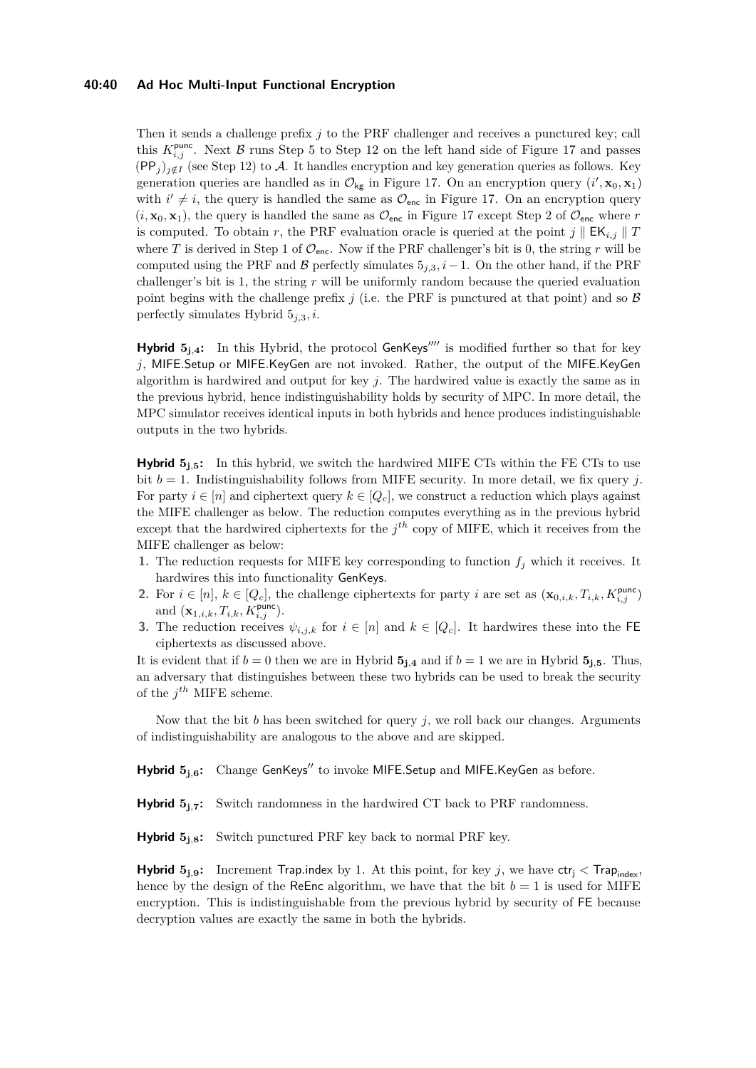#### **40:40 Ad Hoc Multi-Input Functional Encryption**

Then it sends a challenge prefix *j* to the PRF challenger and receives a punctured key; call this  $K_{i,j}^{\text{punc}}$ . Next  $\beta$  runs Step 5 to Step 12 on the left hand side of Figure [17](#page-38-0) and passes  $(PP<sub>j</sub>)<sub>j</sub> \notin I$  (see Step 12) to A. It handles encryption and key generation queries as follows. Key generation queries are handled as in  $\mathcal{O}_{\mathsf{kg}}$  in Figure [17.](#page-38-0) On an encryption query  $(i', \mathbf{x}_0, \mathbf{x}_1)$ with  $i' \neq i$ , the query is handled the same as  $\mathcal{O}_{\text{enc}}$  in Figure [17.](#page-38-0) On an encryption query  $(i, \mathbf{x}_0, \mathbf{x}_1)$ , the query is handled the same as  $\mathcal{O}_{\text{enc}}$  in Figure [17](#page-38-0) except Step 2 of  $\mathcal{O}_{\text{enc}}$  where *r* is computed. To obtain *r*, the PRF evaluation oracle is queried at the point  $j \parallel E K_{i,j} \parallel T$ where *T* is derived in Step 1 of  $\mathcal{O}_{\text{enc}}$ . Now if the PRF challenger's bit is 0, the string *r* will be computed using the PRF and B perfectly simulates  $5<sub>j,3</sub>$ , *i* − 1. On the other hand, if the PRF challenger's bit is 1, the string *r* will be uniformly random because the queried evaluation point begins with the challenge prefix  $j$  (i.e. the PRF is punctured at that point) and so  $\beta$ perfectly simulates Hybrid 5*j,*3*, i*.

**Hybrid**  $5_{j,4}$ : In this Hybrid, the protocol GenKeys<sup>''''</sup> is modified further so that for key *j*, MIFE*.*Setup or MIFE*.*KeyGen are not invoked. Rather, the output of the MIFE*.*KeyGen algorithm is hardwired and output for key *j*. The hardwired value is exactly the same as in the previous hybrid, hence indistinguishability holds by security of MPC. In more detail, the MPC simulator receives identical inputs in both hybrids and hence produces indistinguishable outputs in the two hybrids.

**Hybrid**  $5_{1,5}$ : In this hybrid, we switch the hardwired MIFE CTs within the FE CTs to use bit  $b = 1$ . Indistinguishability follows from MIFE security. In more detail, we fix query *j*. For party  $i \in [n]$  and ciphertext query  $k \in [Q_c]$ , we construct a reduction which plays against the MIFE challenger as below. The reduction computes everything as in the previous hybrid except that the hardwired ciphertexts for the  $j<sup>th</sup>$  copy of MIFE, which it receives from the MIFE challenger as below:

- **1.** The reduction requests for MIFE key corresponding to function  $f_j$  which it receives. It hardwires this into functionality GenKeys.
- **2.** For  $i \in [n], k \in [Q_c]$ , the challenge ciphertexts for party *i* are set as  $(\mathbf{x}_{0,i,k}, T_{i,k}, K_{i,j}^{\text{punc}})$ and  $({\bf x}_{1,i,k}, T_{i,k}, K_{i,j}^{\text{punc}})$ .
- **3.** The reduction receives  $\psi_{i,j,k}$  for  $i \in [n]$  and  $k \in [Q_c]$ . It hardwires these into the FE ciphertexts as discussed above.

It is evident that if  $b = 0$  then we are in Hybrid  $\mathbf{5}_{\mathbf{j},\mathbf{4}}$  and if  $b = 1$  we are in Hybrid  $\mathbf{5}_{\mathbf{j},\mathbf{5}}$ . Thus, an adversary that distinguishes between these two hybrids can be used to break the security of the *j th* MIFE scheme.

Now that the bit *b* has been switched for query *j*, we roll back our changes. Arguments of indistinguishability are analogous to the above and are skipped.

**Hybrid**  $5$ **<sup>j</sup>** $\boldsymbol{6}$ **:** Change GenKeys<sup>"</sup> to invoke MIFE.Setup and MIFE.KeyGen as before.

**Hybrid 5<sup>j</sup>***,***<sup>7</sup>:** Switch randomness in the hardwired CT back to PRF randomness.

**Hybrid 5<sup>j</sup>***,***<sup>8</sup>:** Switch punctured PRF key back to normal PRF key.

**Hybrid**  $5_{j,9}$ : Increment Trap.index by 1. At this point, for key *j*, we have  $\text{ctr}_j < \text{Trap}_{index}$ , hence by the design of the ReEnc algorithm, we have that the bit  $b = 1$  is used for MIFE encryption. This is indistinguishable from the previous hybrid by security of FE because decryption values are exactly the same in both the hybrids.